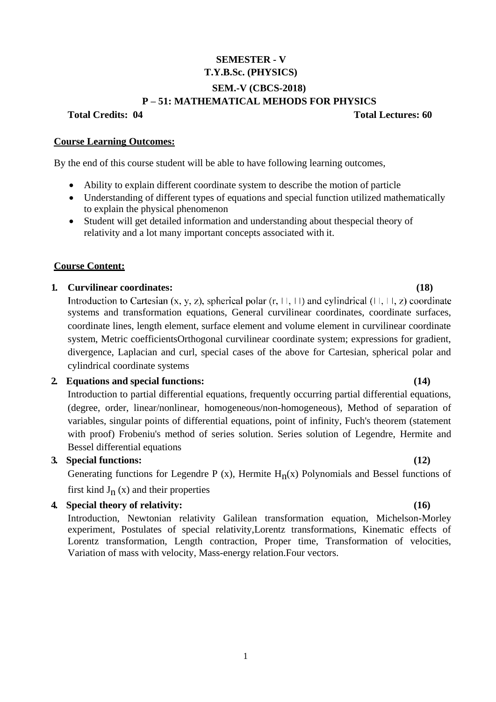# **SEMESTER - V T.Y.B.Sc. (PHYSICS) SEM.-V (CBCS-2018) P – 51: MATHEMATICAL MEHODS FOR PHYSICS**

**Total Credits: 04 Total Lectures: 60**

#### **Course Learning Outcomes:**

By the end of this course student will be able to have following learning outcomes,

- Ability to explain different coordinate system to describe the motion of particle
- Understanding of different types of equations and special function utilized mathematically to explain the physical phenomenon
- Student will get detailed information and understanding about thespecial theory of relativity and a lot many important concepts associated with it.

## **Course Content:**

## **1. Curvilinear coordinates: (18)**

Introduction to Cartesian  $(x, y, z)$ , spherical polar  $(r, \square, \square)$  and cylindrical  $(\square, \square, z)$  coordinate systems and transformation equations, General curvilinear coordinates, coordinate surfaces, coordinate lines, length element, surface element and volume element in curvilinear coordinate system, Metric coefficientsOrthogonal curvilinear coordinate system; expressions for gradient, divergence, Laplacian and curl, special cases of the above for Cartesian, spherical polar and cylindrical coordinate systems

## **2. Equations and special functions: (14)**

Introduction to partial differential equations, frequently occurring partial differential equations, (degree, order, linear/nonlinear, homogeneous/non-homogeneous), Method of separation of variables, singular points of differential equations, point of infinity, Fuch's theorem (statement with proof) Frobeniu's method of series solution. Series solution of Legendre, Hermite and Bessel differential equations

### **3. Special functions: (12)**

Generating functions for Legendre P (x), Hermite  $H_n(x)$  Polynomials and Bessel functions of first kind  $J_n(x)$  and their properties

### **4. Special theory of relativity: (16)**

Introduction, Newtonian relativity Galilean transformation equation, Michelson-Morley experiment, Postulates of special relativity,Lorentz transformations, Kinematic effects of Lorentz transformation, Length contraction, Proper time, Transformation of velocities, Variation of mass with velocity, Mass-energy relation.Four vectors.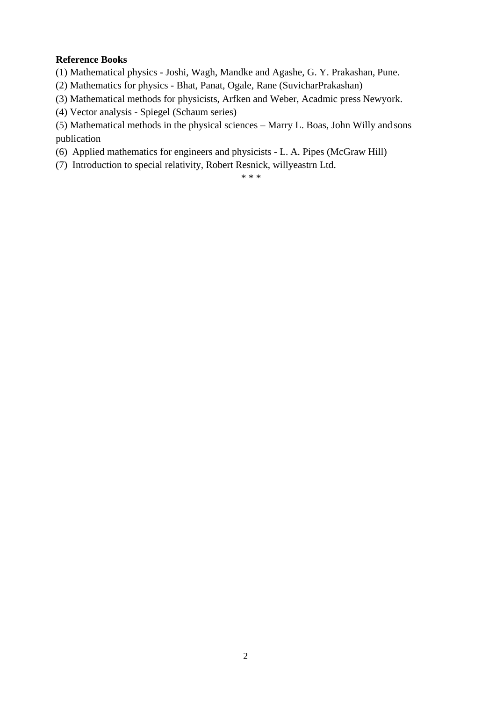# **Reference Books**

(1) Mathematical physics - Joshi, Wagh, Mandke and Agashe, G. Y. Prakashan, Pune.

(2) Mathematics for physics - Bhat, Panat, Ogale, Rane (SuvicharPrakashan)

(3) Mathematical methods for physicists, Arfken and Weber, Acadmic press Newyork.

(4) Vector analysis - Spiegel (Schaum series)

(5) Mathematical methods in the physical sciences – Marry L. Boas, John Willy and sons publication

(6) Applied mathematics for engineers and physicists - L. A. Pipes (McGraw Hill)

(7) Introduction to special relativity, Robert Resnick, willyeastrn Ltd.

\* \* \*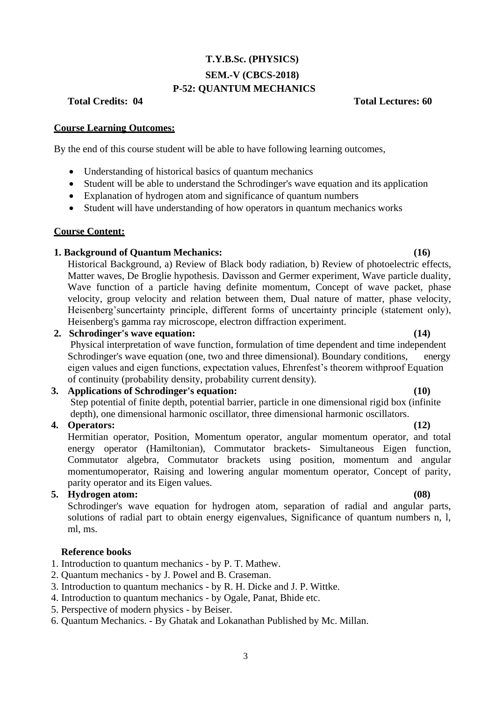# **T.Y.B.Sc. (PHYSICS) SEM.-V (CBCS-2018) P-52: QUANTUM MECHANICS**

**Total Credits: 04 Total Lectures: 60**

### **Course Learning Outcomes:**

By the end of this course student will be able to have following learning outcomes,

- Understanding of historical basics of quantum mechanics
- Student will be able to understand the Schrodinger's wave equation and its application
- Explanation of hydrogen atom and significance of quantum numbers
- Student will have understanding of how operators in quantum mechanics works

## **Course Content:**

## **1. Background of Quantum Mechanics: (16)**

Historical Background, a) Review of Black body radiation, b) Review of photoelectric effects, Matter waves, De Broglie hypothesis. Davisson and Germer experiment, Wave particle duality, Wave function of a particle having definite momentum, Concept of wave packet, phase velocity, group velocity and relation between them, Dual nature of matter, phase velocity, Heisenberg'suncertainty principle, different forms of uncertainty principle (statement only), Heisenberg's gamma ray microscope, electron diffraction experiment.

# **2. Schrodinger's wave equation: (14)**

Physical interpretation of wave function, formulation of time dependent and time independent Schrodinger's wave equation (one, two and three dimensional). Boundary conditions, energy eigen values and eigen functions, expectation values, Ehrenfest"s theorem withproof Equation of continuity (probability density, probability current density).

# **3. Applications of Schrodinger's equation: (10)**

Step potential of finite depth, potential barrier, particle in one dimensional rigid box (infinite depth), one dimensional harmonic oscillator, three dimensional harmonic oscillators.

# **4. Operators: (12)**

Hermitian operator, Position, Momentum operator, angular momentum operator, and total energy operator (Hamiltonian), Commutator brackets- Simultaneous Eigen function, Commutator algebra, Commutator brackets using position, momentum and angular momentumoperator, Raising and lowering angular momentum operator, Concept of parity, parity operator and its Eigen values.

# **5. Hydrogen atom: (08)**

Schrodinger's wave equation for hydrogen atom, separation of radial and angular parts, solutions of radial part to obtain energy eigenvalues, Significance of quantum numbers n, l, ml, ms.

### **Reference books**

- 1. Introduction to quantum mechanics by P. T. Mathew.
- 2. Quantum mechanics by J. Powel and B. Craseman.
- 3. Introduction to quantum mechanics by R. H. Dicke and J. P. Wittke.
- 4. Introduction to quantum mechanics by Ogale, Panat, Bhide etc.
- 5. Perspective of modern physics by Beiser.
- 6. Quantum Mechanics. By Ghatak and Lokanathan Published by Mc. Millan.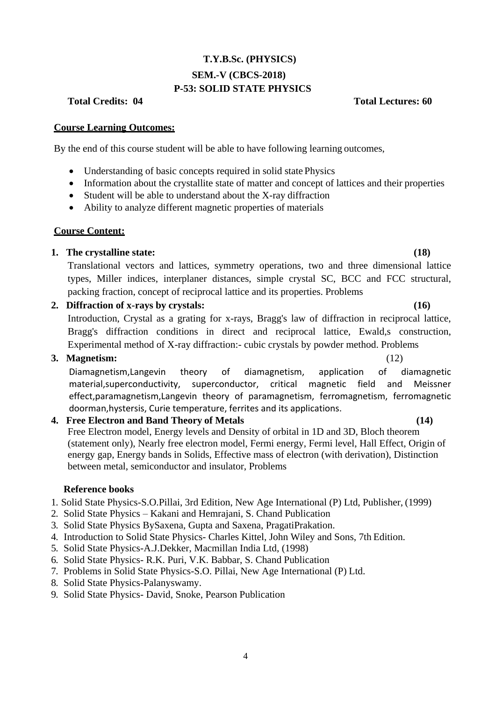# **T.Y.B.Sc. (PHYSICS) SEM.-V (CBCS-2018) P-53: SOLID STATE PHYSICS**

**Course Learning Outcomes:**

By the end of this course student will be able to have following learning outcomes,

- Understanding of basic concepts required in solid state Physics
- Information about the crystallite state of matter and concept of lattices and their properties
- Student will be able to understand about the X-ray diffraction
- Ability to analyze different magnetic properties of materials

## **Course Content:**

# **1. The crystalline state: (18)**

Translational vectors and lattices, symmetry operations, two and three dimensional lattice types, Miller indices, interplaner distances, simple crystal SC, BCC and FCC structural, packing fraction, concept of reciprocal lattice and its properties. Problems

# **2. Diffraction of x-rays by crystals: (16)**

Introduction, Crystal as a grating for x-rays, Bragg's law of diffraction in reciprocal lattice, Bragg's diffraction conditions in direct and reciprocal lattice, Ewald,s construction, Experimental method of X-ray diffraction:- cubic crystals by powder method. Problems

### **3. Magnetism:** (12)

Diamagnetism,Langevin theory of diamagnetism, application of diamagnetic material,superconductivity, superconductor, critical magnetic field and Meissner effect,paramagnetism,Langevin theory of paramagnetism, ferromagnetism, ferromagnetic doorman,hystersis, Curie temperature, ferrites and its applications.

# **4. Free Electron and Band Theory of Metals (14)**

Free Electron model, Energy levels and Density of orbital in 1D and 3D, Bloch theorem (statement only), Nearly free electron model, Fermi energy, Fermi level, Hall Effect, Origin of energy gap, Energy bands in Solids, Effective mass of electron (with derivation), Distinction between metal, semiconductor and insulator, Problems

### **Reference books**

1. Solid State Physics-S.O.Pillai, 3rd Edition, New Age International (P) Ltd, Publisher, (1999)

- 2. Solid State Physics Kakani and Hemrajani, S. Chand Publication
- 3. Solid State Physics BySaxena, Gupta and Saxena, PragatiPrakation.
- 4. Introduction to Solid State Physics- Charles Kittel, John Wiley and Sons, 7th Edition.
- 5. Solid State Physics-A.J.Dekker, Macmillan India Ltd, (1998)
- 6. Solid State Physics- R.K. Puri, V.K. Babbar, S. Chand Publication
- 7. Problems in Solid State Physics-S.O. Pillai, New Age International (P) Ltd.
- 8. Solid State Physics-Palanyswamy.
- 9. Solid State Physics- David, Snoke, Pearson Publication

**Total Credits: 04 Total Lectures: 60**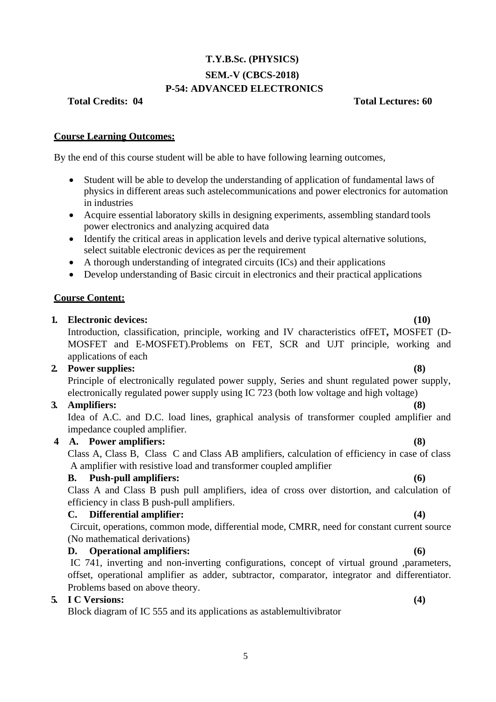# **T.Y.B.Sc. (PHYSICS) SEM.-V (CBCS-2018) P-54: ADVANCED ELECTRONICS**

## **Total Credits: 04 Total Lectures: 60**

### **Course Learning Outcomes:**

By the end of this course student will be able to have following learning outcomes,

- Student will be able to develop the understanding of application of fundamental laws of physics in different areas such astelecommunications and power electronics for automation in industries
- Acquire essential laboratory skills in designing experiments, assembling standard tools power electronics and analyzing acquired data
- Identify the critical areas in application levels and derive typical alternative solutions, select suitable electronic devices as per the requirement
- A thorough understanding of integrated circuits (ICs) and their applications
- Develop understanding of Basic circuit in electronics and their practical applications

## **Course Content:**

### **1. Electronic devices: (10)**

Introduction, classification, principle, working and IV characteristics ofFET**,** MOSFET (D-MOSFET and E-MOSFET).Problems on FET, SCR and UJT principle, working and applications of each

### **2. Power supplies: (8)**

Principle of electronically regulated power supply, Series and shunt regulated power supply, electronically regulated power supply using IC 723 (both low voltage and high voltage)

# **3. Amplifiers: (8)**

Idea of A.C. and D.C. load lines, graphical analysis of transformer coupled amplifier and impedance coupled amplifier.

# **4 A. Power amplifiers: (8)**

Class A, Class B, Class C and Class AB amplifiers, calculation of efficiency in case of class A amplifier with resistive load and transformer coupled amplifier

# **B. Push-pull amplifiers: (6)**

Class A and Class B push pull amplifiers, idea of cross over distortion, and calculation of efficiency in class B push-pull amplifiers.

# **C. Differential amplifier: (4)**

Circuit, operations, common mode, differential mode, CMRR, need for constant current source (No mathematical derivations)

# **D. Operational amplifiers: (6)**

IC 741, inverting and non-inverting configurations, concept of virtual ground ,parameters, offset, operational amplifier as adder, subtractor, comparator, integrator and differentiator. Problems based on above theory.

# **5. I C Versions: (4)**

Block diagram of IC 555 and its applications as astablemultivibrator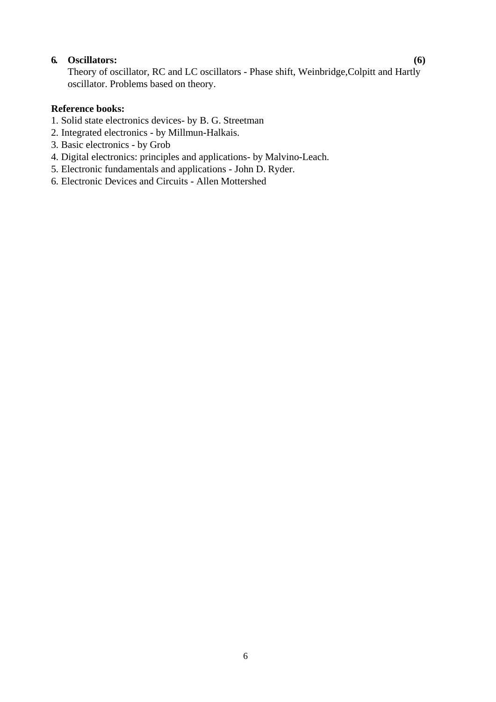## **6. Oscillators: (6)**

Theory of oscillator, RC and LC oscillators - Phase shift, Weinbridge,Colpitt and Hartly oscillator. Problems based on theory.

# **Reference books:**

- 1. Solid state electronics devices- by B. G. Streetman
- 2. Integrated electronics by Millmun-Halkais.
- 3. Basic electronics by Grob
- 4. Digital electronics: principles and applications- by Malvino-Leach.
- 5. Electronic fundamentals and applications John D. Ryder.
- 6. Electronic Devices and Circuits Allen Mottershed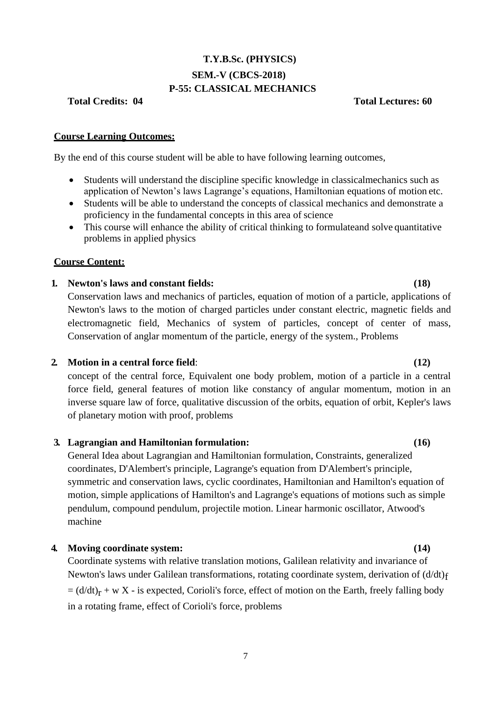# **T.Y.B.Sc. (PHYSICS) SEM.-V (CBCS-2018) P-55: CLASSICAL MECHANICS**

**Total Credits: 04 Total Lectures: 60**

### **Course Learning Outcomes:**

By the end of this course student will be able to have following learning outcomes,

- Students will understand the discipline specific knowledge in classicalmechanics such as application of Newton's laws Lagrange's equations, Hamiltonian equations of motion etc.
- Students will be able to understand the concepts of classical mechanics and demonstrate a proficiency in the fundamental concepts in this area of science
- This course will enhance the ability of critical thinking to formulateand solve quantitative problems in applied physics

### **Course Content:**

### **1. Newton's laws and constant fields: (18)**

Conservation laws and mechanics of particles, equation of motion of a particle, applications of Newton's laws to the motion of charged particles under constant electric, magnetic fields and electromagnetic field, Mechanics of system of particles, concept of center of mass, Conservation of anglar momentum of the particle, energy of the system., Problems

#### **2. Motion in a central force field**: **(12)**

concept of the central force, Equivalent one body problem, motion of a particle in a central force field, general features of motion like constancy of angular momentum, motion in an inverse square law of force, qualitative discussion of the orbits, equation of orbit, Kepler's laws of planetary motion with proof, problems

### **3. Lagrangian and Hamiltonian formulation: (16)**

General Idea about Lagrangian and Hamiltonian formulation, Constraints, generalized coordinates, D'Alembert's principle, Lagrange's equation from D'Alembert's principle, symmetric and conservation laws, cyclic coordinates, Hamiltonian and Hamilton's equation of motion, simple applications of Hamilton's and Lagrange's equations of motions such as simple pendulum, compound pendulum, projectile motion. Linear harmonic oscillator, Atwood's machine

#### **4. Moving coordinate system: (14)**

Coordinate systems with relative translation motions, Galilean relativity and invariance of Newton's laws under Galilean transformations, rotating coordinate system, derivation of  $(d/dt)<sub>f</sub>$  $= (d/dt)_r + w X$  - is expected, Corioli's force, effect of motion on the Earth, freely falling body in a rotating frame, effect of Corioli's force, problems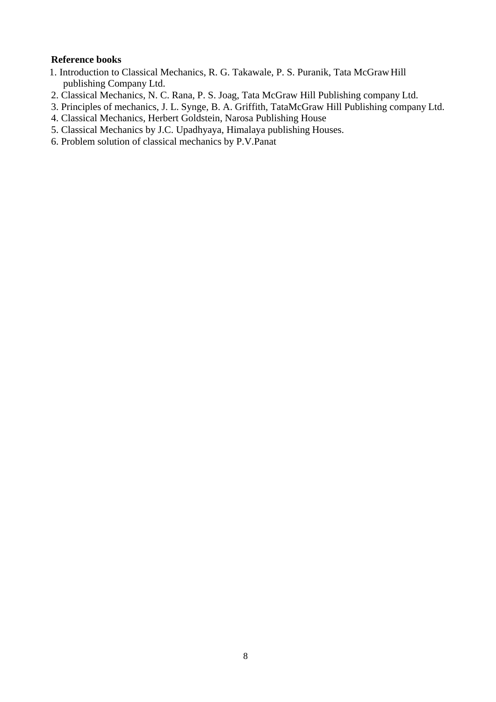### **Reference books**

- 1. Introduction to Classical Mechanics, R. G. Takawale, P. S. Puranik, Tata McGrawHill publishing Company Ltd.
- 2. Classical Mechanics, N. C. Rana, P. S. Joag, Tata McGraw Hill Publishing company Ltd.
- 3. Principles of mechanics, J. L. Synge, B. A. Griffith, TataMcGraw Hill Publishing company Ltd.
- 4. Classical Mechanics, Herbert Goldstein, Narosa Publishing House
- 5. Classical Mechanics by J.C. Upadhyaya, Himalaya publishing Houses.
- 6. Problem solution of classical mechanics by P.V.Panat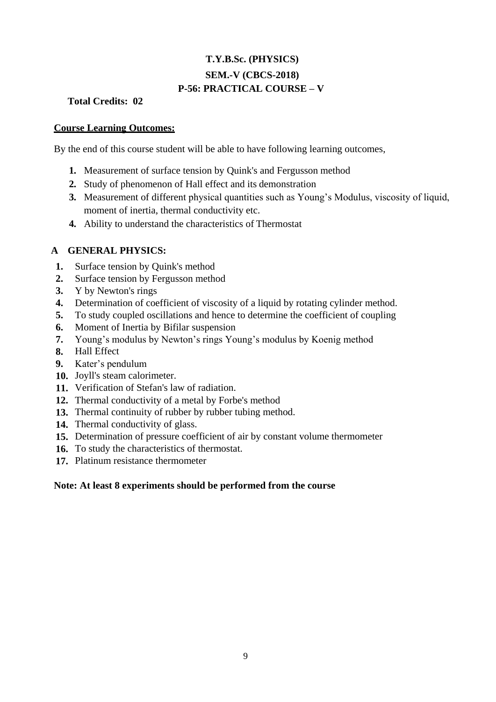# **T.Y.B.Sc. (PHYSICS) SEM.-V (CBCS-2018) P-56: PRACTICAL COURSE – V**

# **Total Credits: 02**

### **Course Learning Outcomes:**

By the end of this course student will be able to have following learning outcomes,

- **1.** Measurement of surface tension by Quink's and Fergusson method
- **2.** Study of phenomenon of Hall effect and its demonstration
- **3.** Measurement of different physical quantities such as Young's Modulus, viscosity of liquid, moment of inertia, thermal conductivity etc.
- **4.** Ability to understand the characteristics of Thermostat

# **A GENERAL PHYSICS:**

- **1.** Surface tension by Quink's method
- **2.** Surface tension by Fergusson method
- **3.** Y by Newton's rings
- **4.** Determination of coefficient of viscosity of a liquid by rotating cylinder method.
- **5.** To study coupled oscillations and hence to determine the coefficient of coupling
- **6.** Moment of Inertia by Bifilar suspension
- **7.** Young's modulus by Newton's rings Young's modulus by Koenig method
- **8.** Hall Effect
- **9.** Kater"s pendulum
- **10.** Joyll's steam calorimeter.
- **11.** Verification of Stefan's law of radiation.
- **12.** Thermal conductivity of a metal by Forbe's method
- **13.** Thermal continuity of rubber by rubber tubing method.
- **14.** Thermal conductivity of glass.
- **15.** Determination of pressure coefficient of air by constant volume thermometer
- **16.** To study the characteristics of thermostat.
- **17.** Platinum resistance thermometer

### **Note: At least 8 experiments should be performed from the course**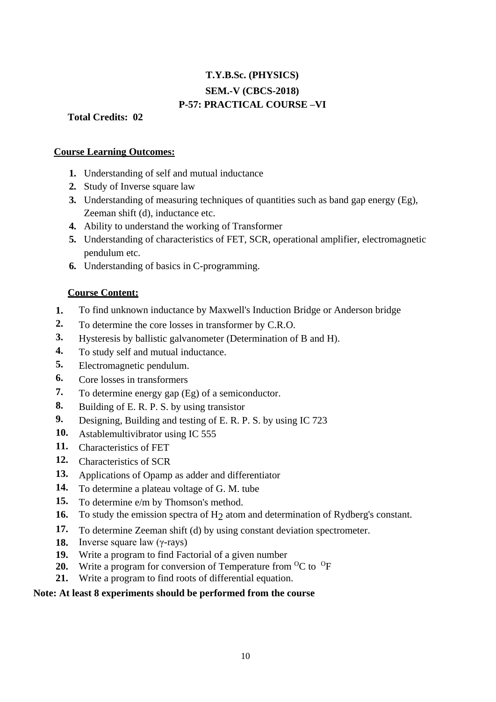# **T.Y.B.Sc. (PHYSICS) SEM.-V (CBCS-2018) P-57: PRACTICAL COURSE –VI**

**Total Credits: 02**

### **Course Learning Outcomes:**

- **1.** Understanding of self and mutual inductance
- **2.** Study of Inverse square law
- **3.** Understanding of measuring techniques of quantities such as band gap energy (Eg), Zeeman shift (d), inductance etc.
- **4.** Ability to understand the working of Transformer
- **5.** Understanding of characteristics of FET, SCR, operational amplifier, electromagnetic pendulum etc.
- **6.** Understanding of basics in C-programming.

# **Course Content:**

- **1.** To find unknown inductance by Maxwell's Induction Bridge or Anderson bridge
- **2.** To determine the core losses in transformer by C.R.O.
- **3.** Hysteresis by ballistic galvanometer (Determination of B and H).
- **4.** To study self and mutual inductance.
- **5.** Electromagnetic pendulum.
- **6.** Core losses in transformers
- **7.** To determine energy gap (Eg) of a semiconductor.
- **8.** Building of E. R. P. S. by using transistor
- **9.** Designing, Building and testing of E. R. P. S. by using IC 723
- **10.** Astablemultivibrator using IC 555
- **11.** Characteristics of FET
- **12.** Characteristics of SCR
- **13.** Applications of Opamp as adder and differentiator
- **14.** To determine a plateau voltage of G. M. tube
- **15.** To determine e/m by Thomson's method.
- **16.** To study the emission spectra of H<sub>2</sub> atom and determination of Rydberg's constant.
- **17.** To determine Zeeman shift (d) by using constant deviation spectrometer.
- **18.** Inverse square law (γ-rays)
- **19.** Write a program to find Factorial of a given number
- **20.** Write a program for conversion of Temperature from  ${}^{0}C$  to  ${}^{0}F$
- **21.** Write a program to find roots of differential equation.

# **Note: At least 8 experiments should be performed from the course**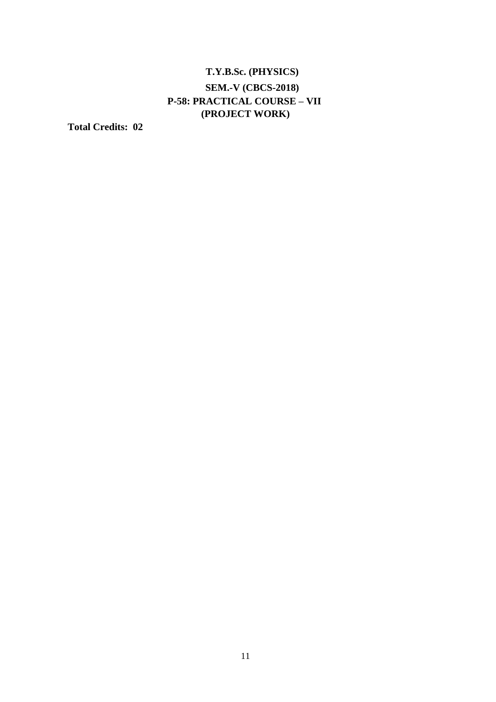# **T.Y.B.Sc. (PHYSICS) SEM.-V (CBCS-2018) P-58: PRACTICAL COURSE – VII (PROJECT WORK)**

**Total Credits: 02**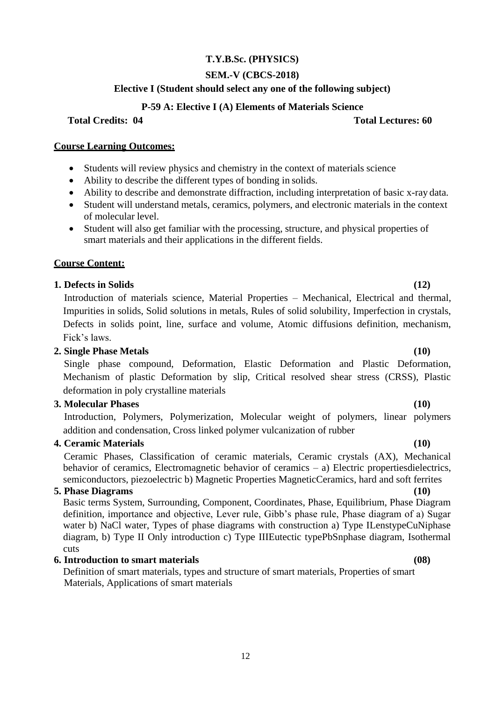## **T.Y.B.Sc. (PHYSICS)**

### **SEM.-V (CBCS-2018)**

### **Elective I (Student should select any one of the following subject)**

### **P-59 A: Elective I (A) Elements of Materials Science**

**Total Credits: 04 Total Lectures: 60**

#### **Course Learning Outcomes:**

- Students will review physics and chemistry in the context of materials science
- Ability to describe the different types of bonding in solids.
- Ability to describe and demonstrate diffraction, including interpretation of basic x-ray data.
- Student will understand metals, ceramics, polymers, and electronic materials in the context of molecular level.
- Student will also get familiar with the processing, structure, and physical properties of smart materials and their applications in the different fields.

#### **Course Content:**

#### **1. Defects in Solids (12)**

Introduction of materials science, Material Properties – Mechanical, Electrical and thermal, Impurities in solids, Solid solutions in metals, Rules of solid solubility, Imperfection in crystals, Defects in solids point, line, surface and volume, Atomic diffusions definition, mechanism, Fick"s laws.

### **2. Single Phase Metals (10)**

Single phase compound, Deformation, Elastic Deformation and Plastic Deformation, Mechanism of plastic Deformation by slip, Critical resolved shear stress (CRSS), Plastic deformation in poly crystalline materials

#### **3. Molecular Phases (10)**

Introduction, Polymers, Polymerization, Molecular weight of polymers, linear polymers addition and condensation, Cross linked polymer vulcanization of rubber

### **4. Ceramic Materials (10)**

Ceramic Phases, Classification of ceramic materials, Ceramic crystals (AX), Mechanical behavior of ceramics, Electromagnetic behavior of ceramics – a) Electric propertiesdielectrics, semiconductors, piezoelectric b) Magnetic Properties MagneticCeramics, hard and soft ferrites

#### **5. Phase Diagrams (10)**

Basic terms System, Surrounding, Component, Coordinates, Phase, Equilibrium, Phase Diagram definition, importance and objective, Lever rule, Gibb"s phase rule, Phase diagram of a) Sugar water b) NaCl water, Types of phase diagrams with construction a) Type ILenstypeCuNiphase diagram, b) Type II Only introduction c) Type IIIEutectic typePbSnphase diagram, Isothermal cuts

## **6. Introduction to smart materials (08)**

Definition of smart materials, types and structure of smart materials, Properties of smart Materials, Applications of smart materials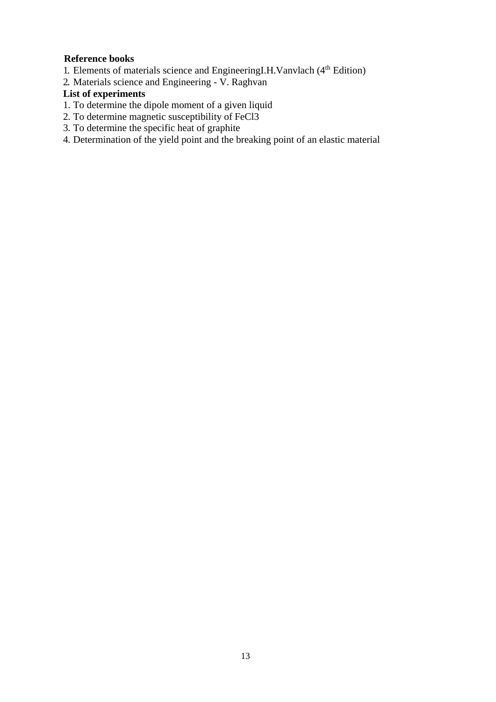# **Reference books**

- 1. Elements of materials science and EngineeringI.H.Vanvlach (4<sup>th</sup> Edition)
- 2. Materials science and Engineering V. Raghvan

# **List of experiments**

- 1. To determine the dipole moment of a given liquid
- 2. To determine magnetic susceptibility of FeCl3
- 3. To determine the specific heat of graphite
- 4. Determination of the yield point and the breaking point of an elastic material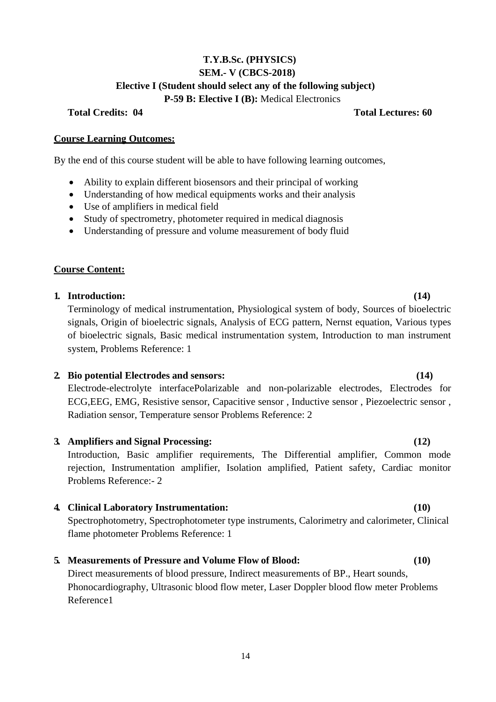# **T.Y.B.Sc. (PHYSICS) SEM.- V (CBCS-2018) Elective I (Student should select any of the following subject) P-59 B: Elective I (B):** Medical Electronics

**Total Credits: 04 Total Lectures: 60**

### **Course Learning Outcomes:**

By the end of this course student will be able to have following learning outcomes,

- Ability to explain different biosensors and their principal of working
- Understanding of how medical equipments works and their analysis
- Use of amplifiers in medical field
- Study of spectrometry, photometer required in medical diagnosis
- Understanding of pressure and volume measurement of body fluid

# **Course Content:**

# **1. Introduction: (14)**

Terminology of medical instrumentation, Physiological system of body, Sources of bioelectric signals, Origin of bioelectric signals, Analysis of ECG pattern, Nernst equation, Various types of bioelectric signals, Basic medical instrumentation system, Introduction to man instrument system, Problems Reference: 1

# **2. Bio potential Electrodes and sensors: (14)**

Electrode-electrolyte interfacePolarizable and non-polarizable electrodes, Electrodes for ECG,EEG, EMG, Resistive sensor, Capacitive sensor , Inductive sensor , Piezoelectric sensor , Radiation sensor, Temperature sensor Problems Reference: 2

# **3. Amplifiers and Signal Processing: (12)**

Introduction, Basic amplifier requirements, The Differential amplifier, Common mode rejection, Instrumentation amplifier, Isolation amplified, Patient safety, Cardiac monitor Problems Reference:- 2

# **4. Clinical Laboratory Instrumentation: (10)**

Spectrophotometry, Spectrophotometer type instruments, Calorimetry and calorimeter, Clinical flame photometer Problems Reference: 1

# **5. Measurements of Pressure and Volume Flow of Blood: (10)**

Direct measurements of blood pressure, Indirect measurements of BP., Heart sounds, Phonocardiography, Ultrasonic blood flow meter, Laser Doppler blood flow meter Problems Reference1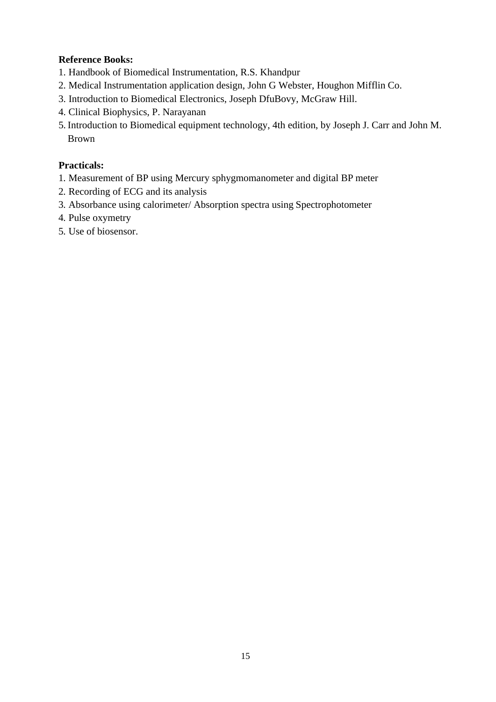# **Reference Books:**

- 1. Handbook of Biomedical Instrumentation, R.S. Khandpur
- 2. Medical Instrumentation application design, John G Webster, Houghon Mifflin Co.
- 3. Introduction to Biomedical Electronics, Joseph DfuBovy, McGraw Hill.
- 4. Clinical Biophysics, P. Narayanan
- 5. Introduction to Biomedical equipment technology, 4th edition, by Joseph J. Carr and John M. Brown

# **Practicals:**

- 1. Measurement of BP using Mercury sphygmomanometer and digital BP meter
- 2. Recording of ECG and its analysis
- 3. Absorbance using calorimeter/ Absorption spectra using Spectrophotometer
- 4. Pulse oxymetry
- 5. Use of biosensor.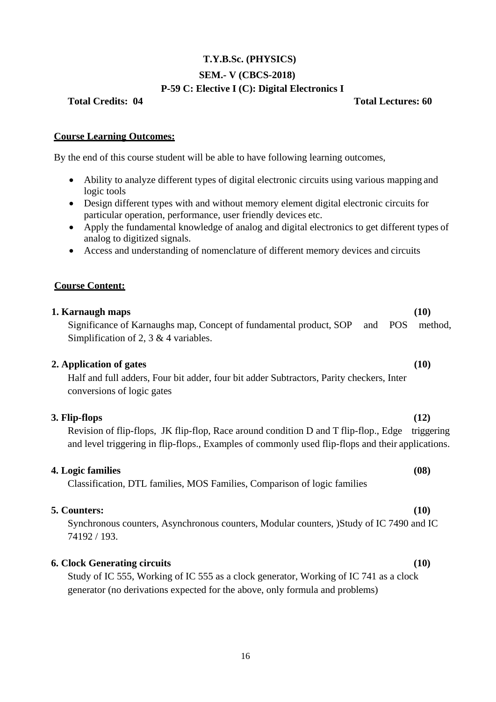# **T.Y.B.Sc. (PHYSICS) SEM.- V (CBCS-2018) P-59 C: Elective I (C): Digital Electronics I**

#### **Total Credits: 04 Total Lectures: 60**

## **Course Learning Outcomes:**

By the end of this course student will be able to have following learning outcomes,

- Ability to analyze different types of digital electronic circuits using various mapping and logic tools
- Design different types with and without memory element digital electronic circuits for particular operation, performance, user friendly devices etc.
- Apply the fundamental knowledge of analog and digital electronics to get different types of analog to digitized signals.
- Access and understanding of nomenclature of different memory devices and circuits

## **Course Content:**

# **1. Karnaugh maps** Significance of Karnaughs map, Concept of fundamental product, SOP and POS method, Simplification of 2, 3 & 4 variables. **(10) 2. Application of gates (10)** Half and full adders, Four bit adder, four bit adder Subtractors, Parity checkers, Inter conversions of logic gates **3. Flip-flops (12)** Revision of flip-flops, JK flip-flop, Race around condition D and T flip-flop., Edge triggering and level triggering in flip-flops., Examples of commonly used flip-flops and their applications. **4. Logic families (08)** Classification, DTL families, MOS Families, Comparison of logic families

### **5. Counters: (10)**

Synchronous counters, Asynchronous counters, Modular counters, )Study of IC 7490 and IC 74192 / 193.

### **6. Clock Generating circuits (10)**

Study of IC 555, Working of IC 555 as a clock generator, Working of IC 741 as a clock generator (no derivations expected for the above, only formula and problems)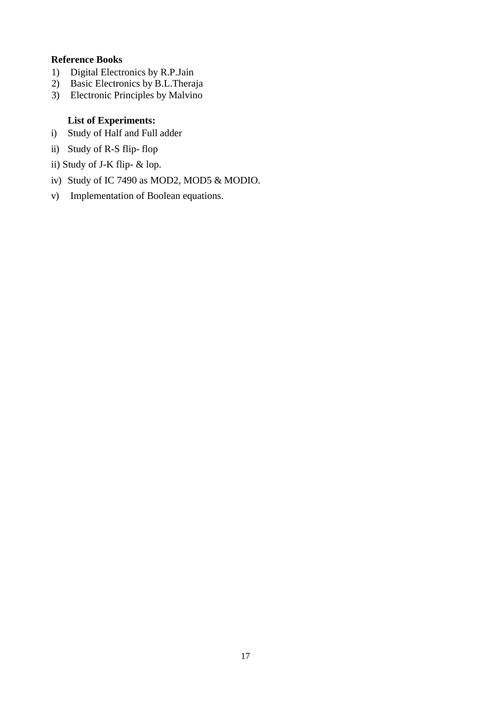## **Reference Books**

- 1) Digital Electronics by R.P.Jain
- 2) Basic Electronics by B.L.Theraja
- 3) Electronic Principles by Malvino

## **List of Experiments:**

- i) Study of Half and Full adder
- ii) Study of R-S flip- flop
- ii) Study of J-K flip- & lop.
- iv) Study of IC 7490 as MOD2, MOD5 & MODIO.
- v) Implementation of Boolean equations.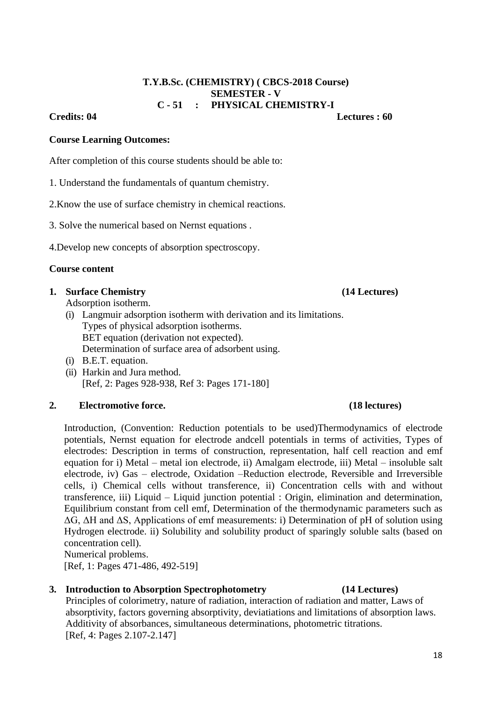# **T.Y.B.Sc. (CHEMISTRY) ( CBCS-2018 Course) SEMESTER - V C - 51 : PHYSICAL CHEMISTRY-I**

**Credits: 04 Lectures : 60**

### **Course Learning Outcomes:**

After completion of this course students should be able to:

- 1. Understand the fundamentals of quantum chemistry.
- 2.Know the use of surface chemistry in chemical reactions.
- 3. Solve the numerical based on Nernst equations .
- 4.Develop new concepts of absorption spectroscopy.

### **Course content**

## **1. Surface Chemistry (14 Lectures)**

- Adsorption isotherm.
- (i) Langmuir adsorption isotherm with derivation and its limitations. Types of physical adsorption isotherms. BET equation (derivation not expected). Determination of surface area of adsorbent using.
- (i) B.E.T. equation.
- (ii) Harkin and Jura method. [Ref, 2: Pages 928-938, Ref 3: Pages 171-180]

# **2. Electromotive force. (18 lectures)**

Introduction, (Convention: Reduction potentials to be used)Thermodynamics of electrode potentials, Nernst equation for electrode andcell potentials in terms of activities, Types of electrodes: Description in terms of construction, representation, half cell reaction and emf equation for i) Metal – metal ion electrode, ii) Amalgam electrode, iii) Metal – insoluble salt electrode, iv) Gas – electrode, Oxidation –Reduction electrode, Reversible and Irreversible cells, i) Chemical cells without transference, ii) Concentration cells with and without transference, iii) Liquid – Liquid junction potential : Origin, elimination and determination, Equilibrium constant from cell emf, Determination of the thermodynamic parameters such as ΔG, ΔH and ΔS, Applications of emf measurements: i) Determination of pH of solution using Hydrogen electrode. ii) Solubility and solubility product of sparingly soluble salts (based on concentration cell). Numerical problems.

[Ref, 1: Pages 471-486, 492-519]

# **3. Introduction to Absorption Spectrophotometry (14 Lectures)**

Principles of colorimetry, nature of radiation, interaction of radiation and matter, Laws of absorptivity, factors governing absorptivity, deviatiations and limitations of absorption laws. Additivity of absorbances, simultaneous determinations, photometric titrations. [Ref, 4: Pages 2.107-2.147]

# 18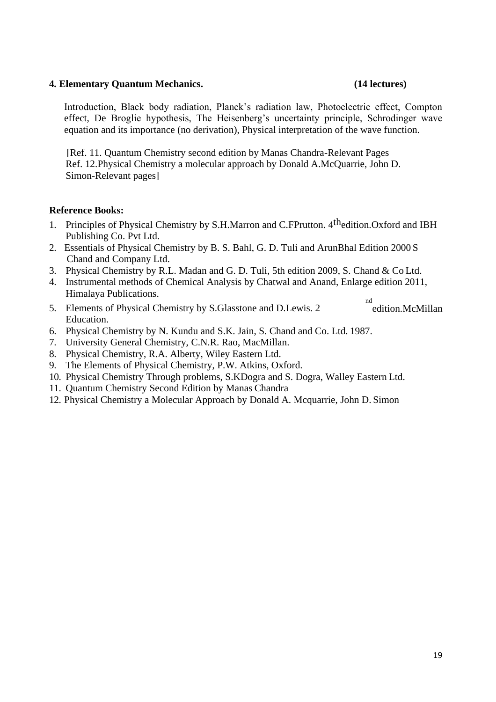### **4. Elementary Quantum Mechanics. (14 lectures)**

Introduction, Black body radiation, Planck"s radiation law, Photoelectric effect, Compton effect, De Broglie hypothesis, The Heisenberg"s uncertainty principle, Schrodinger wave equation and its importance (no derivation), Physical interpretation of the wave function.

[Ref. 11. Quantum Chemistry second edition by Manas Chandra-Relevant Pages Ref. 12.Physical Chemistry a molecular approach by Donald A.McQuarrie, John D. Simon-Relevant pages]

## **Reference Books:**

- 1. Principles of Physical Chemistry by S.H.Marron and C.FPrutton. 4<sup>th</sup>edition.Oxford and IBH Publishing Co. Pvt Ltd.
- 2. Essentials of Physical Chemistry by B. S. Bahl, G. D. Tuli and ArunBhal Edition 2000 S Chand and Company Ltd.
- 3. Physical Chemistry by R.L. Madan and G. D. Tuli, 5th edition 2009, S. Chand & Co Ltd.
- 4. Instrumental methods of Chemical Analysis by Chatwal and Anand, Enlarge edition 2011, Himalaya Publications. nd
- 5. Elements of Physical Chemistry by S.Glasstone and D.Lewis. 2 Education. edition.McMillan
- 6. Physical Chemistry by N. Kundu and S.K. Jain, S. Chand and Co. Ltd. 1987.
- 7. University General Chemistry, C.N.R. Rao, MacMillan.
- 8. Physical Chemistry, R.A. Alberty, Wiley Eastern Ltd.
- 9. The Elements of Physical Chemistry, P.W. Atkins, Oxford.
- 10. Physical Chemistry Through problems, S.KDogra and S. Dogra, Walley Eastern Ltd.
- 11. Quantum Chemistry Second Edition by Manas Chandra
- 12. Physical Chemistry a Molecular Approach by Donald A. Mcquarrie, John D. Simon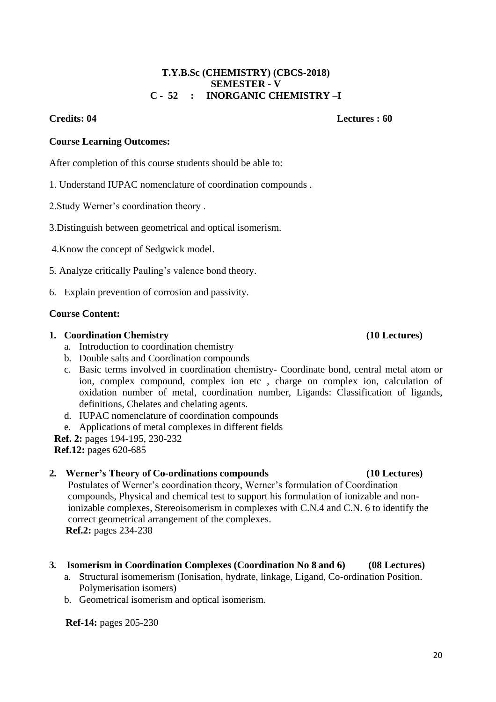# 20

#### **T.Y.B.Sc (CHEMISTRY) (CBCS-2018) SEMESTER - V C - 52 : INORGANIC CHEMISTRY –I**

#### **Credits: 04 Lectures : 60**

### **Course Learning Outcomes:**

After completion of this course students should be able to:

- 1. Understand IUPAC nomenclature of coordination compounds .
- 2.Study Werner"s coordination theory .
- 3.Distinguish between geometrical and optical isomerism.
- 4.Know the concept of Sedgwick model.
- 5. Analyze critically Pauling"s valence bond theory.
- 6. Explain prevention of corrosion and passivity.

## **Course Content:**

## **1. Coordination Chemistry (10 Lectures)**

- a. Introduction to coordination chemistry
- b. Double salts and Coordination compounds
- c. Basic terms involved in coordination chemistry- Coordinate bond, central metal atom or ion, complex compound, complex ion etc , charge on complex ion, calculation of oxidation number of metal, coordination number, Ligands: Classification of ligands, definitions, Chelates and chelating agents.
- d. IUPAC nomenclature of coordination compounds
- e. Applications of metal complexes in different fields
- **Ref. 2:** pages 194-195, 230-232

**Ref.12:** pages 620-685

# **2. Werner's Theory of Co-ordinations compounds (10 Lectures)**

Postulates of Werner"s coordination theory, Werner"s formulation of Coordination compounds, Physical and chemical test to support his formulation of ionizable and nonionizable complexes, Stereoisomerism in complexes with C.N.4 and C.N. 6 to identify the correct geometrical arrangement of the complexes. **Ref.2:** pages 234-238

# **3. Isomerism in Coordination Complexes (Coordination No 8 and 6) (08 Lectures)**

- a. Structural isomemerism (Ionisation, hydrate, linkage, Ligand, Co-ordination Position. Polymerisation isomers)
- b. Geometrical isomerism and optical isomerism.

**Ref-14:** pages 205-230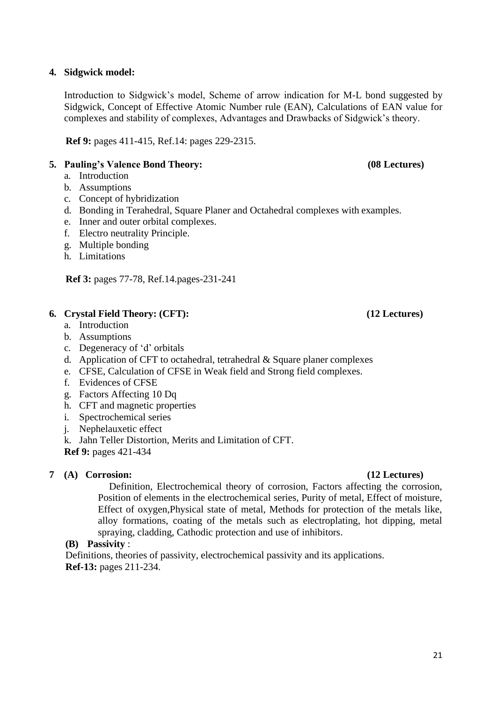### **4. Sidgwick model:**

Introduction to Sidgwick"s model, Scheme of arrow indication for M-L bond suggested by Sidgwick, Concept of Effective Atomic Number rule (EAN), Calculations of EAN value for complexes and stability of complexes, Advantages and Drawbacks of Sidgwick"s theory.

**Ref 9:** pages 411-415, Ref.14: pages 229-2315.

# **5. Pauling's Valence Bond Theory: (08 Lectures)**

- a. Introduction
- b. Assumptions
- c. Concept of hybridization
- d. Bonding in Terahedral, Square Planer and Octahedral complexes with examples.
- e. Inner and outer orbital complexes.
- f. Electro neutrality Principle.
- g. Multiple bonding
- h. Limitations

**Ref 3:** pages 77-78, Ref.14.pages-231-241

# **6. Crystal Field Theory: (CFT): (12 Lectures)**

- a. Introduction
- b. Assumptions
- c. Degeneracy of "d" orbitals
- d. Application of CFT to octahedral, tetrahedral  $&$  Square planer complexes
- e. CFSE, Calculation of CFSE in Weak field and Strong field complexes.
- f. Evidences of CFSE
- g. Factors Affecting 10 Dq
- h. CFT and magnetic properties
- i. Spectrochemical series
- j. Nephelauxetic effect
- k. Jahn Teller Distortion, Merits and Limitation of CFT.

**Ref 9:** pages 421-434

# **7 (A) Corrosion: (12 Lectures)**

Definition, Electrochemical theory of corrosion, Factors affecting the corrosion, Position of elements in the electrochemical series, Purity of metal, Effect of moisture, Effect of oxygen,Physical state of metal, Methods for protection of the metals like, alloy formations, coating of the metals such as electroplating, hot dipping, metal spraying, cladding, Cathodic protection and use of inhibitors.

# **(B) Passivity** :

Definitions, theories of passivity, electrochemical passivity and its applications. **Ref-13:** pages 211-234.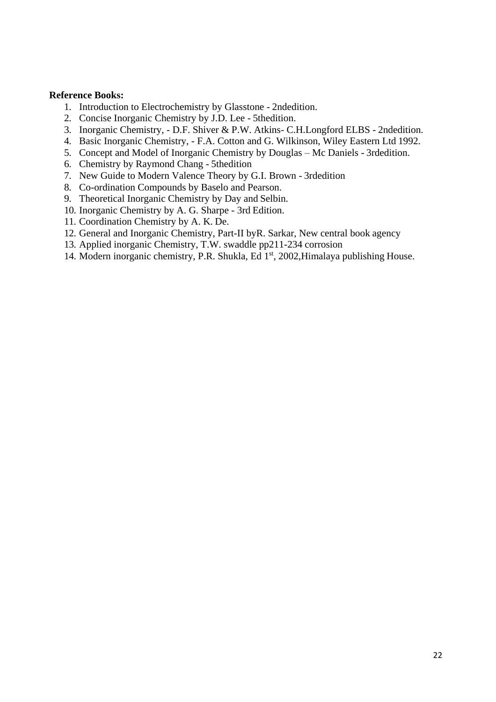#### **Reference Books:**

- 1. Introduction to Electrochemistry by Glasstone 2ndedition.
- 2. Concise Inorganic Chemistry by J.D. Lee 5thedition.
- 3. Inorganic Chemistry, D.F. Shiver & P.W. Atkins- C.H.Longford ELBS 2ndedition.
- 4. Basic Inorganic Chemistry, F.A. Cotton and G. Wilkinson, Wiley Eastern Ltd 1992.
- 5. Concept and Model of Inorganic Chemistry by Douglas Mc Daniels 3rdedition.
- 6. Chemistry by Raymond Chang 5thedition
- 7. New Guide to Modern Valence Theory by G.I. Brown 3rdedition
- 8. Co-ordination Compounds by Baselo and Pearson.
- 9. Theoretical Inorganic Chemistry by Day and Selbin.
- 10. Inorganic Chemistry by A. G. Sharpe 3rd Edition.
- 11. Coordination Chemistry by A. K. De.
- 12. General and Inorganic Chemistry, Part-II byR. Sarkar, New central book agency
- 13. Applied inorganic Chemistry, T.W. swaddle pp211-234 corrosion
- 14. Modern inorganic chemistry, P.R. Shukla, Ed 1st, 2002, Himalaya publishing House.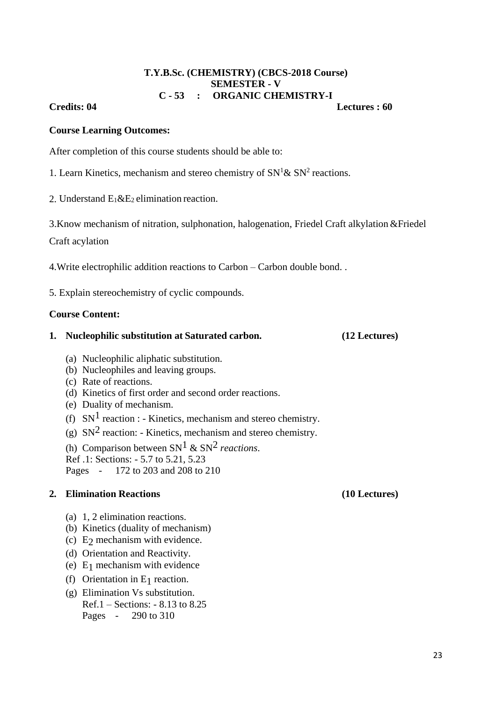### **T.Y.B.Sc. (CHEMISTRY) (CBCS-2018 Course) SEMESTER - V C - 53 : ORGANIC CHEMISTRY-I**

### **Credits: 04 Lectures : 60**

### **Course Learning Outcomes:**

After completion of this course students should be able to:

1. Learn Kinetics, mechanism and stereo chemistry of  $SN<sup>1</sup> \& SN<sup>2</sup>$  reactions.

2. Understand  $E_1 \& E_2$  elimination reaction.

3.Know mechanism of nitration, sulphonation, halogenation, Friedel Craft alkylation &Friedel

Craft acylation

4.Write electrophilic addition reactions to Carbon – Carbon double bond. .

5. Explain stereochemistry of cyclic compounds.

### **Course Content:**

### **1. Nucleophilic substitution at Saturated carbon. (12 Lectures)**

- (a) Nucleophilic aliphatic substitution.
- (b) Nucleophiles and leaving groups.
- (c) Rate of reactions.
- (d) Kinetics of first order and second order reactions.
- (e) Duality of mechanism.
- (f)  $SN<sup>1</sup>$  reaction : Kinetics, mechanism and stereo chemistry.
- (g)  $SN<sup>2</sup>$  reaction: Kinetics, mechanism and stereo chemistry.

(h) Comparison between  $SN<sup>1</sup>$  &  $SN<sup>2</sup>$  *reactions*.

Ref .1: Sections: - 5.7 to 5.21, 5.23

Pages - 172 to 203 and 208 to 210

## **2. Elimination Reactions (10 Lectures)**

- (a) 1, 2 elimination reactions.
- (b) Kinetics (duality of mechanism)
- (c)  $E_2$  mechanism with evidence.
- (d) Orientation and Reactivity.
- (e)  $E_1$  mechanism with evidence
- (f) Orientation in  $E_1$  reaction.
- (g) Elimination Vs substitution. Ref.1 – Sections: - 8.13 to 8.25 Pages - 290 to 310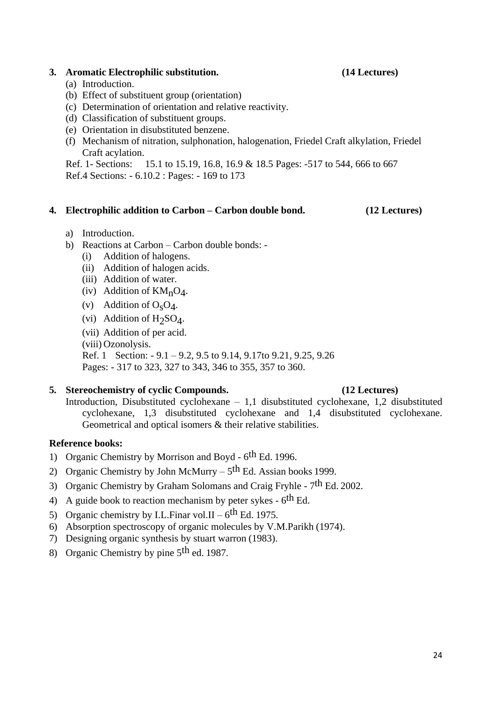### **3. Aromatic Electrophilic substitution. (14 Lectures)**

- (a) Introduction.
- (b) Effect of substituent group (orientation)
- (c) Determination of orientation and relative reactivity.
- (d) Classification of substituent groups.
- (e) Orientation in disubstituted benzene.
- (f) Mechanism of nitration, sulphonation, halogenation, Friedel Craft alkylation, Friedel Craft acylation.

Ref. 1- Sections: 15.1 to 15.19, 16.8, 16.9 & 18.5 Pages: -517 to 544, 666 to 667 Ref.4 Sections: - 6.10.2 : Pages: - 169 to 173

### **4. Electrophilic addition to Carbon – Carbon double bond. (12 Lectures)**

- a) Introduction.
- b) Reactions at Carbon Carbon double bonds:
	- (i) Addition of halogens.
	- (ii) Addition of halogen acids.
	- (iii) Addition of water.
	- (iv) Addition of  $KM_nO_4$ .
	- (v) Addition of  $O<sub>s</sub>O<sub>4</sub>$ .
	- (vi) Addition of  $H_2SO_4$ .
	- (vii) Addition of per acid.
	- (viii) Ozonolysis.
	- Ref. 1 Section: 9.1 9.2, 9.5 to 9.14, 9.17to 9.21, 9.25, 9.26
	- Pages: 317 to 323, 327 to 343, 346 to 355, 357 to 360.

### **5. Stereochemistry of cyclic Compounds. (12 Lectures)**

Introduction, Disubstituted cyclohexane – 1,1 disubstituted cyclohexane, 1,2 disubstituted cyclohexane, 1,3 disubstituted cyclohexane and 1,4 disubstituted cyclohexane. Geometrical and optical isomers & their relative stabilities.

### **Reference books:**

- 1) Organic Chemistry by Morrison and Boyd 6<sup>th</sup> Ed. 1996.
- 2) Organic Chemistry by John McMurry  $5<sup>th</sup>$  Ed. Assian books 1999.
- 3) Organic Chemistry by Graham Solomans and Craig Fryhle 7<sup>th</sup> Ed. 2002.
- 4) A guide book to reaction mechanism by peter sykes  $6<sup>th</sup>$  Ed.
- 5) Organic chemistry by I.L.Finar vol.II  $6^{\text{th}}$  Ed. 1975.
- 6) Absorption spectroscopy of organic molecules by V.M.Parikh (1974).
- 7) Designing organic synthesis by stuart warron (1983).
- 8) Organic Chemistry by pine 5th ed. 1987.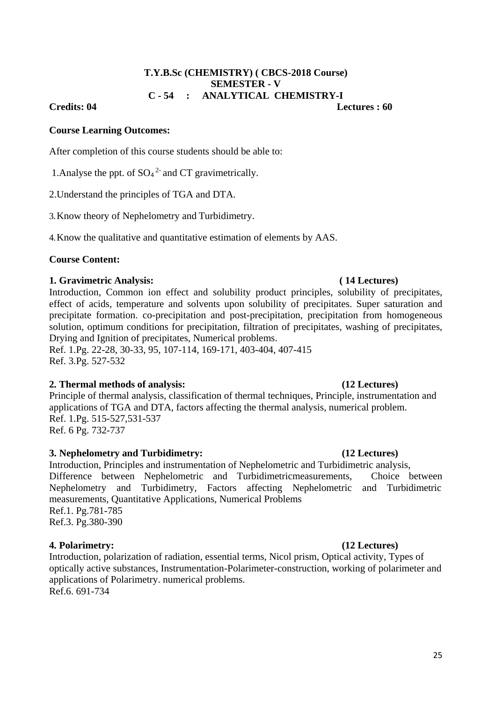### **T.Y.B.Sc (CHEMISTRY) ( CBCS-2018 Course) SEMESTER - V C - 54 : ANALYTICAL CHEMISTRY-I**

### **Credits: 04 Lectures : 60**

### **Course Learning Outcomes:**

After completion of this course students should be able to:

1. Analyse the ppt. of  $SO_4^2$  and CT gravimetrically.

2.Understand the principles of TGA and DTA.

3.Know theory of Nephelometry and Turbidimetry.

4.Know the qualitative and quantitative estimation of elements by AAS.

## **Course Content:**

## **1. Gravimetric Analysis: ( 14 Lectures)**

Introduction, Common ion effect and solubility product principles, solubility of precipitates, effect of acids, temperature and solvents upon solubility of precipitates. Super saturation and precipitate formation. co-precipitation and post-precipitation, precipitation from homogeneous solution, optimum conditions for precipitation, filtration of precipitates, washing of precipitates, Drying and Ignition of precipitates, Numerical problems.

Ref. 1.Pg. 22-28, 30-33, 95, 107-114, 169-171, 403-404, 407-415 Ref. 3.Pg. 527-532

# **2. Thermal methods of analysis: (12 Lectures)**

Principle of thermal analysis, classification of thermal techniques, Principle, instrumentation and applications of TGA and DTA, factors affecting the thermal analysis, numerical problem. Ref. 1.Pg. 515-527,531-537 Ref. 6 Pg. 732-737

# **3. Nephelometry and Turbidimetry: (12 Lectures)**

Introduction, Principles and instrumentation of Nephelometric and Turbidimetric analysis, Difference between Nephelometric and Turbidimetricmeasurements, Choice between Nephelometry and Turbidimetry, Factors affecting Nephelometric and Turbidimetric measurements, Quantitative Applications, Numerical Problems Ref.1. Pg.781-785 Ref.3. Pg.380-390

### **4. Polarimetry: (12 Lectures)**

Introduction, polarization of radiation, essential terms, Nicol prism, Optical activity, Types of optically active substances, Instrumentation-Polarimeter-construction, working of polarimeter and applications of Polarimetry. numerical problems.

Ref.6. 691-734

#### 25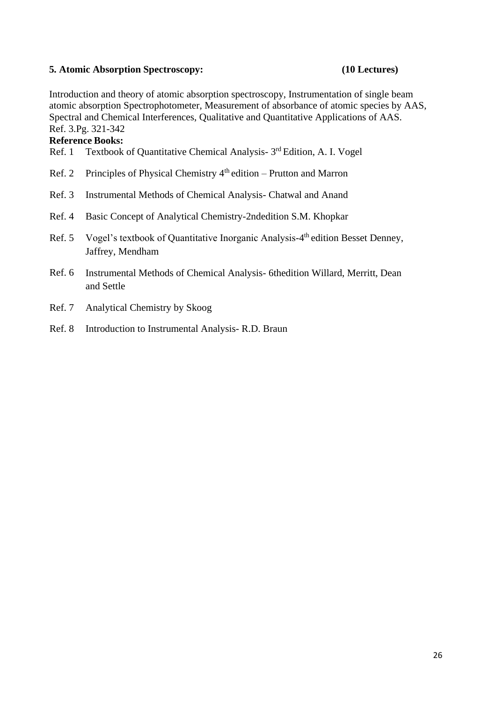### **5. Atomic Absorption Spectroscopy: (10 Lectures)**

Introduction and theory of atomic absorption spectroscopy, Instrumentation of single beam atomic absorption Spectrophotometer, Measurement of absorbance of atomic species by AAS, Spectral and Chemical Interferences, Qualitative and Quantitative Applications of AAS. Ref. 3.Pg. 321-342

### **Reference Books:**

- Ref. 1 Textbook of Quantitative Chemical Analysis- 3<sup>rd</sup> Edition, A. I. Vogel
- Ref. 2 Principles of Physical Chemistry 4<sup>th</sup> edition Prutton and Marron
- Ref. 3 Instrumental Methods of Chemical Analysis- Chatwal and Anand
- Ref. 4 Basic Concept of Analytical Chemistry-2ndedition S.M. Khopkar
- Ref. 5 Vogel's textbook of Quantitative Inorganic Analysis-4<sup>th</sup> edition Besset Denney, Jaffrey, Mendham
- Ref. 6 Instrumental Methods of Chemical Analysis- 6thedition Willard, Merritt, Dean and Settle
- Ref. 7 Analytical Chemistry by Skoog
- Ref. 8 Introduction to Instrumental Analysis- R.D. Braun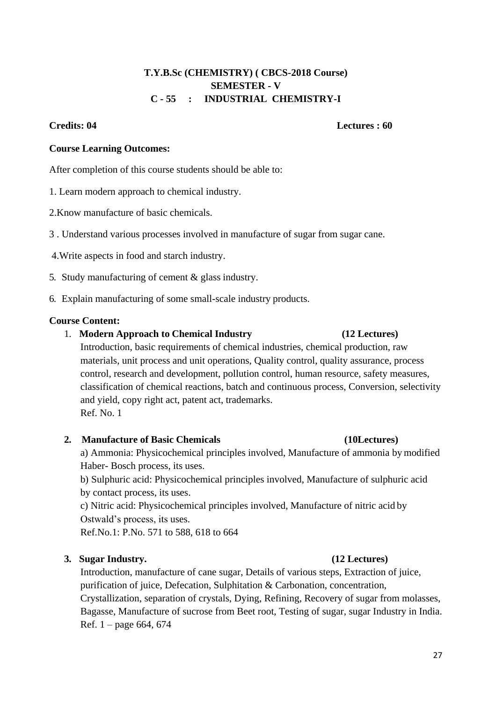# **T.Y.B.Sc (CHEMISTRY) ( CBCS-2018 Course) SEMESTER - V C - 55 : INDUSTRIAL CHEMISTRY-I**

## **Credits: 04 Lectures : 60**

### **Course Learning Outcomes:**

After completion of this course students should be able to:

1. Learn modern approach to chemical industry.

2.Know manufacture of basic chemicals.

3 . Understand various processes involved in manufacture of sugar from sugar cane.

4.Write aspects in food and starch industry.

5. Study manufacturing of cement & glass industry.

6. Explain manufacturing of some small-scale industry products.

## **Course Content:**

1. **Modern Approach to Chemical Industry (12 Lectures)** 

Introduction, basic requirements of chemical industries, chemical production, raw materials, unit process and unit operations, Quality control, quality assurance, process control, research and development, pollution control, human resource, safety measures, classification of chemical reactions, batch and continuous process, Conversion, selectivity and yield, copy right act, patent act, trademarks. Ref. No. 1

### **2. Manufacture of Basic Chemicals (10Lectures)**

a) Ammonia: Physicochemical principles involved, Manufacture of ammonia by modified Haber- Bosch process, its uses.

b) Sulphuric acid: Physicochemical principles involved, Manufacture of sulphuric acid by contact process, its uses.

c) Nitric acid: Physicochemical principles involved, Manufacture of nitric acid by Ostwald"s process, its uses.

Ref.No.1: P.No. 571 to 588, 618 to 664

# **3. Sugar Industry. (12 Lectures)**

Introduction, manufacture of cane sugar, Details of various steps, Extraction of juice, purification of juice, Defecation, Sulphitation & Carbonation, concentration, Crystallization, separation of crystals, Dying, Refining, Recovery of sugar from molasses, Bagasse, Manufacture of sucrose from Beet root, Testing of sugar, sugar Industry in India. Ref. 1 – page 664, 674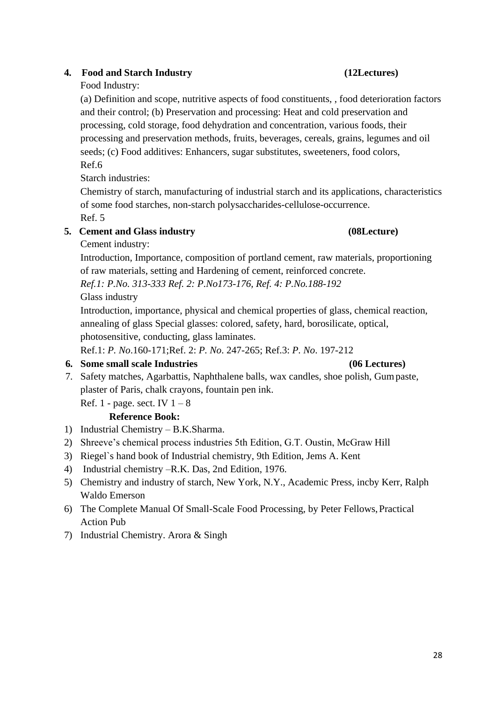# **4. Food and Starch Industry (12Lectures)**

# Food Industry:

(a) Definition and scope, nutritive aspects of food constituents, , food deterioration factors and their control; (b) Preservation and processing: Heat and cold preservation and processing, cold storage, food dehydration and concentration, various foods, their processing and preservation methods, fruits, beverages, cereals, grains, legumes and oil seeds; (c) Food additives: Enhancers, sugar substitutes, sweeteners, food colors, Ref.6

Starch industries:

Chemistry of starch, manufacturing of industrial starch and its applications, characteristics of some food starches, non-starch polysaccharides-cellulose-occurrence. Ref. 5

# **5. Cement and Glass industry (08Lecture)**

Cement industry:

Introduction, Importance, composition of portland cement, raw materials, proportioning of raw materials, setting and Hardening of cement, reinforced concrete.

*Ref.1: P.No. 313-333 Ref. 2: P.No173-176, Ref. 4: P.No.188-192*

Glass industry

Introduction, importance, physical and chemical properties of glass, chemical reaction, annealing of glass Special glasses: colored, safety, hard, borosilicate, optical, photosensitive, conducting, glass laminates.

Ref.1: *P. No*.160-171;Ref. 2: *P. No*. 247-265; Ref.3: *P. No*. 197-212

# **6. Some small scale Industries (06 Lectures)**

7. Safety matches, Agarbattis, Naphthalene balls, wax candles, shoe polish, Gumpaste, plaster of Paris, chalk crayons, fountain pen ink.

Ref. 1 - page. sect. IV  $1 - 8$ 

# **Reference Book:**

- 1) Industrial Chemistry B.K.Sharma.
- 2) Shreeve"s chemical process industries 5th Edition, G.T. Oustin, McGraw Hill
- 3) Riegel`s hand book of Industrial chemistry, 9th Edition, Jems A. Kent
- 4) Industrial chemistry –R.K. Das, 2nd Edition, 1976.
- 5) Chemistry and industry of starch, New York, N.Y., Academic Press, incby Kerr, Ralph Waldo Emerson
- 6) The Complete Manual Of Small-Scale Food Processing, by Peter Fellows,Practical Action Pub
- 7) Industrial Chemistry. Arora & Singh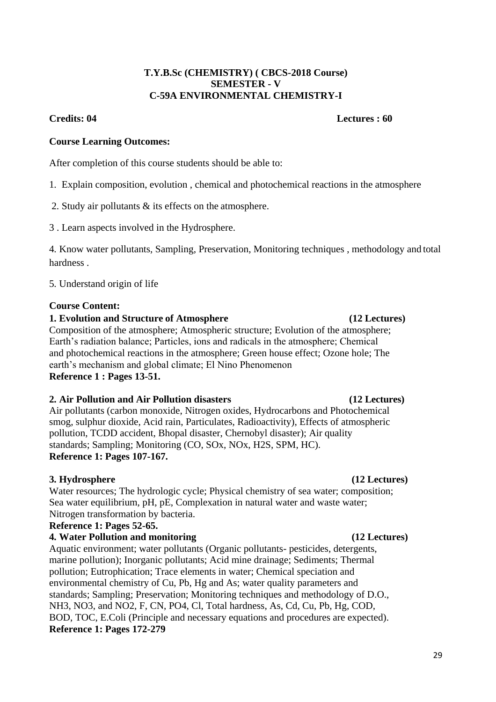### **T.Y.B.Sc (CHEMISTRY) ( CBCS-2018 Course) SEMESTER - V C-59A ENVIRONMENTAL CHEMISTRY-I**

### **Credits: 04 Lectures : 60**

# **Course Learning Outcomes:**

After completion of this course students should be able to:

- 1. Explain composition, evolution , chemical and photochemical reactions in the atmosphere
- 2. Study air pollutants & its effects on the atmosphere.
- 3 . Learn aspects involved in the Hydrosphere.

4. Know water pollutants, Sampling, Preservation, Monitoring techniques , methodology and total hardness .

5. Understand origin of life

## **Course Content:**

## **1. Evolution and Structure of Atmosphere (12 Lectures)**

Composition of the atmosphere; Atmospheric structure; Evolution of the atmosphere; Earth"s radiation balance; Particles, ions and radicals in the atmosphere; Chemical and photochemical reactions in the atmosphere; Green house effect; Ozone hole; The earth's mechanism and global climate; El Nino Phenomenon **Reference 1 : Pages 13-51.**

# **2. Air Pollution and Air Pollution disasters (12 Lectures)**

Air pollutants (carbon monoxide, Nitrogen oxides, Hydrocarbons and Photochemical smog, sulphur dioxide, Acid rain, Particulates, Radioactivity), Effects of atmospheric pollution, TCDD accident, Bhopal disaster, Chernobyl disaster); Air quality standards; Sampling; Monitoring (CO, SOx, NOx, H2S, SPM, HC). **Reference 1: Pages 107-167.**

# **3. Hydrosphere (12 Lectures)**

Water resources; The hydrologic cycle; Physical chemistry of sea water; composition; Sea water equilibrium, pH, pE, Complexation in natural water and waste water; Nitrogen transformation by bacteria.

# **Reference 1: Pages 52-65.**

# **4. Water Pollution and monitoring (12 Lectures)**

Aquatic environment; water pollutants (Organic pollutants- pesticides, detergents, marine pollution); Inorganic pollutants; Acid mine drainage; Sediments; Thermal pollution; Eutrophication; Trace elements in water; Chemical speciation and environmental chemistry of Cu, Pb, Hg and As; water quality parameters and standards; Sampling; Preservation; Monitoring techniques and methodology of D.O., NH3, NO3, and NO2, F, CN, PO4, Cl, Total hardness, As, Cd, Cu, Pb, Hg, COD, BOD, TOC, E.Coli (Principle and necessary equations and procedures are expected). **Reference 1: Pages 172-279**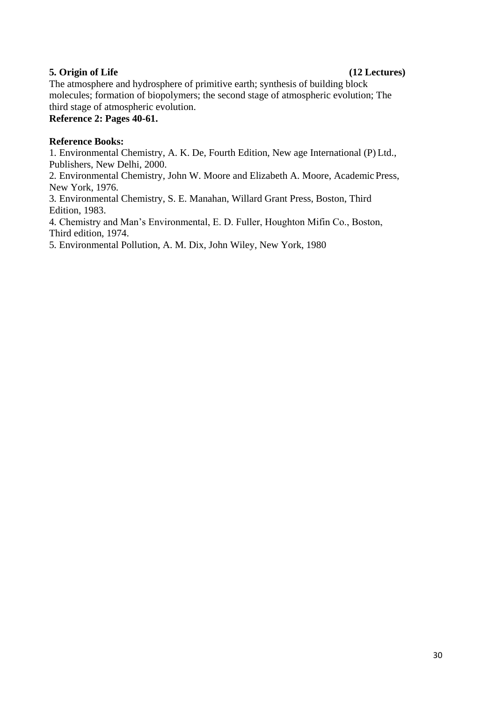# **5. Origin of Life (12 Lectures)**

The atmosphere and hydrosphere of primitive earth; synthesis of building block molecules; formation of biopolymers; the second stage of atmospheric evolution; The third stage of atmospheric evolution.

**Reference 2: Pages 40-61.**

# **Reference Books:**

1. Environmental Chemistry, A. K. De, Fourth Edition, New age International (P) Ltd., Publishers, New Delhi, 2000.

2. Environmental Chemistry, John W. Moore and Elizabeth A. Moore, Academic Press, New York, 1976.

3. Environmental Chemistry, S. E. Manahan, Willard Grant Press, Boston, Third Edition, 1983.

4. Chemistry and Man"s Environmental, E. D. Fuller, Houghton Mifin Co., Boston, Third edition, 1974.

5. Environmental Pollution, A. M. Dix, John Wiley, New York, 1980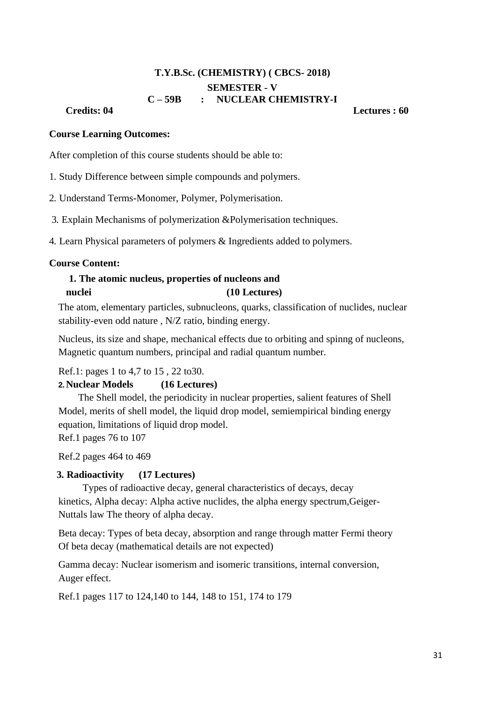# **T.Y.B.Sc. (CHEMISTRY) ( CBCS- 2018) SEMESTER - V C – 59B : NUCLEAR CHEMISTRY-I**

**Credits: 04 Lectures : 60**

### **Course Learning Outcomes:**

After completion of this course students should be able to:

1. Study Difference between simple compounds and polymers.

2. Understand Terms-Monomer, Polymer, Polymerisation.

3. Explain Mechanisms of polymerization &Polymerisation techniques.

4. Learn Physical parameters of polymers & Ingredients added to polymers.

#### **Course Content:**

# **1. The atomic nucleus, properties of nucleons and nuclei (10 Lectures)**

The atom, elementary particles, subnucleons, quarks, classification of nuclides, nuclear stability-even odd nature , N/Z ratio, binding energy.

Nucleus, its size and shape, mechanical effects due to orbiting and spinng of nucleons, Magnetic quantum numbers, principal and radial quantum number.

Ref.1: pages 1 to 4,7 to 15 , 22 to30.

# **2.Nuclear Models (16 Lectures)**

The Shell model, the periodicity in nuclear properties, salient features of Shell Model, merits of shell model, the liquid drop model, semiempirical binding energy equation, limitations of liquid drop model.

Ref.1 pages 76 to 107

Ref.2 pages 464 to 469

### **3. Radioactivity (17 Lectures)**

Types of radioactive decay, general characteristics of decays, decay kinetics, Alpha decay: Alpha active nuclides, the alpha energy spectrum,Geiger-Nuttals law The theory of alpha decay.

Beta decay: Types of beta decay, absorption and range through matter Fermi theory Of beta decay (mathematical details are not expected)

Gamma decay: Nuclear isomerism and isomeric transitions, internal conversion, Auger effect.

Ref.1 pages 117 to 124,140 to 144, 148 to 151, 174 to 179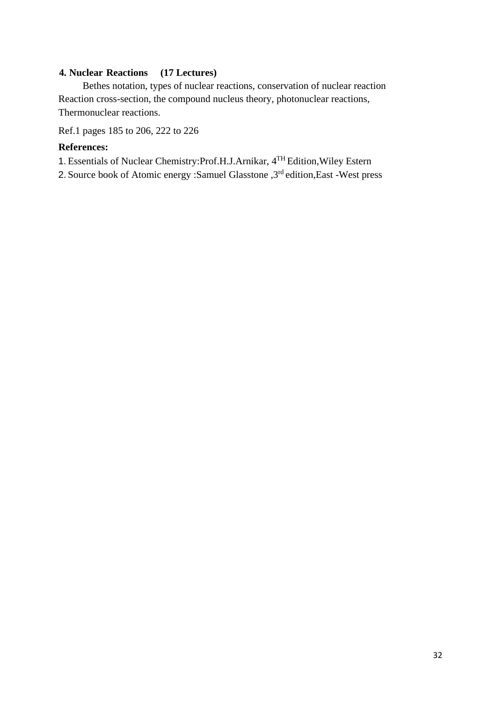# **4. Nuclear Reactions (17 Lectures)**

Bethes notation, types of nuclear reactions, conservation of nuclear reaction Reaction cross-section, the compound nucleus theory, photonuclear reactions, Thermonuclear reactions.

Ref.1 pages 185 to 206, 222 to 226

# **References:**

1. Essentials of Nuclear Chemistry:Prof.H.J.Arnikar, 4TH Edition,Wiley Estern

2. Source book of Atomic energy :Samuel Glasstone , 3<sup>rd</sup> edition, East -West press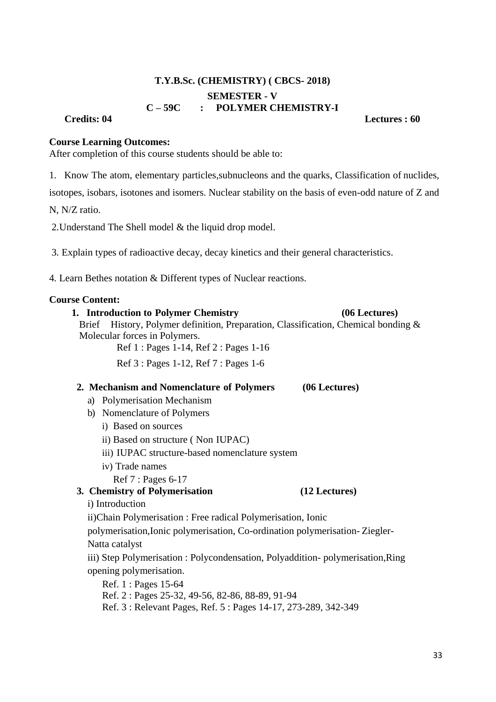# **T.Y.B.Sc. (CHEMISTRY) ( CBCS- 2018) SEMESTER - V C – 59C : POLYMER CHEMISTRY-I**

#### **Credits: 04 Lectures : 60**

#### **Course Learning Outcomes:**

After completion of this course students should be able to:

1. Know The atom, elementary particles,subnucleons and the quarks, Classification of nuclides,

isotopes, isobars, isotones and isomers. Nuclear stability on the basis of even-odd nature of Z and

N, N/Z ratio.

2.Understand The Shell model & the liquid drop model.

3. Explain types of radioactive decay, decay kinetics and their general characteristics.

4. Learn Bethes notation & Different types of Nuclear reactions.

#### **Course Content:**

## **1. Introduction to Polymer Chemistry (06 Lectures)**

Brief History, Polymer definition, Preparation, Classification, Chemical bonding & Molecular forces in Polymers.

Ref 1 : Pages 1-14, Ref 2 : Pages 1-16

Ref 3 : Pages 1-12, Ref 7 : Pages 1-6

### **2. Mechanism and Nomenclature of Polymers (06 Lectures)**

- a) Polymerisation Mechanism
- b) Nomenclature of Polymers
	- i) Based on sources
	- ii) Based on structure ( Non IUPAC)
	- iii) IUPAC structure-based nomenclature system
	- iv) Trade names

Ref 7 : Pages 6-17

**3. Chemistry of Polymerisation (12 Lectures)**

i) Introduction

ii)Chain Polymerisation : Free radical Polymerisation, Ionic

polymerisation,Ionic polymerisation, Co-ordination polymerisation- Ziegler-

Natta catalyst

iii) Step Polymerisation : Polycondensation, Polyaddition- polymerisation,Ring opening polymerisation.

Ref. 1 : Pages 15-64

Ref. 2 : Pages 25-32, 49-56, 82-86, 88-89, 91-94

Ref. 3 : Relevant Pages, Ref. 5 : Pages 14-17, 273-289, 342-349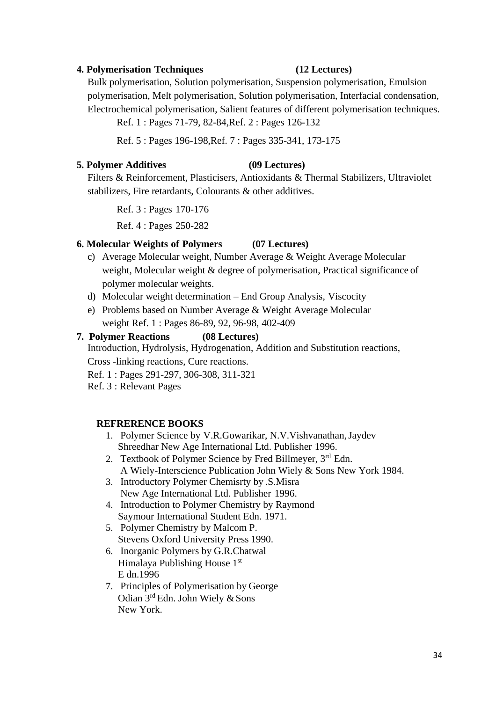### **4. Polymerisation Techniques (12 Lectures)**

Bulk polymerisation, Solution polymerisation, Suspension polymerisation, Emulsion polymerisation, Melt polymerisation, Solution polymerisation, Interfacial condensation, Electrochemical polymerisation, Salient features of different polymerisation techniques.

Ref. 1 : Pages 71-79, 82-84,Ref. 2 : Pages 126-132

Ref. 5 : Pages 196-198,Ref. 7 : Pages 335-341, 173-175

# **5. Polymer Additives (09 Lectures)**

Filters & Reinforcement, Plasticisers, Antioxidants & Thermal Stabilizers, Ultraviolet stabilizers, Fire retardants, Colourants & other additives.

Ref. 3 : Pages 170-176

Ref. 4 : Pages 250-282

## **6. Molecular Weights of Polymers (07 Lectures)**

- c) Average Molecular weight, Number Average & Weight Average Molecular weight, Molecular weight & degree of polymerisation, Practical significance of polymer molecular weights.
- d) Molecular weight determination End Group Analysis, Viscocity
- e) Problems based on Number Average & Weight Average Molecular weight Ref. 1 : Pages 86-89, 92, 96-98, 402-409

## **7. Polymer Reactions (08 Lectures)**

Introduction, Hydrolysis, Hydrogenation, Addition and Substitution reactions, Cross -linking reactions, Cure reactions.

Ref. 1 : Pages 291-297, 306-308, 311-321

Ref. 3 : Relevant Pages

### **REFRERENCE BOOKS**

- 1. Polymer Science by V.R.Gowarikar, N.V.Vishvanathan,Jaydev Shreedhar New Age International Ltd. Publisher 1996.
- 2. Textbook of Polymer Science by Fred Billmeyer, 3rd Edn. A Wiely-Interscience Publication John Wiely & Sons New York 1984.
- 3. Introductory Polymer Chemisrty by .S.Misra New Age International Ltd. Publisher 1996.
- 4. Introduction to Polymer Chemistry by Raymond Saymour International Student Edn. 1971.
- 5. Polymer Chemistry by Malcom P. Stevens Oxford University Press 1990.
- 6. Inorganic Polymers by G.R.Chatwal Himalaya Publishing House 1st E dn.1996
- 7. Principles of Polymerisation by George Odian 3<sup>rd</sup> Edn. John Wiely & Sons New York.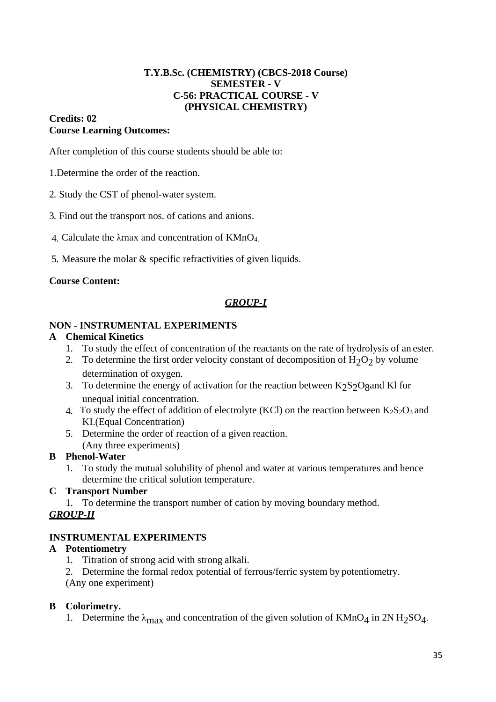# **T.Y.B.Sc. (CHEMISTRY) (CBCS-2018 Course) SEMESTER - V C-56: PRACTICAL COURSE - V (PHYSICAL CHEMISTRY)**

# **Credits: 02 Course Learning Outcomes:**

After completion of this course students should be able to:

- 1.Determine the order of the reaction.
- 2. Study the CST of phenol-water system.
- 3. Find out the transport nos. of cations and anions.
- 4. Calculate the λmax and concentration of KMnO4.
- 5. Measure the molar & specific refractivities of given liquids.

# **Course Content:**

# *GROUP-I*

## **NON - INSTRUMENTAL EXPERIMENTS**

## **A Chemical Kinetics**

- 1. To study the effect of concentration of the reactants on the rate of hydrolysis of an ester.
- 2. To determine the first order velocity constant of decomposition of  $H_2O_2$  by volume determination of oxygen.
- 3. To determine the energy of activation for the reaction between  $K_2S_2O_8$  and Kl for unequal initial concentration.
- 4. To study the effect of addition of electrolyte (KCl) on the reaction between  $K_2S_2O_3$  and KI.(Equal Concentration)
- 5. Determine the order of reaction of a given reaction. (Any three experiments)

# **B Phenol-Water**

1. To study the mutual solubility of phenol and water at various temperatures and hence determine the critical solution temperature.

# **C Transport Number**

1. To determine the transport number of cation by moving boundary method.

# *GROUP-II*

# **INSTRUMENTAL EXPERIMENTS**

# **A Potentiometry**

- 1. Titration of strong acid with strong alkali.
- 2. Determine the formal redox potential of ferrous/ferric system by potentiometry.

(Any one experiment)

# **B Colorimetry.**

1. Determine the  $\lambda_{\text{max}}$  and concentration of the given solution of KMnO<sub>4</sub> in 2N H<sub>2</sub>SO<sub>4</sub>.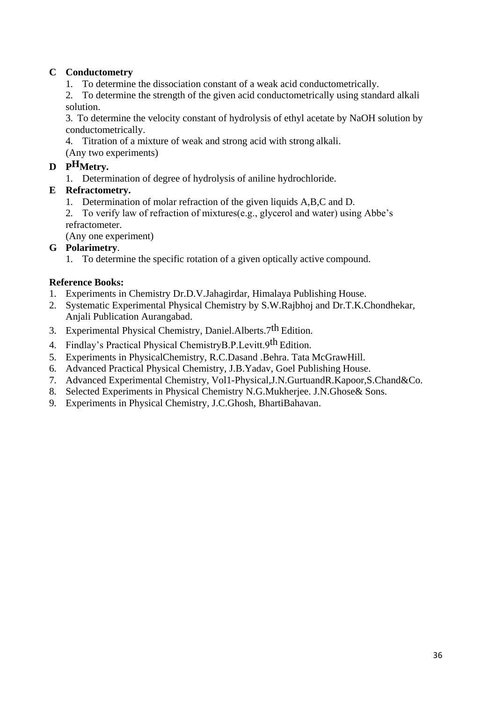# **C Conductometry**

1. To determine the dissociation constant of a weak acid conductometrically.

2. To determine the strength of the given acid conductometrically using standard alkali solution.

3. To determine the velocity constant of hydrolysis of ethyl acetate by NaOH solution by conductometrically.

4. Titration of a mixture of weak and strong acid with strong alkali. (Any two experiments)

# **D PHMetry.**

1. Determination of degree of hydrolysis of aniline hydrochloride.

# **E Refractometry.**

- 1. Determination of molar refraction of the given liquids A,B,C and D.
- 2. To verify law of refraction of mixtures(e.g., glycerol and water) using Abbe"s refractometer.

(Any one experiment)

# **G Polarimetry**.

1. To determine the specific rotation of a given optically active compound.

# **Reference Books:**

- 1. Experiments in Chemistry Dr.D.V.Jahagirdar, Himalaya Publishing House.
- 2. Systematic Experimental Physical Chemistry by S.W.Rajbhoj and Dr.T.K.Chondhekar, Anjali Publication Aurangabad.
- 3. Experimental Physical Chemistry, Daniel. Alberts. 7<sup>th</sup> Edition.
- 4. Findlay"s Practical Physical ChemistryB.P.Levitt.9th Edition.
- 5. Experiments in PhysicalChemistry, R.C.Dasand .Behra. Tata McGrawHill.
- 6. Advanced Practical Physical Chemistry, J.B.Yadav, Goel Publishing House.
- 7. Advanced Experimental Chemistry, Vol1-Physical,J.N.GurtuandR.Kapoor,S.Chand&Co.
- 8. Selected Experiments in Physical Chemistry N.G.Mukherjee. J.N.Ghose& Sons.
- 9. Experiments in Physical Chemistry, J.C.Ghosh, BhartiBahavan.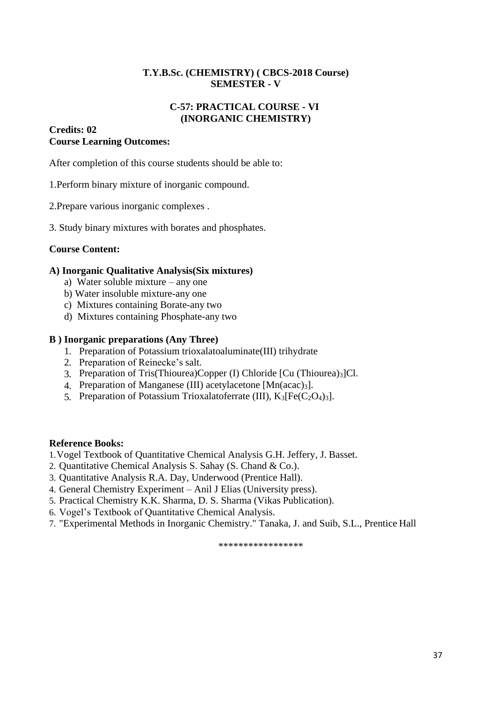## **T.Y.B.Sc. (CHEMISTRY) ( CBCS-2018 Course) SEMESTER - V**

## **C-57: PRACTICAL COURSE - VI (INORGANIC CHEMISTRY)**

## **Credits: 02 Course Learning Outcomes:**

After completion of this course students should be able to:

1.Perform binary mixture of inorganic compound.

2.Prepare various inorganic complexes .

3. Study binary mixtures with borates and phosphates.

## **Course Content:**

## **A) Inorganic Qualitative Analysis(Six mixtures)**

- a) Water soluble mixture any one
- b) Water insoluble mixture-any one
- c) Mixtures containing Borate-any two
- d) Mixtures containing Phosphate-any two

## **B ) Inorganic preparations (Any Three)**

- 1. Preparation of Potassium trioxalatoaluminate(III) trihydrate
- 2. Preparation of Reinecke"s salt.
- 3. Preparation of Tris(Thiourea)Copper (I) Chloride [Cu (Thiourea)3]Cl.
- 4. Preparation of Manganese (III) acetylacetone [Mn(acac)<sub>3</sub>].
- 5. Preparation of Potassium Trioxalatoferrate (III),  $K_3[Fe(C_2O_4)_3]$ .

## **Reference Books:**

- 1.Vogel Textbook of Quantitative Chemical Analysis G.H. Jeffery, J. Basset.
- 2. Quantitative Chemical Analysis S. Sahay (S. Chand & Co.).
- 3. Quantitative Analysis R.A. Day, Underwood (Prentice Hall).
- 4. General Chemistry Experiment Anil J Elias (University press).
- 5. Practical Chemistry K.K. Sharma, D. S. Sharma (Vikas Publication).
- 6. Vogel"s Textbook of Quantitative Chemical Analysis.
- 7. "Experimental Methods in Inorganic Chemistry." Tanaka, J. and Suib, S.L., Prentice Hall

\*\*\*\*\*\*\*\*\*\*\*\*\*\*\*\*\*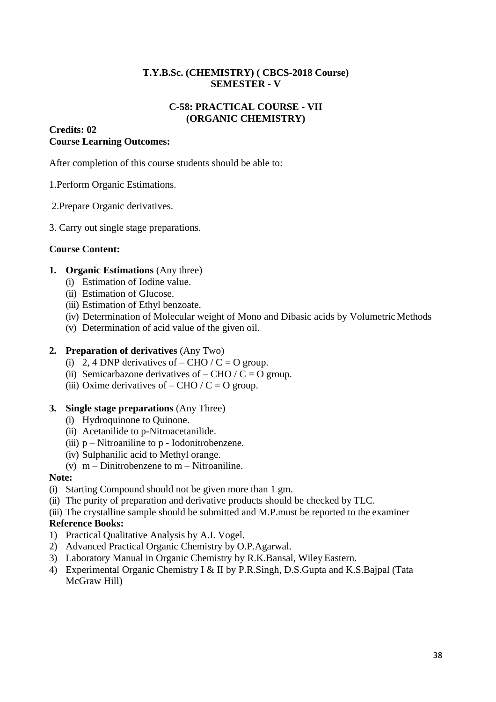## **T.Y.B.Sc. (CHEMISTRY) ( CBCS-2018 Course) SEMESTER - V**

## **C-58: PRACTICAL COURSE - VII (ORGANIC CHEMISTRY)**

## **Credits: 02 Course Learning Outcomes:**

After completion of this course students should be able to:

## 1.Perform Organic Estimations.

- 2.Prepare Organic derivatives.
- 3. Carry out single stage preparations.

## **Course Content:**

## **1. Organic Estimations** (Any three)

- (i) Estimation of Iodine value.
- (ii) Estimation of Glucose.
- (iii) Estimation of Ethyl benzoate.
- (iv) Determination of Molecular weight of Mono and Dibasic acids by Volumetric Methods
- (v) Determination of acid value of the given oil.

## **2. Preparation of derivatives** (Any Two)

- (i) 2, 4 DNP derivatives of  $-$  CHO / C = O group.
- (ii) Semicarbazone derivatives of  $-$  CHO / C = O group.
- (iii) Oxime derivatives of  $-$  CHO / C = O group.

## **3. Single stage preparations** (Any Three)

- (i) Hydroquinone to Quinone.
- (ii) Acetanilide to p-Nitroacetanilide.
- (iii)  $p$  Nitroaniline to  $p$  Iodonitrobenzene.
- (iv) Sulphanilic acid to Methyl orange.
- (v)  $m -$ Dinitrobenzene to  $m -$ Nitroaniline.

## **Note:**

- (i) Starting Compound should not be given more than 1 gm.
- (ii) The purity of preparation and derivative products should be checked by TLC.
- (iii) The crystalline sample should be submitted and M.P.must be reported to the examiner

## **Reference Books:**

- 1) Practical Qualitative Analysis by A.I. Vogel.
- 2) Advanced Practical Organic Chemistry by O.P.Agarwal.
- 3) Laboratory Manual in Organic Chemistry by R.K.Bansal, Wiley Eastern.
- 4) Experimental Organic Chemistry I & II by P.R.Singh, D.S.Gupta and K.S.Bajpal (Tata McGraw Hill)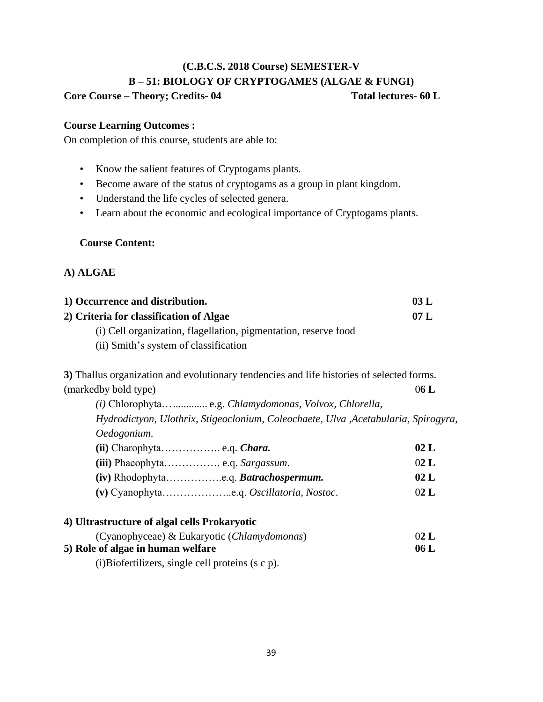# **(C.B.C.S. 2018 Course) SEMESTER-V B – 51: BIOLOGY OF CRYPTOGAMES (ALGAE & FUNGI)**

## **Core Course – Theory; Credits- 04 Total lectures- 60 L**

## **Course Learning Outcomes :**

On completion of this course, students are able to:

- Know the salient features of Cryptogams plants.
- Become aware of the status of cryptogams as a group in plant kingdom.
- Understand the life cycles of selected genera.
- Learn about the economic and ecological importance of Cryptogams plants.

## **Course Content:**

## **A) ALGAE**

| 1) Occurrence and distribution.                                                                                                 |     |  |  |  |
|---------------------------------------------------------------------------------------------------------------------------------|-----|--|--|--|
| 2) Criteria for classification of Algae                                                                                         | 07L |  |  |  |
| (i) Cell organization, flagellation, pigmentation, reserve food<br>$\alpha$ and $\alpha$ and $\alpha$ and $\alpha$ and $\alpha$ |     |  |  |  |

(ii) Smith"s system of classification

**3)** Thallus organization and evolutionary tendencies and life histories of selected forms. (markedby bold type) 0**6 L**

*(i)* Chlorophyta…............. e.g. *Chlamydomonas, Volvox, Chlorella, Hydrodictyon, Ulothrix, Stigeoclonium, Coleochaete, Ulva ,Acetabularia, Spirogyra, Oedogonium*.

|                                      | 02 <sub>L</sub> |
|--------------------------------------|-----------------|
|                                      | 02 <sub>L</sub> |
| (iv) Rhodophytae.q. Batrachospermum. | 02 <sub>L</sub> |
|                                      | 02 L            |

| 4) Ultrastructure of algal cells Prokaryotic         |      |
|------------------------------------------------------|------|
| (Cyanophyceae) & Eukaryotic ( <i>Chlamydomonas</i> ) | 02 L |
| 5) Role of algae in human welfare                    | 06L  |

(i)Biofertilizers, single cell proteins (s c p).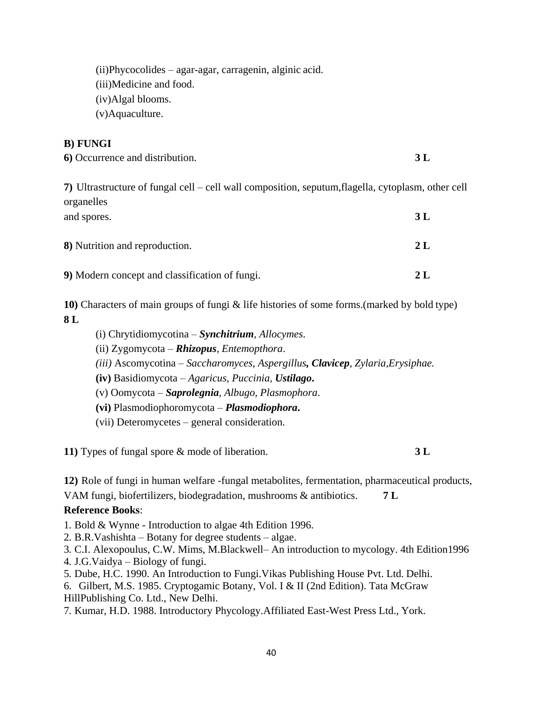(ii)Phycocolides – agar-agar, carragenin, alginic acid.

(iii)Medicine and food.

(iv)Algal blooms.

(v)Aquaculture.

## **B) FUNGI**

| 6) Occurrence and distribution. |  |
|---------------------------------|--|
|---------------------------------|--|

**7)** Ultrastructure of fungal cell – cell wall composition, seputum,flagella, cytoplasm, other cell organelles and spores. **3 L**

| 8) Nutrition and reproduction.                 | 2 <sub>L</sub> |
|------------------------------------------------|----------------|
| 9) Modern concept and classification of fungi. | 2 <sub>L</sub> |

**10)** Characters of main groups of fungi & life histories of some forms.(marked by bold type) **8 L**

- (i) Chrytidiomycotina *Synchitrium, Allocymes*.
- (ii) Zygomycota *Rhizopus, Entemopthora*.
- *(iii)* Ascomycotina *Saccharomyces, Aspergillus, Clavicep, Zylaria,Erysiphae.*
- **(iv)** Basidiomycota *Agaricus, Puccinia, Ustilago***.**
- (v) Oomycota *Saprolegnia, Albugo, Plasmophora*.
- **(vi)** Plasmodiophoromycota *Plasmodiophora***.**

(vii) Deteromycetes – general consideration.

**11)** Types of fungal spore & mode of liberation. **3 L**

**12)** Role of fungi in human welfare -fungal metabolites, fermentation, pharmaceutical products,

VAM fungi, biofertilizers, biodegradation, mushrooms & antibiotics. **7 L**

## **Reference Books**:

- 1. Bold & Wynne Introduction to algae 4th Edition 1996.
- 2. B.R.Vashishta Botany for degree students algae.
- 3. C.I. Alexopoulus, C.W. Mims, M.Blackwell– An introduction to mycology. 4th Edition1996
- 4. J.G.Vaidya Biology of fungi.
- 5. Dube, H.C. 1990. An Introduction to Fungi.Vikas Publishing House Pvt. Ltd. Delhi.
- 6. Gilbert, M.S. 1985. Cryptogamic Botany, Vol. I & II (2nd Edition). Tata McGraw HillPublishing Co. Ltd., New Delhi.
- 7. Kumar, H.D. 1988. Introductory Phycology.Affiliated East-West Press Ltd., York.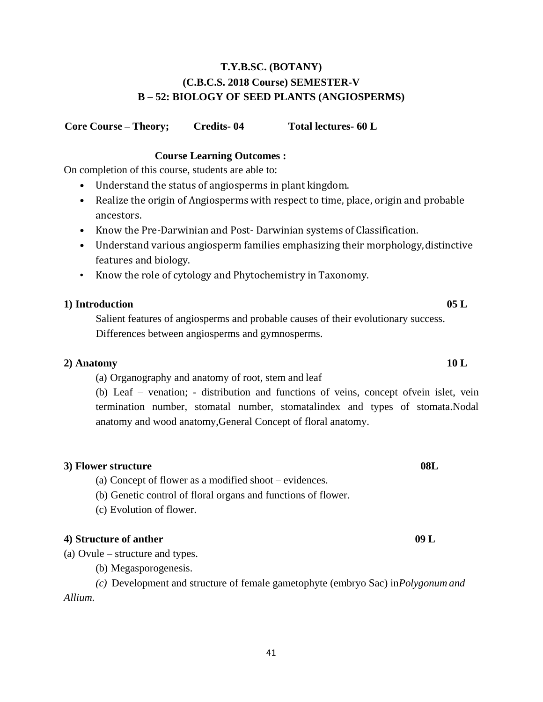## **T.Y.B.SC. (BOTANY) (C.B.C.S. 2018 Course) SEMESTER-V B – 52: BIOLOGY OF SEED PLANTS (ANGIOSPERMS)**

**Core Course – Theory; Credits- 04 Total lectures- 60 L** 

## **Course Learning Outcomes :**

On completion of this course, students are able to:

- Understand the status of angiosperms in plant kingdom.
- Realize the origin of Angiosperms with respect to time, place, origin and probable ancestors.
- Know the Pre-Darwinian and Post- Darwinian systems of Classification.
- Understand various angiosperm families emphasizing their morphology,distinctive features and biology.
- Know the role of cytology and Phytochemistry in Taxonomy.

### **1) Introduction 05 L**

Salient features of angiosperms and probable causes of their evolutionary success. Differences between angiosperms and gymnosperms.

#### **2) Anatomy 10 L**

(a) Organography and anatomy of root, stem and leaf

(b) Leaf – venation; - distribution and functions of veins, concept ofvein islet, vein termination number, stomatal number, stomatalindex and types of stomata.Nodal anatomy and wood anatomy,General Concept of floral anatomy.

## **3) Flower structure 08L** (a) Concept of flower as a modified shoot – evidences. (b) Genetic control of floral organs and functions of flower.

(c) Evolution of flower.

## **4) Structure of anther 09 L**

(a) Ovule – structure and types.

(b) Megasporogenesis.

*(c)* Development and structure of female gametophyte (embryo Sac) in*Polygonum and Allium.*

# 41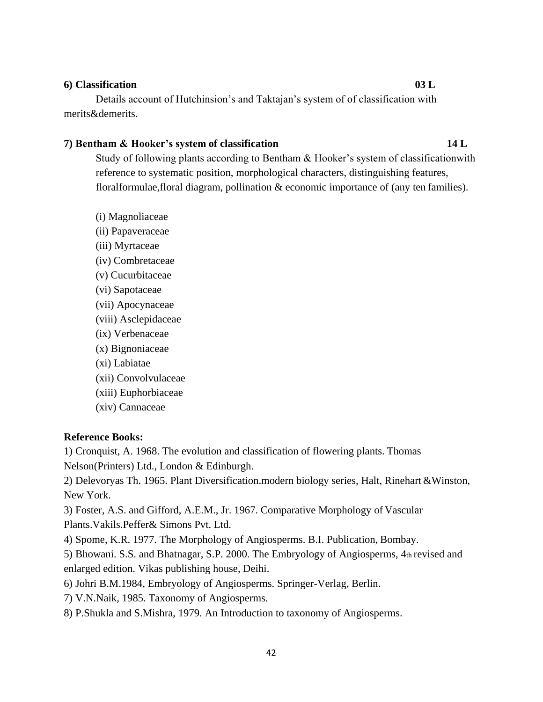### **6) Classification 03 L**

Details account of Hutchinsion's and Taktajan's system of of classification with merits&demerits.

### **7) Bentham & Hooker's system of classification 14 L**

Study of following plants according to Bentham  $\&$  Hooker's system of classification with reference to systematic position, morphological characters, distinguishing features, floralformulae,floral diagram, pollination & economic importance of (any ten families).

(i) Magnoliaceae (ii) Papaveraceae (iii) Myrtaceae (iv) Combretaceae (v) Cucurbitaceae (vi) Sapotaceae (vii) Apocynaceae (viii) Asclepidaceae (ix) Verbenaceae (x) Bignoniaceae (xi) Labiatae (xii) Convolvulaceae (xiii) Euphorbiaceae (xiv) Cannaceae

## **Reference Books:**

1) Cronquist, A. 1968. The evolution and classification of flowering plants. Thomas

Nelson(Printers) Ltd., London & Edinburgh.

2) Delevoryas Th. 1965. Plant Diversification.modern biology series, Halt, Rinehart &Winston, New York.

3) Foster, A.S. and Gifford, A.E.M., Jr. 1967. Comparative Morphology of Vascular Plants.Vakils.Peffer& Simons Pvt. Ltd.

4) Spome, K.R. 1977. The Morphology of Angiosperms. B.I. Publication, Bombay.

5) Bhowani. S.S. and Bhatnagar, S.P. 2000. The Embryology of Angiosperms, 4th revised and enlarged edition. Vikas publishing house, Deihi.

6) Johri B.M.1984, Embryology of Angiosperms. Springer-Verlag, Berlin.

7) V.N.Naik, 1985. Taxonomy of Angiosperms.

8) P.Shukla and S.Mishra, 1979. An Introduction to taxonomy of Angiosperms.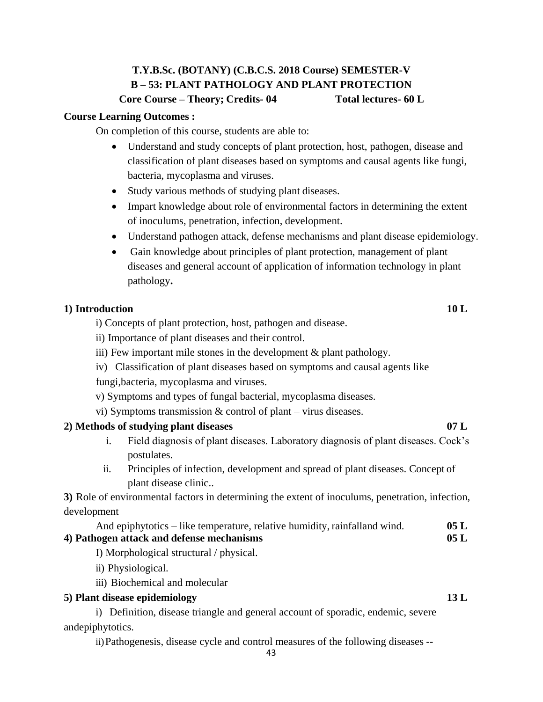## **T.Y.B.Sc. (BOTANY) (C.B.C.S. 2018 Course) SEMESTER-V B – 53: PLANT PATHOLOGY AND PLANT PROTECTION Core Course – Theory; Credits- 04 Total lectures- 60 L**

## **Course Learning Outcomes :**

On completion of this course, students are able to:

- Understand and study concepts of plant protection, host, pathogen, disease and classification of plant diseases based on symptoms and causal agents like fungi, bacteria, mycoplasma and viruses.
- Study various methods of studying plant diseases.
- Impart knowledge about role of environmental factors in determining the extent of inoculums, penetration, infection, development.
- Understand pathogen attack, defense mechanisms and plant disease epidemiology.
- Gain knowledge about principles of plant protection, management of plant diseases and general account of application of information technology in plant pathology**.**

## **1) Introduction 10 L**

i) Concepts of plant protection, host, pathogen and disease.

- ii) Importance of plant diseases and their control.
- iii) Few important mile stones in the development & plant pathology.
- iv) Classification of plant diseases based on symptoms and causal agents like

fungi,bacteria, mycoplasma and viruses.

- v) Symptoms and types of fungal bacterial, mycoplasma diseases.
- vi) Symptoms transmission & control of plant virus diseases.

## **2) Methods of studying plant diseases 07 L**

- i. Field diagnosis of plant diseases. Laboratory diagnosis of plant diseases. Cock"s postulates.
- ii. Principles of infection, development and spread of plant diseases. Concept of plant disease clinic..

**3)** Role of environmental factors in determining the extent of inoculums, penetration, infection, development

| And epiphytotics – like temperature, relative humidity, rainfalland wind. | 05L  |
|---------------------------------------------------------------------------|------|
| 4) Pathogen attack and defense mechanisms                                 | 05 L |

I) Morphological structural / physical.

ii) Physiological.

iii) Biochemical and molecular

## **5) Plant disease epidemiology 13 L**

i) Definition, disease triangle and general account of sporadic, endemic, severe andepiphytotics.

ii)Pathogenesis, disease cycle and control measures of the following diseases --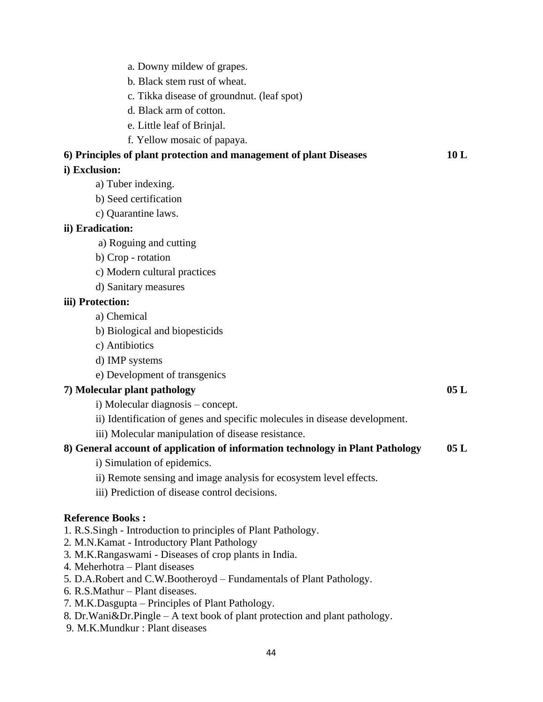- a. Downy mildew of grapes.
- b. Black stem rust of wheat.
- c. Tikka disease of groundnut. (leaf spot)
- d. Black arm of cotton.
- e. Little leaf of Brinjal.
- f. Yellow mosaic of papaya.

## **6) Principles of plant protection and management of plant Diseases 10 L**

## **i) Exclusion:**

- a) Tuber indexing.
- b) Seed certification
- c) Quarantine laws.

#### **ii) Eradication:**

- a) Roguing and cutting
- b) Crop rotation
- c) Modern cultural practices
- d) Sanitary measures

### **iii) Protection:**

- a) Chemical
- b) Biological and biopesticids
- c) Antibiotics
- d) IMP systems
- e) Development of transgenics

## **7) Molecular plant pathology 05 L**

- i) Molecular diagnosis concept.
- ii) Identification of genes and specific molecules in disease development.
- iii) Molecular manipulation of disease resistance.

## **8) General account of application of information technology in Plant Pathology 05 L**

- i) Simulation of epidemics.
- ii) Remote sensing and image analysis for ecosystem level effects.
- iii) Prediction of disease control decisions.

#### **Reference Books :**

- 1. R.S.Singh Introduction to principles of Plant Pathology.
- 2. M.N.Kamat Introductory Plant Pathology
- 3. M.K.Rangaswami Diseases of crop plants in India.
- 4. Meherhotra Plant diseases
- 5. D.A.Robert and C.W.Bootheroyd Fundamentals of Plant Pathology.
- 6. R.S.Mathur Plant diseases.
- 7. M.K.Dasgupta Principles of Plant Pathology.
- 8. Dr.Wani&Dr.Pingle A text book of plant protection and plant pathology.
- 9. M.K.Mundkur : Plant diseases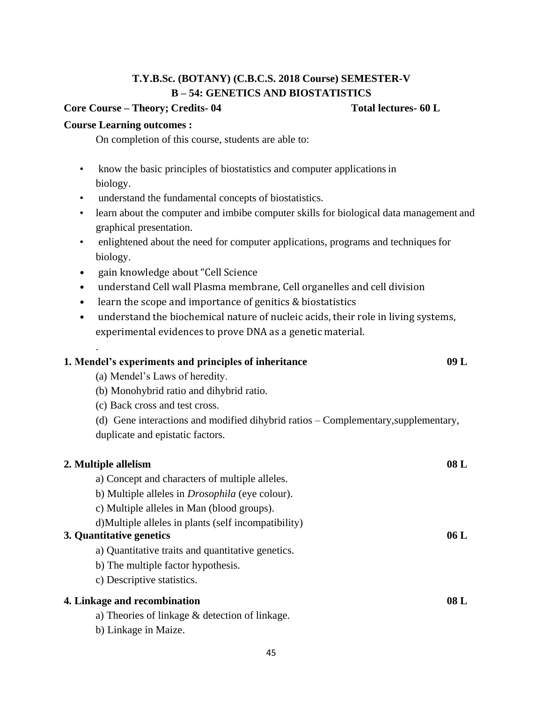## **T.Y.B.Sc. (BOTANY) (C.B.C.S. 2018 Course) SEMESTER-V B – 54: GENETICS AND BIOSTATISTICS**

## **Core Course – Theory; Credits- 04 Total lectures- 60 L**

## **Course Learning outcomes :**

.

On completion of this course, students are able to:

- know the basic principles of biostatistics and computer applications in biology.
- understand the fundamental concepts of biostatistics.
- learn about the computer and imbibe computer skills for biological data management and graphical presentation.
- enlightened about the need for computer applications, programs and techniques for biology.
- gain knowledge about "Cell Science

(a) Mendel"s Laws of heredity.

(b) Monohybrid ratio and dihybrid ratio.

- understand Cell wall Plasma membrane, Cell organelles and cell division
- learn the scope and importance of genitics & biostatistics
- understand the biochemical nature of nucleic acids, their role in living systems, experimental evidences to prove DNA as a genetic material.

| (c) Back cross and test cross.                                                     |      |
|------------------------------------------------------------------------------------|------|
| (d) Gene interactions and modified dihybrid ratios – Complementary, supplementary, |      |
| duplicate and epistatic factors.                                                   |      |
| 2. Multiple allelism                                                               | 08L  |
| a) Concept and characters of multiple alleles.                                     |      |
| b) Multiple alleles in <i>Drosophila</i> (eye colour).                             |      |
| c) Multiple alleles in Man (blood groups).                                         |      |
| d) Multiple alleles in plants (self incompatibility)                               |      |
| 3. Quantitative genetics                                                           | 06L  |
| a) Quantitative traits and quantitative genetics.                                  |      |
| b) The multiple factor hypothesis.                                                 |      |
| c) Descriptive statistics.                                                         |      |
| 4. Linkage and recombination                                                       | 08 L |

- a) Theories of linkage & detection of linkage.
- b) Linkage in Maize.

**1. Mendel's experiments and principles of inheritance 09 L**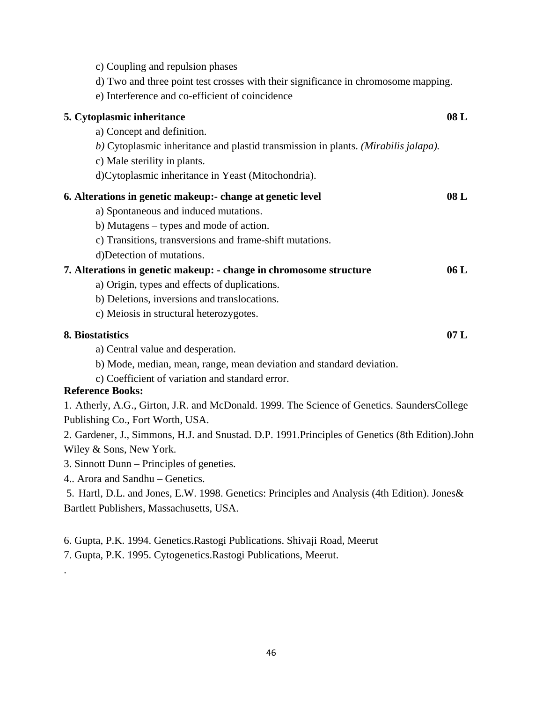| c) Coupling and repulsion phases                                                                  |     |
|---------------------------------------------------------------------------------------------------|-----|
| d) Two and three point test crosses with their significance in chromosome mapping.                |     |
| e) Interference and co-efficient of coincidence                                                   |     |
| 5. Cytoplasmic inheritance                                                                        | 08L |
| a) Concept and definition.                                                                        |     |
| b) Cytoplasmic inheritance and plastid transmission in plants. (Mirabilis jalapa).                |     |
| c) Male sterility in plants.                                                                      |     |
| d)Cytoplasmic inheritance in Yeast (Mitochondria).                                                |     |
| 6. Alterations in genetic makeup:- change at genetic level                                        | 08L |
| a) Spontaneous and induced mutations.                                                             |     |
| b) Mutagens – types and mode of action.                                                           |     |
| c) Transitions, transversions and frame-shift mutations.                                          |     |
| d)Detection of mutations.                                                                         |     |
| 7. Alterations in genetic makeup: - change in chromosome structure                                | 06L |
| a) Origin, types and effects of duplications.                                                     |     |
| b) Deletions, inversions and translocations.                                                      |     |
| c) Meiosis in structural heterozygotes.                                                           |     |
| 8. Biostatistics                                                                                  | 07L |
| a) Central value and desperation.                                                                 |     |
| b) Mode, median, mean, range, mean deviation and standard deviation.                              |     |
| c) Coefficient of variation and standard error.                                                   |     |
| <b>Reference Books:</b>                                                                           |     |
| 1. Atherly, A.G., Girton, J.R. and McDonald. 1999. The Science of Genetics. SaundersCollege       |     |
| Publishing Co., Fort Worth, USA.                                                                  |     |
| 2. Gardener, J., Simmons, H.J. and Snustad. D.P. 1991. Principles of Genetics (8th Edition). John |     |
| Wiley & Sons, New York.                                                                           |     |
| 3. Sinnott Dunn – Principles of geneties.                                                         |     |
| 4. Arora and Sandhu - Genetics.                                                                   |     |
| 5. Hartl, D.L. and Jones, E.W. 1998. Genetics: Principles and Analysis (4th Edition). Jones&      |     |
| Bartlett Publishers, Massachusetts, USA.                                                          |     |

- 6. Gupta, P.K. 1994. Genetics.Rastogi Publications. Shivaji Road, Meerut
- 7. Gupta, P.K. 1995. Cytogenetics.Rastogi Publications, Meerut.

.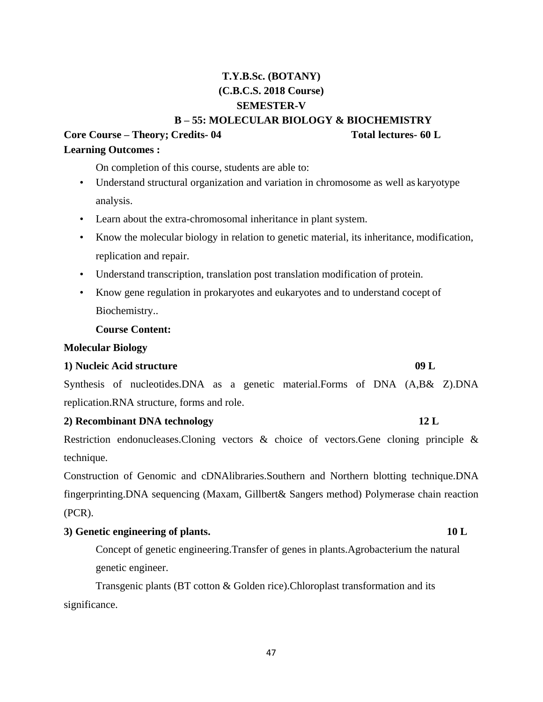Synthesis of nucleotides.DNA as a genetic material.Forms of DNA (A,B& Z).DNA replication.RNA structure, forms and role.

## **2) Recombinant DNA technology 12 L**

Restriction endonucleases.Cloning vectors & choice of vectors.Gene cloning principle & technique.

Construction of Genomic and cDNAlibraries.Southern and Northern blotting technique.DNA fingerprinting.DNA sequencing (Maxam, Gillbert& Sangers method) Polymerase chain reaction (PCR).

## **3) Genetic engineering of plants. 10 L**

Concept of genetic engineering.Transfer of genes in plants.Agrobacterium the natural genetic engineer.

Transgenic plants (BT cotton & Golden rice).Chloroplast transformation and its significance.

#### 47

## **(C.B.C.S. 2018 Course) SEMESTER-V**

**T.Y.B.Sc. (BOTANY)** 

**B – 55: MOLECULAR BIOLOGY & BIOCHEMISTRY**

## **Core Course – Theory; Credits- 04 Total lectures- 60 L Learning Outcomes :**

On completion of this course, students are able to:

- Understand structural organization and variation in chromosome as well as karyotype analysis.
- Learn about the extra-chromosomal inheritance in plant system.
- Know the molecular biology in relation to genetic material, its inheritance, modification, replication and repair.
- Understand transcription, translation post translation modification of protein.
- Know gene regulation in prokaryotes and eukaryotes and to understand cocept of Biochemistry..

## **Course Content:**

### **Molecular Biology**

## **1) Nucleic Acid structure 09 L**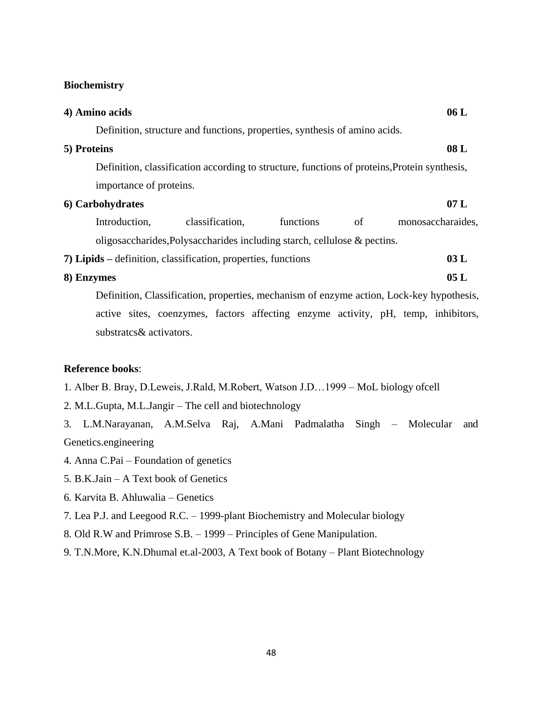### **Biochemistry**

| 4) Amino acids           |                                                                                              |           |    | 06L               |
|--------------------------|----------------------------------------------------------------------------------------------|-----------|----|-------------------|
|                          | Definition, structure and functions, properties, synthesis of amino acids.                   |           |    |                   |
| 5) Proteins              |                                                                                              |           |    | 08L               |
|                          | Definition, classification according to structure, functions of proteins, Protein synthesis, |           |    |                   |
| importance of proteins.  |                                                                                              |           |    |                   |
| 6) Carbohydrates         |                                                                                              |           |    | 07L               |
| Introduction,            | classification,                                                                              | functions | of | monosaccharaides, |
|                          | oligosaccharides, Polysaccharides including starch, cellulose & pectins.                     |           |    |                   |
|                          | 7) Lipids – definition, classification, properties, functions                                |           |    | 03L               |
| 8) Enzymes               |                                                                                              |           |    | 05L               |
|                          | Definition, Classification, properties, mechanism of enzyme action, Lock-key hypothesis,     |           |    |                   |
|                          | active sites, coenzymes, factors affecting enzyme activity, pH, temp, inhibitors,            |           |    |                   |
| substrates & activators. |                                                                                              |           |    |                   |

## **Reference books**:

- 1. Alber B. Bray, D.Leweis, J.Rald, M.Robert, Watson J.D…1999 MoL biology ofcell
- 2. M.L.Gupta, M.L.Jangir The cell and biotechnology
- 3. L.M.Narayanan, A.M.Selva Raj, A.Mani Padmalatha Singh Molecular and Genetics.engineering
- 4. Anna C.Pai Foundation of genetics
- 5. B.K.Jain A Text book of Genetics
- 6. Karvita B. Ahluwalia Genetics
- 7. Lea P.J. and Leegood R.C. 1999-plant Biochemistry and Molecular biology
- 8. Old R.W and Primrose S.B. 1999 Principles of Gene Manipulation.
- 9. T.N.More, K.N.Dhumal et.al-2003, A Text book of Botany Plant Biotechnology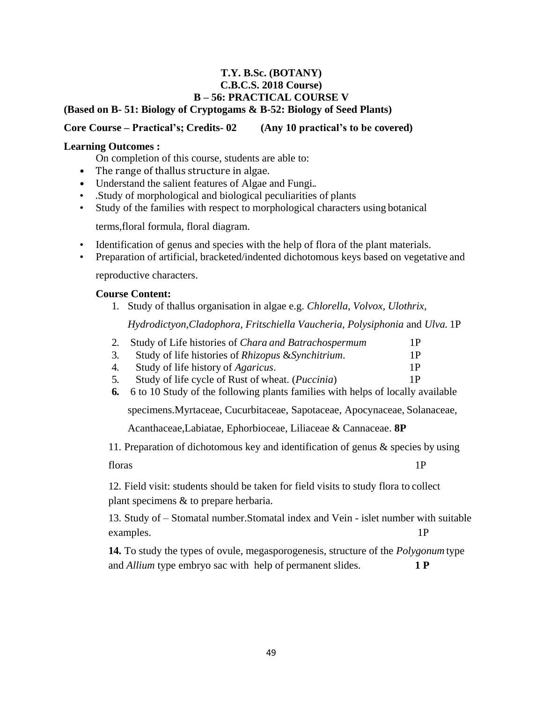## **T.Y. B.Sc. (BOTANY) C.B.C.S. 2018 Course) B – 56: PRACTICAL COURSE V (Based on B- 51: Biology of Cryptogams & B-52: Biology of Seed Plants)**

## **Core Course – Practical's; Credits- 02 (Any 10 practical's to be covered)**

## **Learning Outcomes :**

On completion of this course, students are able to:

- The range of thallus structure in algae.
- Understand the salient features of Algae and Fungi...
- .Study of morphological and biological peculiarities of plants
- Study of the families with respect to morphological characters using botanical

terms,floral formula, floral diagram.

- Identification of genus and species with the help of flora of the plant materials.
- Preparation of artificial, bracketed/indented dichotomous keys based on vegetative and

reproductive characters.

### **Course Content:**

1. Study of thallus organisation in algae e.g. *Chlorella, Volvox, Ulothrix,* 

*Hydrodictyon,Cladophora, Fritschiella Vaucheria, Polysiphonia* and *Ulva.* 1P

|    | 2. Study of Life histories of Chara and Batrachospermum   | 1 P |
|----|-----------------------------------------------------------|-----|
| 3. | Study of life histories of Rhizopus & Synchitrium.        | 1P. |
| 4. | Study of life history of <i>Agaricus</i> .                | 1 P |
| 5. | Study of life cycle of Rust of wheat. ( <i>Puccinia</i> ) | 1P. |
|    |                                                           |     |

**6.** 6 to 10 Study of the following plants families with helps of locally available

specimens.Myrtaceae, Cucurbitaceae, Sapotaceae, Apocynaceae, Solanaceae,

Acanthaceae,Labiatae, Ephorbioceae, Liliaceae & Cannaceae. **8P**

11. Preparation of dichotomous key and identification of genus & species by using

floras 1P

12. Field visit: students should be taken for field visits to study flora to collect plant specimens & to prepare herbaria.

13. Study of – Stomatal number.Stomatal index and Vein - islet number with suitable examples. 1P

**14.** To study the types of ovule, megasporogenesis, structure of the *Polygonum* type and *Allium* type embryo sac with help of permanent slides. **1 P**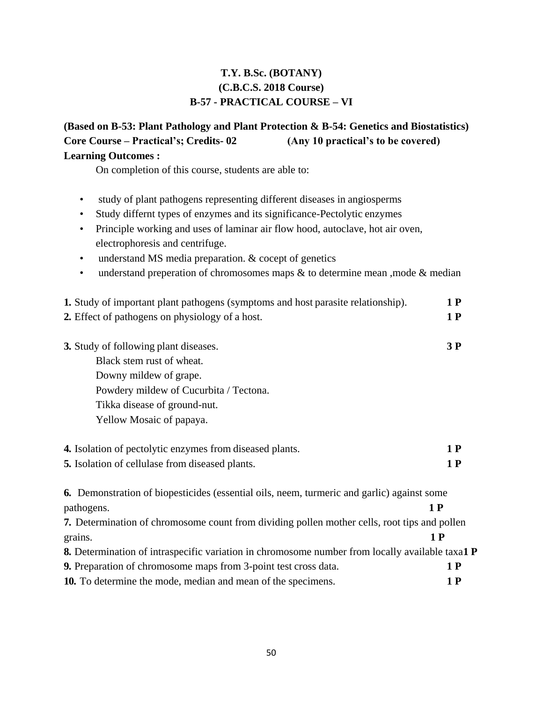## **T.Y. B.Sc. (BOTANY) (C.B.C.S. 2018 Course) B-57 - PRACTICAL COURSE – VI**

## **(Based on B-53: Plant Pathology and Plant Protection & B-54: Genetics and Biostatistics) Core Course – Practical's; Credits- 02 (Any 10 practical's to be covered) Learning Outcomes :**

On completion of this course, students are able to:

- study of plant pathogens representing different diseases in angiosperms
- Study differnt types of enzymes and its significance-Pectolytic enzymes
- Principle working and uses of laminar air flow hood, autoclave, hot air oven, electrophoresis and centrifuge.
- understand MS media preparation. & cocept of genetics
- understand preperation of chromosomes maps & to determine mean , mode & median

| 1. Study of important plant pathogens (symptoms and host parasite relationship).                              |     |  |  |  |  |  |  |  |
|---------------------------------------------------------------------------------------------------------------|-----|--|--|--|--|--|--|--|
| 2. Effect of pathogens on physiology of a host.                                                               |     |  |  |  |  |  |  |  |
|                                                                                                               |     |  |  |  |  |  |  |  |
| 3. Study of following plant diseases.                                                                         | 3P  |  |  |  |  |  |  |  |
| Black stem rust of wheat.                                                                                     |     |  |  |  |  |  |  |  |
| Downy mildew of grape.                                                                                        |     |  |  |  |  |  |  |  |
| Powdery mildew of Cucurbita / Tectona.                                                                        |     |  |  |  |  |  |  |  |
| Tikka disease of ground-nut.                                                                                  |     |  |  |  |  |  |  |  |
| Yellow Mosaic of papaya.                                                                                      |     |  |  |  |  |  |  |  |
| 4. Isolation of pectolytic enzymes from diseased plants.                                                      | 1 P |  |  |  |  |  |  |  |
|                                                                                                               | 1P  |  |  |  |  |  |  |  |
| 5. Isolation of cellulase from diseased plants.                                                               |     |  |  |  |  |  |  |  |
| <b>6.</b> Demonstration of biopesticides (essential oils, neem, turmeric and garlic) against some             |     |  |  |  |  |  |  |  |
| pathogens.                                                                                                    | 1P  |  |  |  |  |  |  |  |
| <b>7.</b> Determination of chromosome count from dividing pollen mother cells, root tips and pollen           |     |  |  |  |  |  |  |  |
| grains.                                                                                                       | 1P  |  |  |  |  |  |  |  |
| <b>8.</b> Determination of intraspecific variation in chromosome number from locally available taxa1 <b>P</b> |     |  |  |  |  |  |  |  |
| <b>9.</b> Preparation of chromosome maps from 3-point test cross data.                                        | 1P  |  |  |  |  |  |  |  |
| 10. To determine the mode, median and mean of the specimens.                                                  | 1 P |  |  |  |  |  |  |  |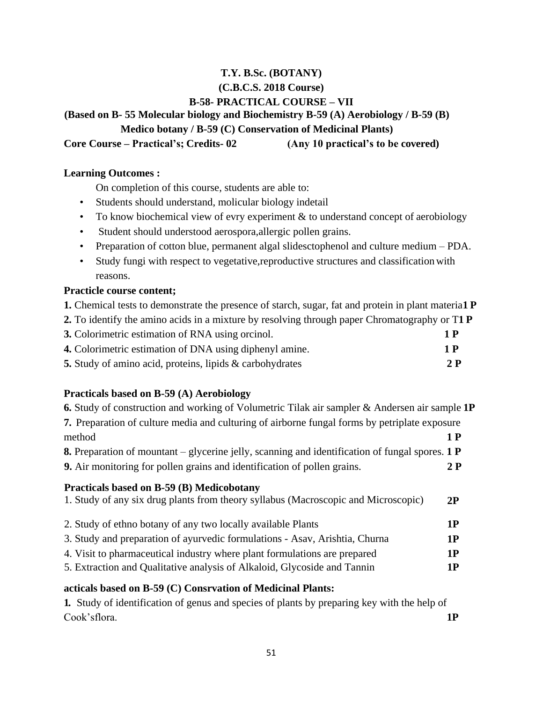## **T.Y. B.Sc. (BOTANY) (C.B.C.S. 2018 Course) B-58- PRACTICAL COURSE – VII**

**(Based on B- 55 Molecular biology and Biochemistry B-59 (A) Aerobiology / B-59 (B)** 

**Medico botany / B-59 (C) Conservation of Medicinal Plants)**

**Core Course – Practical's; Credits- 02 (Any 10 practical's to be covered)** 

## **Learning Outcomes :**

On completion of this course, students are able to:

- Students should understand, molicular biology indetail
- To know biochemical view of evry experiment  $&$  to understand concept of aerobiology
- Student should understood aerospora,allergic pollen grains.
- Preparation of cotton blue, permanent algal slidesctophenol and culture medium PDA.
- Study fungi with respect to vegetative, reproductive structures and classification with reasons.

## **Practicle course content;**

**1.** Chemical tests to demonstrate the presence of starch, sugar, fat and protein in plant materia**1 P**

| 2. To identify the amino acids in a mixture by resolving through paper Chromatography or T1 P |  |  |  |  |  |  |  |  |
|-----------------------------------------------------------------------------------------------|--|--|--|--|--|--|--|--|
|                                                                                               |  |  |  |  |  |  |  |  |

| 3. Colorimetric estimation of RNA using orcinol.                | 1 P |
|-----------------------------------------------------------------|-----|
| 4. Colorimetric estimation of DNA using diphenyl amine.         | 1 P |
| <b>5.</b> Study of amino acid, proteins, lipids & carbohydrates | 2P  |

## **Practicals based on B-59 (A) Aerobiology**

| 6. Study of construction and working of Volumetric Tilak air sampler & Andersen air sample 1P                    |    |
|------------------------------------------------------------------------------------------------------------------|----|
| <b>7.</b> Preparation of culture media and culturing of airborne fungal forms by petriplate exposure             |    |
| method                                                                                                           | 1P |
| <b>8.</b> Preparation of mountant – glycerine jelly, scanning and identification of fungal spores. $1 \text{ P}$ |    |
| <b>9.</b> Air monitoring for pollen grains and identification of pollen grains.                                  | 2P |
| Practicals based on B-59 (B) Medicobotany                                                                        |    |
| 1. Study of any six drug plants from theory syllabus (Macroscopic and Microscopic)                               | 2P |
| 2. Study of ethno botany of any two locally available Plants                                                     | 1P |
| 3. Study and preparation of ayurvedic formulations - Asav, Arishtia, Churna                                      | 1P |
| 4. Visit to pharmaceutical industry where plant formulations are prepared                                        | 1P |
| 5. Extraction and Qualitative analysis of Alkaloid, Glycoside and Tannin                                         | 1P |
| acticals based on B-59 (C) Consrvation of Medicinal Plants:                                                      |    |
| <b>1.</b> Study of identification of genus and species of plants by preparing key with the help of               |    |

Cook"sflora. **1P**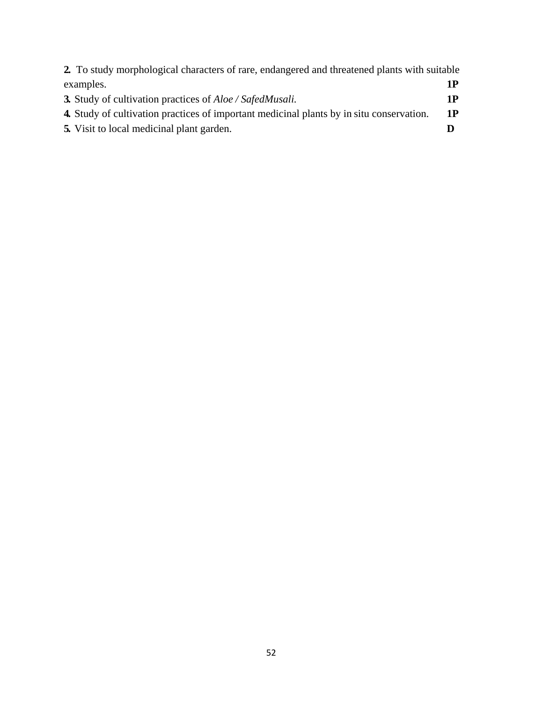| 2. To study morphological characters of rare, endangered and threatened plants with suitable    |    |
|-------------------------------------------------------------------------------------------------|----|
| examples.                                                                                       | 1P |
| <b>3.</b> Study of cultivation practices of <i>Aloe</i> / <i>SafedMusali.</i>                   | 1P |
| <b>4.</b> Study of cultivation practices of important medicinal plants by in situ conservation. | 1P |
| 5. Visit to local medicinal plant garden.                                                       |    |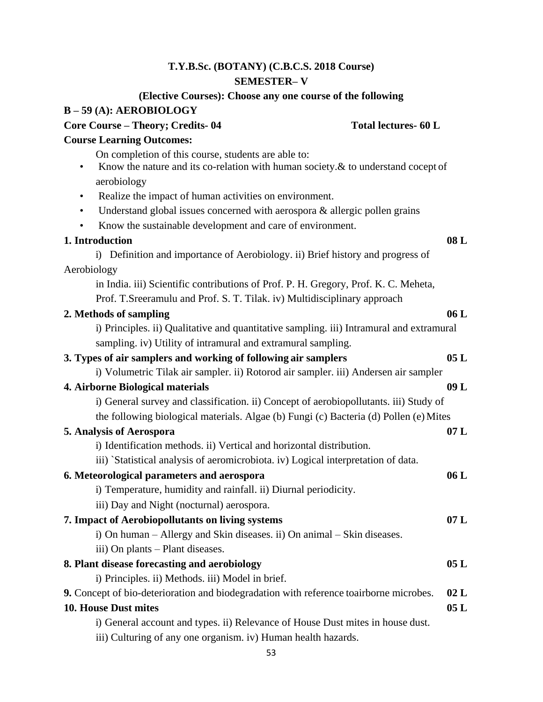## **T.Y.B.Sc. (BOTANY) (C.B.C.S. 2018 Course) SEMESTER– V**

## **(Elective Courses): Choose any one course of the following B – 59 (A): AEROBIOLOGY**

| Core Course - Theory; Credits-04                                                                                                                                        | Total lectures- 60 L |
|-------------------------------------------------------------------------------------------------------------------------------------------------------------------------|----------------------|
| <b>Course Learning Outcomes:</b>                                                                                                                                        |                      |
| On completion of this course, students are able to:<br>Know the nature and its co-relation with human society. $\&$ to understand cocept of<br>$\bullet$<br>aerobiology |                      |
| Realize the impact of human activities on environment.<br>$\bullet$                                                                                                     |                      |
| Understand global issues concerned with aerospora & allergic pollen grains<br>$\bullet$                                                                                 |                      |
| Know the sustainable development and care of environment.                                                                                                               |                      |
| 1. Introduction                                                                                                                                                         | 08L                  |
| i) Definition and importance of Aerobiology. ii) Brief history and progress of                                                                                          |                      |
| Aerobiology                                                                                                                                                             |                      |
| in India. iii) Scientific contributions of Prof. P. H. Gregory, Prof. K. C. Meheta,                                                                                     |                      |
| Prof. T.Sreeramulu and Prof. S. T. Tilak. iv) Multidisciplinary approach                                                                                                |                      |
| 2. Methods of sampling                                                                                                                                                  | 06L                  |
| i) Principles. ii) Qualitative and quantitative sampling. iii) Intramural and extramural                                                                                |                      |
| sampling. iv) Utility of intramural and extramural sampling.                                                                                                            |                      |
| 3. Types of air samplers and working of following air samplers                                                                                                          | 05L                  |
| i) Volumetric Tilak air sampler. ii) Rotorod air sampler. iii) Andersen air sampler                                                                                     |                      |
| 4. Airborne Biological materials                                                                                                                                        | 09L                  |
| i) General survey and classification. ii) Concept of aerobiopollutants. iii) Study of                                                                                   |                      |
| the following biological materials. Algae (b) Fungi (c) Bacteria (d) Pollen (e) Mites                                                                                   |                      |
| 5. Analysis of Aerospora<br>i) Identification methods. ii) Vertical and horizontal distribution.                                                                        | 07L                  |
| iii) 'Statistical analysis of aeromicrobiota. iv) Logical interpretation of data.                                                                                       |                      |
| 6. Meteorological parameters and aerospora                                                                                                                              | 06L                  |
| i) Temperature, humidity and rainfall. ii) Diurnal periodicity.                                                                                                         |                      |
| iii) Day and Night (nocturnal) aerospora.                                                                                                                               |                      |
| 7. Impact of Aerobiopollutants on living systems                                                                                                                        | 07 L                 |
| i) On human – Allergy and Skin diseases. ii) On animal – Skin diseases.                                                                                                 |                      |
| iii) On plants – Plant diseases.                                                                                                                                        |                      |
| 8. Plant disease forecasting and aerobiology                                                                                                                            | 05L                  |
| i) Principles. ii) Methods. iii) Model in brief.                                                                                                                        |                      |
| 9. Concept of bio-deterioration and biodegradation with reference toairborne microbes.                                                                                  | 02L                  |
| <b>10. House Dust mites</b>                                                                                                                                             | 05L                  |
| i) General account and types. ii) Relevance of House Dust mites in house dust.                                                                                          |                      |
| iii) Culturing of any one organism. iv) Human health hazards.                                                                                                           |                      |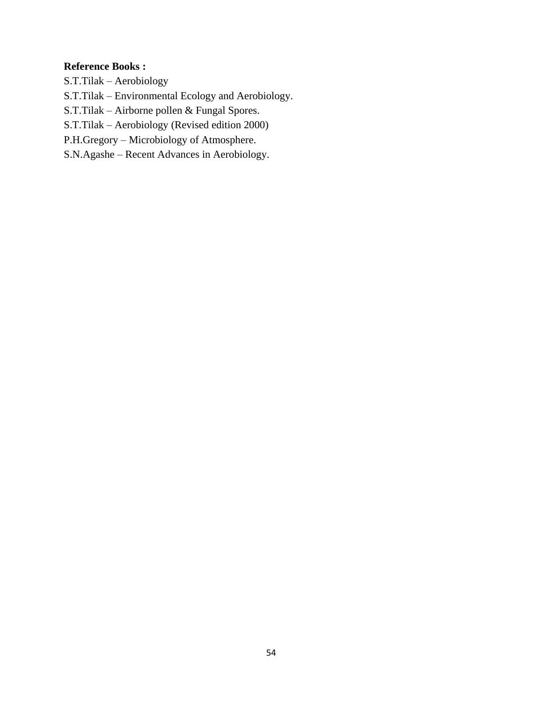### **Reference Books :**

S.T.Tilak – Aerobiology

S.T.Tilak – Environmental Ecology and Aerobiology.

S.T.Tilak – Airborne pollen & Fungal Spores.

S.T.Tilak – Aerobiology (Revised edition 2000)

P.H.Gregory – Microbiology of Atmosphere.

S.N.Agashe – Recent Advances in Aerobiology.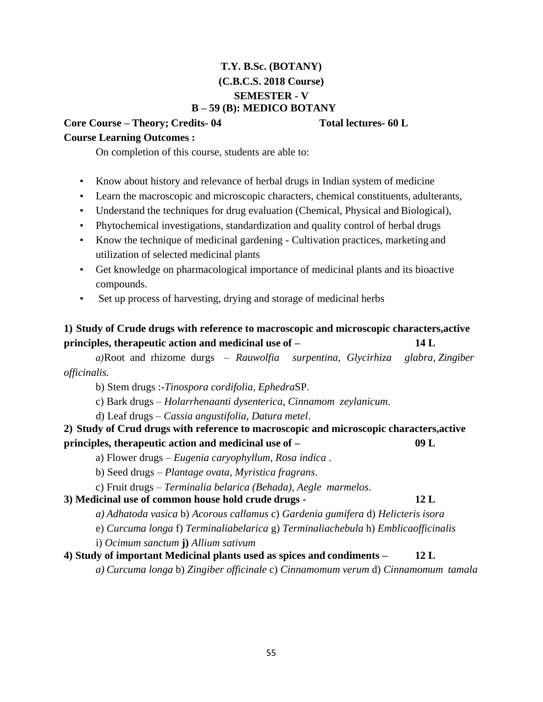## **T.Y. B.Sc. (BOTANY) (C.B.C.S. 2018 Course) SEMESTER - V B – 59 (B): MEDICO BOTANY**

**Core Course – Theory; Credits- 04 Total lectures- 60 L** 

## **Course Learning Outcomes :**

On completion of this course, students are able to:

- Know about history and relevance of herbal drugs in Indian system of medicine
- Learn the macroscopic and microscopic characters, chemical constituents, adulterants,
- Understand the techniques for drug evaluation (Chemical, Physical and Biological),
- Phytochemical investigations, standardization and quality control of herbal drugs
- Know the technique of medicinal gardening Cultivation practices, marketing and utilization of selected medicinal plants
- Get knowledge on pharmacological importance of medicinal plants and its bioactive compounds.
- Set up process of harvesting, drying and storage of medicinal herbs

## **1) Study of Crude drugs with reference to macroscopic and microscopic characters,active principles, therapeutic action and medicinal use of – 14 L**

*a)*Root and rhizome durgs – *Rauwolfia surpentina, Glycirhiza glabra, Zingiber officinalis.*

b) Stem drugs :-*Tinospora cordifolia, Ephedra*SP.

c) Bark drugs – *Holarrhenaanti dysenterica, Cinnamom zeylanicum*.

d) Leaf drugs – *Cassia angustifolia, Datura metel*.

**2) Study of Crud drugs with reference to macroscopic and microscopic characters,active principles, therapeutic action and medicinal use of – 09 L**

a) Flower drugs – *Eugenia caryophyllum, Rosa indica* .

b) Seed drugs – *Plantage ovata, Myristica fragrans*.

c) Fruit drugs – *Terminalia belarica (Behada), Aegle marmelos*.

## **3) Medicinal use of common house hold crude drugs - 12 L**

*a) Adhatoda vasica* b) *Acorous callamus* c) *Gardenia gumifera* d) *Helicteris isora*

e) *Curcuma longa* f) *Terminaliabelarica* g) *Terminaliachebula* h) *Emblicaofficinalis*

i) *Ocimum sanctum* **j)** *Allium sativum*

## **4) Study of important Medicinal plants used as spices and condiments – 12 L**

*a) Curcuma longa* b) *Zingiber officinale* c) *Cinnamomum verum* d) *Cinnamomum tamala*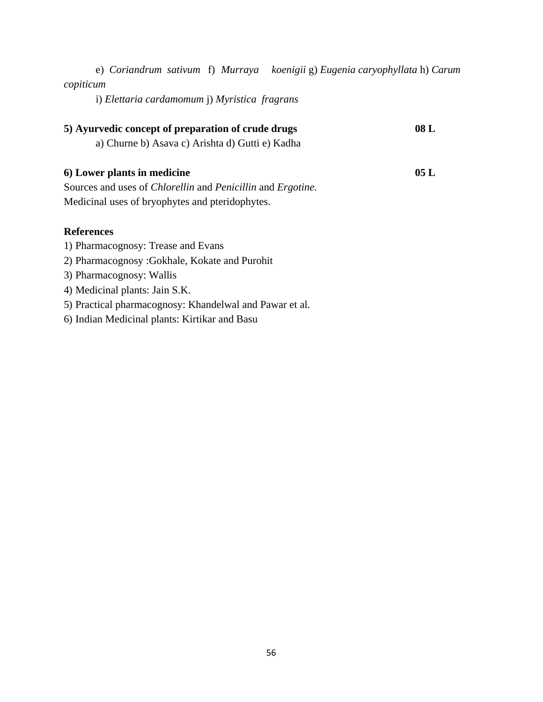| e) Coriandrum sativum f) Murraya koenigii g) Eugenia caryophyllata h) Carum       |     |
|-----------------------------------------------------------------------------------|-----|
| copiticum                                                                         |     |
| i) Elettaria cardamomum j) Myristica fragrans                                     |     |
| 5) Ayurvedic concept of preparation of crude drugs                                | 08L |
| a) Churne b) Asava c) Arishta d) Gutti e) Kadha                                   |     |
| 6) Lower plants in medicine                                                       | 05L |
| Sources and uses of <i>Chlorellin</i> and <i>Penicillin</i> and <i>Ergotine</i> . |     |
| Medicinal uses of bryophytes and pteridophytes.                                   |     |
| <b>References</b>                                                                 |     |
| 1) Pharmacognosy: Trease and Evans                                                |     |
| 2) Pharmacognosy: Gokhale, Kokate and Purohit                                     |     |
| 3) Pharmacognosy: Wallis                                                          |     |
| 4) Medicinal plants: Jain S.K.                                                    |     |
| 5) Practical pharmacognosy: Khandelwal and Pawar et al.                           |     |
| 6) Indian Medicinal plants: Kirtikar and Basu                                     |     |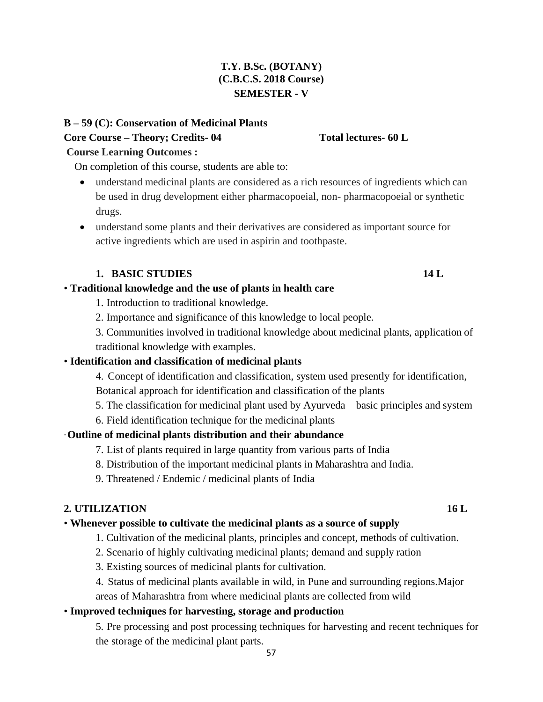## **T.Y. B.Sc. (BOTANY) (C.B.C.S. 2018 Course) SEMESTER - V**

## **B – 59 (C): Conservation of Medicinal Plants Core Course – Theory; Credits- 04 Total lectures- 60 L**

## **Course Learning Outcomes :**

On completion of this course, students are able to:

- understand medicinal plants are considered as a rich resources of ingredients which can be used in drug development either pharmacopoeial, non- pharmacopoeial or synthetic drugs.
- understand some plants and their derivatives are considered as important source for active ingredients which are used in aspirin and toothpaste.

## **1. BASIC STUDIES 14 L**

## • **Traditional knowledge and the use of plants in health care**

- 1. Introduction to traditional knowledge.
- 2. Importance and significance of this knowledge to local people.
- 3. Communities involved in traditional knowledge about medicinal plants, application of traditional knowledge with examples.

## • **Identification and classification of medicinal plants**

4. Concept of identification and classification, system used presently for identification, Botanical approach for identification and classification of the plants

- 5. The classification for medicinal plant used by Ayurveda basic principles and system
- 6. Field identification technique for the medicinal plants

## ·**Outline of medicinal plants distribution and their abundance**

- 7. List of plants required in large quantity from various parts of India
- 8. Distribution of the important medicinal plants in Maharashtra and India.
- 9. Threatened / Endemic / medicinal plants of India

## **2. UTILIZATION 16 L**

## • **Whenever possible to cultivate the medicinal plants as a source of supply**

- 1. Cultivation of the medicinal plants, principles and concept, methods of cultivation.
- 2. Scenario of highly cultivating medicinal plants; demand and supply ration
- 3. Existing sources of medicinal plants for cultivation.
- 4. Status of medicinal plants available in wild, in Pune and surrounding regions.Major areas of Maharashtra from where medicinal plants are collected from wild

## • **Improved techniques for harvesting, storage and production**

5. Pre processing and post processing techniques for harvesting and recent techniques for the storage of the medicinal plant parts.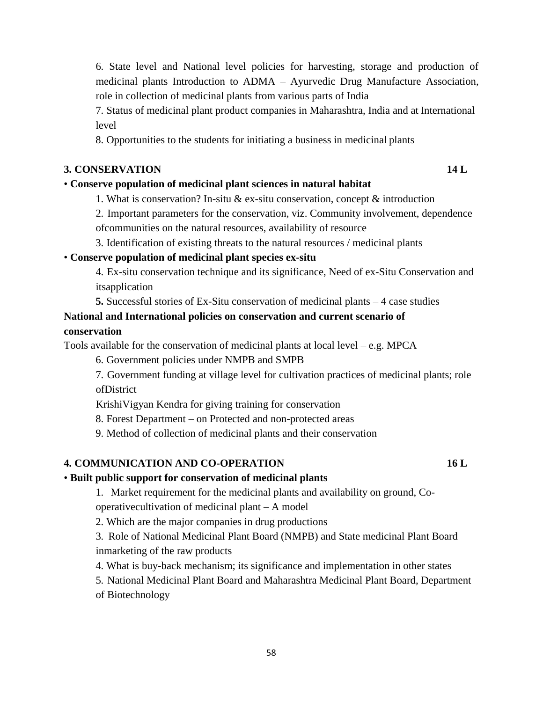6. State level and National level policies for harvesting, storage and production of medicinal plants Introduction to ADMA – Ayurvedic Drug Manufacture Association, role in collection of medicinal plants from various parts of India

7. Status of medicinal plant product companies in Maharashtra, India and at International level

8. Opportunities to the students for initiating a business in medicinal plants

## **3. CONSERVATION 14 L**

## • **Conserve population of medicinal plant sciences in natural habitat**

- 1. What is conservation? In-situ & ex-situ conservation, concept  $\&$  introduction
- 2. Important parameters for the conservation, viz. Community involvement, dependence ofcommunities on the natural resources, availability of resource
- 3. Identification of existing threats to the natural resources / medicinal plants

## • **Conserve population of medicinal plant species ex-situ**

- 4. Ex-situ conservation technique and its significance, Need of ex-Situ Conservation and itsapplication
- **5.** Successful stories of Ex-Situ conservation of medicinal plants 4 case studies

## **National and International policies on conservation and current scenario of conservation**

Tools available for the conservation of medicinal plants at local level – e.g. MPCA

- 6. Government policies under NMPB and SMPB
- 7. Government funding at village level for cultivation practices of medicinal plants; role ofDistrict
- KrishiVigyan Kendra for giving training for conservation
- 8. Forest Department on Protected and non-protected areas
- 9. Method of collection of medicinal plants and their conservation

## **4. COMMUNICATION AND CO-OPERATION 16 L**

## • **Built public support for conservation of medicinal plants**

1. Market requirement for the medicinal plants and availability on ground, Cooperativecultivation of medicinal plant – A model

2. Which are the major companies in drug productions

3. Role of National Medicinal Plant Board (NMPB) and State medicinal Plant Board inmarketing of the raw products

4. What is buy-back mechanism; its significance and implementation in other states

5. National Medicinal Plant Board and Maharashtra Medicinal Plant Board, Department of Biotechnology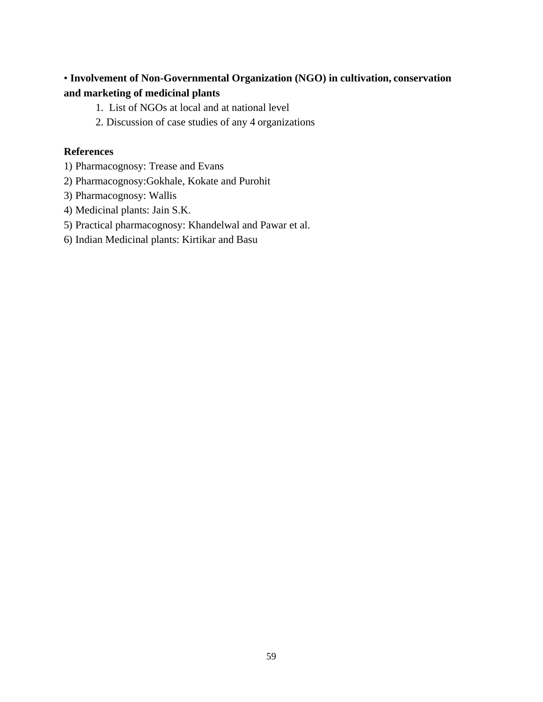## • **Involvement of Non-Governmental Organization (NGO) in cultivation, conservation and marketing of medicinal plants**

- 1. List of NGOs at local and at national level
- 2. Discussion of case studies of any 4 organizations

## **References**

- 1) Pharmacognosy: Trease and Evans
- 2) Pharmacognosy:Gokhale, Kokate and Purohit
- 3) Pharmacognosy: Wallis
- 4) Medicinal plants: Jain S.K.
- 5) Practical pharmacognosy: Khandelwal and Pawar et al.
- 6) Indian Medicinal plants: Kirtikar and Basu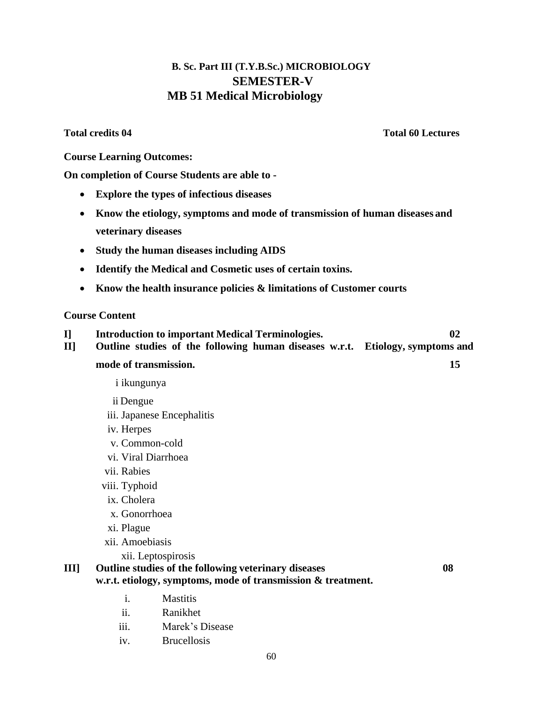## **B. Sc. Part III (T.Y.B.Sc.) MICROBIOLOGY SEMESTER-V MB 51 Medical Microbiology**

**Total credits 04 Total 60 Lectures**

**Course Learning Outcomes:**

**On completion of Course Students are able to -**

- **Explore the types of infectious diseases**
- **Know the etiology, symptoms and mode of transmission of human diseases and veterinary diseases**
- **Study the human diseases including AIDS**
- **Identify the Medical and Cosmetic uses of certain toxins.**
- **Know the health insurance policies & limitations of Customer courts**

### **Course Content**

**I] Introduction to important Medical Terminologies. 02 II] Outline studies of the following human diseases w.r.t. Etiology, symptoms and** 

#### **mode of transmission. 15**

- i ikungunya
- ii Dengue
- iii. Japanese Encephalitis
- iv. Herpes
- v. Common-cold
- vi. Viral Diarrhoea
- vii. Rabies
- viii. Typhoid
- ix. Cholera
- x. Gonorrhoea
- xi. Plague
- xii. Amoebiasis
	- xii. Leptospirosis

## **III] Outline studies of the following veterinary diseases 08 w.r.t. etiology, symptoms, mode of transmission & treatment.**

- i. Mastitis
- ii. Ranikhet
- iii. Marek"s Disease
- iv. Brucellosis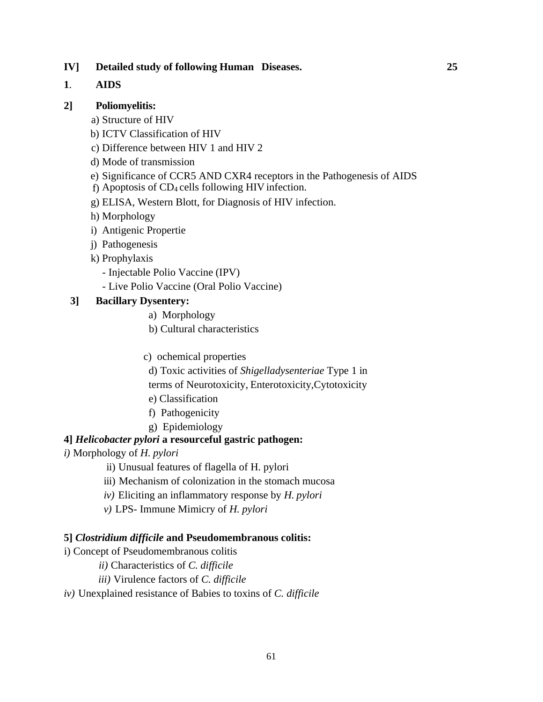## **IV] Detailed study of following Human Diseases. 25**

## **1**. **AIDS**

## **2] Poliomyelitis:**

- a) Structure of HIV
- b) ICTV Classification of HIV
- c) Difference between HIV 1 and HIV 2
- d) Mode of transmission
- e) Significance of CCR5 AND CXR4 receptors in the Pathogenesis of AIDS
- f) Apoptosis of CD4 cells following HIV infection.
- g) ELISA, Western Blott, for Diagnosis of HIV infection.
- h) Morphology
- i) Antigenic Propertie
- j) Pathogenesis
- k) Prophylaxis
	- Injectable Polio Vaccine (IPV)
	- Live Polio Vaccine (Oral Polio Vaccine)

## **3] Bacillary Dysentery:**

- a) Morphology
- b) Cultural characteristics
- c) ochemical properties
- d) Toxic activities of *Shigelladysenteriae* Type 1 in
- terms of Neurotoxicity, Enterotoxicity,Cytotoxicity
- e) Classification
- f) Pathogenicity
- g) Epidemiology

## **4]** *Helicobacter pylori* **a resourceful gastric pathogen:**

- *i)* Morphology of *H. pylori*
	- ii) Unusual features of flagella of H. pylori
	- iii) Mechanism of colonization in the stomach mucosa
	- *iv)* Eliciting an inflammatory response by *H. pylori*
	- *v)* LPS- Immune Mimicry of *H. pylori*

## **5]** *Clostridium difficile* **and Pseudomembranous colitis:**

- i) Concept of Pseudomembranous colitis
	- *ii)* Characteristics of *C. difficile*
	- *iii)* Virulence factors of *C. difficile*
- *iv)* Unexplained resistance of Babies to toxins of *C. difficile*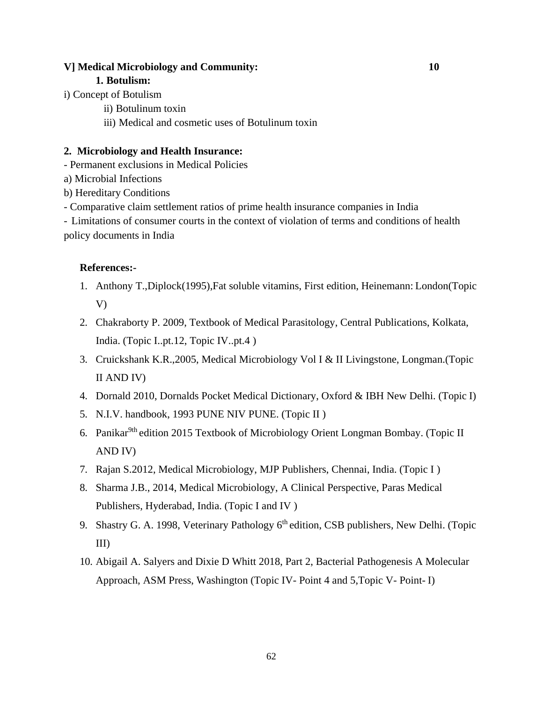### **V] Medical Microbiology and Community: 10**

#### **1. Botulism:**

- i) Concept of Botulism
	- ii) Botulinum toxin
	- iii) Medical and cosmetic uses of Botulinum toxin

## **2. Microbiology and Health Insurance:**

- Permanent exclusions in Medical Policies

- a) Microbial Infections
- b) Hereditary Conditions
- Comparative claim settlement ratios of prime health insurance companies in India

- Limitations of consumer courts in the context of violation of terms and conditions of health policy documents in India

## **References:-**

- 1. Anthony T.,Diplock(1995),Fat soluble vitamins, First edition, Heinemann: London(Topic V)
- 2. Chakraborty P. 2009, Textbook of Medical Parasitology, Central Publications, Kolkata, India. (Topic I..pt.12, Topic IV..pt.4 )
- 3. Cruickshank K.R.,2005, Medical Microbiology Vol I & II Livingstone, Longman.(Topic II AND IV)
- 4. Dornald 2010, Dornalds Pocket Medical Dictionary, Oxford & IBH New Delhi. (Topic I)
- 5. N.I.V. handbook, 1993 PUNE NIV PUNE. (Topic II )
- 6. Panikar<sup>9th</sup> edition 2015 Textbook of Microbiology Orient Longman Bombay. (Topic II AND IV)
- 7. Rajan S.2012, Medical Microbiology, MJP Publishers, Chennai, India. (Topic I )
- 8. Sharma J.B., 2014, Medical Microbiology, A Clinical Perspective, Paras Medical Publishers, Hyderabad, India. (Topic I and IV )
- 9. Shastry G. A. 1998, Veterinary Pathology 6<sup>th</sup> edition, CSB publishers, New Delhi. (Topic III)
- 10. Abigail A. Salyers and Dixie D Whitt 2018, Part 2, Bacterial Pathogenesis A Molecular Approach, ASM Press, Washington (Topic IV- Point 4 and 5,Topic V- Point- I)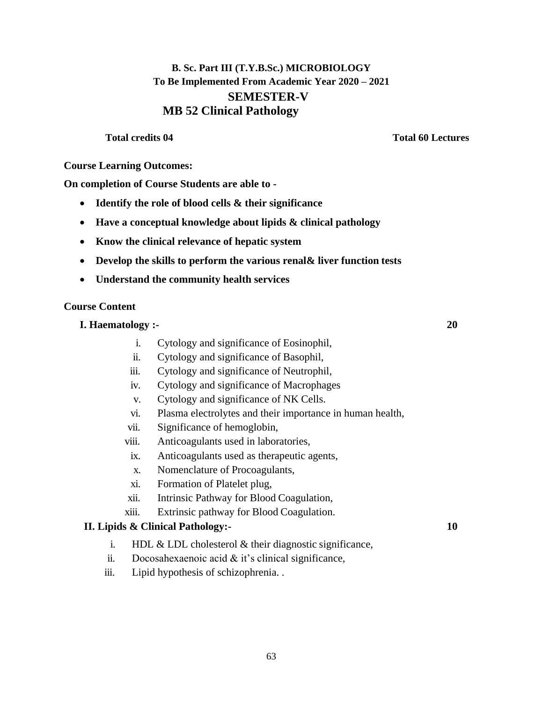## **B. Sc. Part III (T.Y.B.Sc.) MICROBIOLOGY To Be Implemented From Academic Year 2020 – 2021 SEMESTER-V MB 52 Clinical Pathology**

**Total credits 04 Total 60 Lectures**

**Course Learning Outcomes:**

**On completion of Course Students are able to -**

- **Identify the role of blood cells & their significance**
- **Have a conceptual knowledge about lipids & clinical pathology**
- **Know the clinical relevance of hepatic system**
- **Develop the skills to perform the various renal& liver function tests**
- **Understand the community health services**

## **Course Content**

- **I. Haematology :- 20**
	- i. Cytology and significance of Eosinophil,
	- ii. Cytology and significance of Basophil,
	- iii. Cytology and significance of Neutrophil,
	- iv. Cytology and significance of Macrophages
	- v. Cytology and significance of NK Cells.
	- vi. Plasma electrolytes and their importance in human health,
	- vii. Significance of hemoglobin,
	- viii. Anticoagulants used in laboratories,
	- ix. Anticoagulants used as therapeutic agents,
	- x. Nomenclature of Procoagulants,
	- xi. Formation of Platelet plug,
	- xii. Intrinsic Pathway for Blood Coagulation,
	- xiii. Extrinsic pathway for Blood Coagulation.

## **II. Lipids & Clinical Pathology:- 10**

- i. HDL & LDL cholesterol & their diagnostic significance,
- ii. Docosahexaenoic acid  $&$  it's clinical significance,
- iii. Lipid hypothesis of schizophrenia. .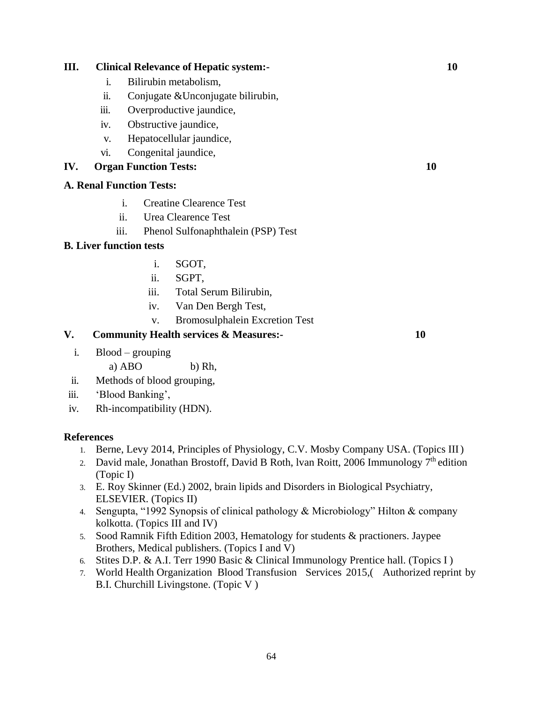## **III. Clinical Relevance of Hepatic system:- 10**

- i. Bilirubin metabolism,
- ii. Conjugate &Unconjugate bilirubin,
- iii. Overproductive jaundice,
- iv. Obstructive jaundice,
- v. Hepatocellular jaundice,
- vi. Congenital jaundice,

## **IV. Organ Function Tests: 10**

### **A. Renal Function Tests:**

- i. Creatine Clearence Test
- ii. Urea Clearence Test
- iii. Phenol Sulfonaphthalein (PSP) Test

## **B. Liver function tests**

- i. SGOT,
- ii. SGPT,
- iii. Total Serum Bilirubin,
- iv. Van Den Bergh Test,
- v. Bromosulphalein Excretion Test

## **V. Community Health services & Measures:- 10**

i. Blood – grouping

a)  $ABO$  b) Rh,

- ii. Methods of blood grouping,
- iii. 'Blood Banking',
- iv. Rh-incompatibility (HDN).

#### **References**

- 1. Berne, Levy 2014, Principles of Physiology, C.V. Mosby Company USA. (Topics III)
- 2. David male, Jonathan Brostoff, David B Roth, Ivan Roitt, 2006 Immunology  $7<sup>th</sup>$  edition (Topic I)
- 3. E. Roy Skinner (Ed.) 2002, brain lipids and Disorders in Biological Psychiatry, ELSEVIER. (Topics II)
- 4. Sengupta, "1992 Synopsis of clinical pathology & Microbiology" Hilton & company kolkotta. (Topics III and IV)
- 5. Sood Ramnik Fifth Edition 2003, Hematology for students & practioners. Jaypee Brothers, Medical publishers. (Topics I and V)
- 6. Stites D.P. & A.I. Terr 1990 Basic & Clinical Immunology Prentice hall. (Topics I )
- 7. World Health Organization Blood Transfusion Services 2015,( Authorized reprint by B.I. Churchill Livingstone. (Topic V )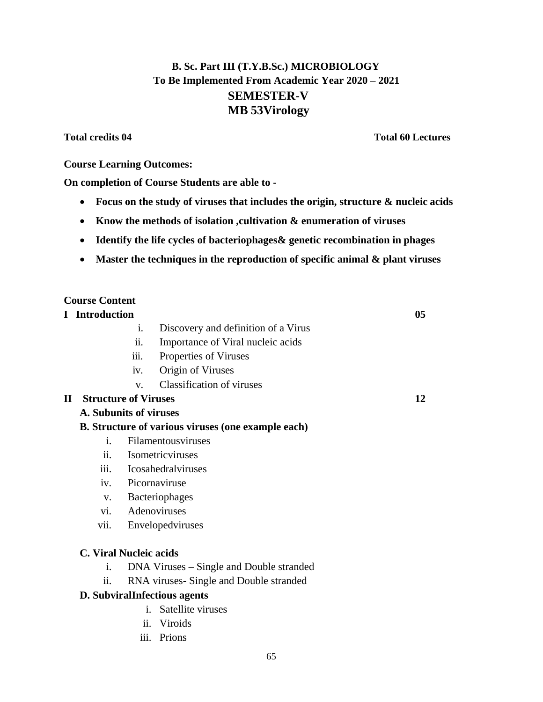## **B. Sc. Part III (T.Y.B.Sc.) MICROBIOLOGY To Be Implemented From Academic Year 2020 – 2021 SEMESTER-V MB 53Virology**

## **Total credits 04 Total 60 Lectures**

## **Course Learning Outcomes:**

**On completion of Course Students are able to -**

- **Focus on the study of viruses that includes the origin, structure & nucleic acids**
- **Know the methods of isolation ,cultivation & enumeration of viruses**
- **Identify the life cycles of bacteriophages& genetic recombination in phages**
- **Master the techniques in the reproduction of specific animal & plant viruses**

## **Course Content**

**I Introduction 05**

- i. Discovery and definition of a Virus
- ii. Importance of Viral nucleic acids
- iii. Properties of Viruses
- iv. Origin of Viruses
- v. Classification of viruses

## **II Structure of Viruses 12**

## **A. Subunits of viruses**

## **B. Structure of various viruses (one example each)**

- i. Filamentousviruses
- ii. Isometricviruses
- iii. Icosahedralviruses
- iv. Picornaviruse
- v. Bacteriophages
- vi. Adenoviruses
- vii. Envelopedviruses

## **C. Viral Nucleic acids**

- i. DNA Viruses Single and Double stranded
- ii. RNA viruses- Single and Double stranded

## **D. SubviralInfectious agents**

- i. Satellite viruses
- ii. Viroids
- iii. Prions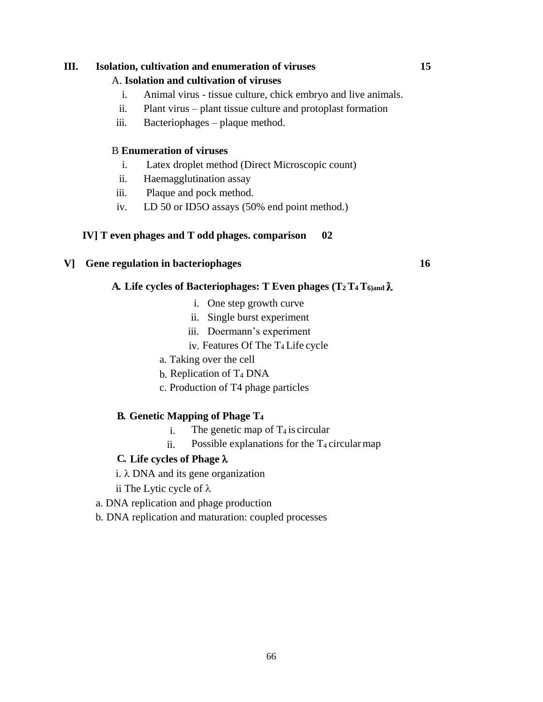### **III. Isolation, cultivation and enumeration of viruses 15**

#### A. **Isolation and cultivation of viruses**

- i. Animal virus tissue culture, chick embryo and live animals.
- ii. Plant virus plant tissue culture and protoplast formation
- iii. Bacteriophages plaque method.

### B **Enumeration of viruses**

- i. Latex droplet method (Direct Microscopic count)
- ii. Haemagglutination assay
- iii. Plaque and pock method.
- iv. LD 50 or ID5O assays (50% end point method.)

### **IV] T even phages and T odd phages. comparison 02**

## **V] Gene regulation in bacteriophages 16**

### **A. Life cycles of Bacteriophages: T Even phages (T2 T4 T6)and ƛ**

- i. One step growth curve
- ii. Single burst experiment
- iii. Doermann"s experiment
- iv. Features Of The T4 Life cycle
- a. Taking over the cell
- b. Replication of  $T_4$  DNA
- c. Production of T4 phage particles

## **B. Genetic Mapping of Phage T<sup>4</sup>**

- i. The genetic map of  $T_4$  is circular
- ii. Possible explanations for the  $T_4$  circular map

#### **C. Life cycles of Phage**

i.  $\lambda$  DNA and its gene organization

ii The Lytic cycle of  $\lambda$ 

- a. DNA replication and phage production
- b. DNA replication and maturation: coupled processes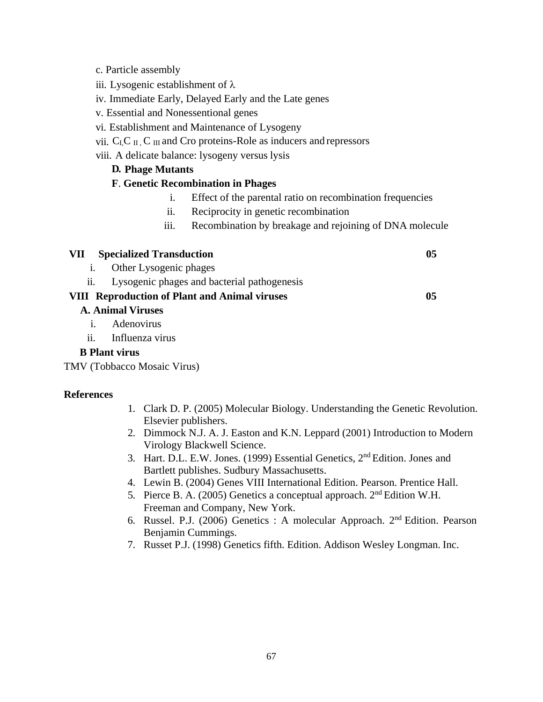- c. Particle assembly
- iii. Lysogenic establishment of  $\lambda$
- iv. Immediate Early, Delayed Early and the Late genes
- v. Essential and Nonessentional genes
- vi. Establishment and Maintenance of Lysogeny
- vii.  $C_{I}C_{II}$ ,  $C_{III}$  and Cro proteins-Role as inducers and repressors
- viii. A delicate balance: lysogeny versus lysis

### **D. Phage Mutants**

### **F**. **Genetic Recombination in Phages**

- i. Effect of the parental ratio on recombination frequencies
- ii. Reciprocity in genetic recombination
- iii. Recombination by breakage and rejoining of DNA molecule

## **VII Specialized Transduction 05**

i. Other Lysogenic phages

ii. Lysogenic phages and bacterial pathogenesis

## **VIII Reproduction of Plant and Animal viruses 05**

### **A. Animal Viruses**

- i. Adenovirus
- ii. Influenza virus

### **B Plant virus**

TMV (Tobbacco Mosaic Virus)

#### **References**

- 1. Clark D. P. (2005) Molecular Biology. Understanding the Genetic Revolution. Elsevier publishers.
- 2. Dimmock N.J. A. J. Easton and K.N. Leppard (2001) Introduction to Modern Virology Blackwell Science.
- 3. Hart. D.L. E.W. Jones. (1999) Essential Genetics, 2nd Edition. Jones and Bartlett publishes. Sudbury Massachusetts.
- 4. Lewin B. (2004) Genes VIII International Edition. Pearson. Prentice Hall.
- 5. Pierce B. A. (2005) Genetics a conceptual approach. 2nd Edition W.H. Freeman and Company, New York.
- 6. Russel. P.J. (2006) Genetics : A molecular Approach. 2<sup>nd</sup> Edition. Pearson Benjamin Cummings.
- 7. Russet P.J. (1998) Genetics fifth. Edition. Addison Wesley Longman. Inc.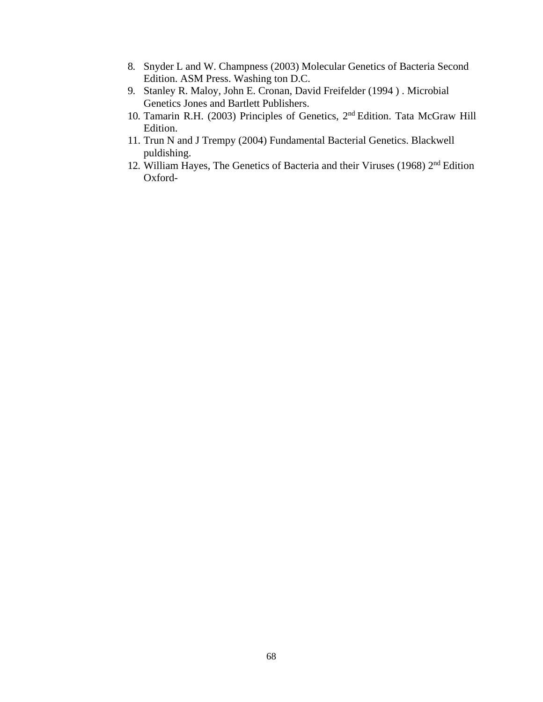- 8. Snyder L and W. Champness (2003) Molecular Genetics of Bacteria Second Edition. ASM Press. Washing ton D.C.
- 9. [Stanley R. Maloy,](https://www.google.co.in/search?tbo=p&tbm=bks&q=inauthor%3A%22Stanley%2BR.%2BMaloy%22&source=gbs_metadata_r&cad=3) [John E. Cronan,](https://www.google.co.in/search?tbo=p&tbm=bks&q=inauthor%3A%22John%2BE.%2BCronan%22&source=gbs_metadata_r&cad=3) [David Freifelder \(1994 \) . Microbial](https://www.google.co.in/search?tbo=p&tbm=bks&q=inauthor%3A%22David%2BFreifelder%22&source=gbs_metadata_r&cad=3) Genetics Jones and Bartlett Publishers.
- 10. Tamarin R.H. (2003) Principles of Genetics, 2<sup>nd</sup> Edition. Tata McGraw Hill Edition.
- 11. Trun N and J Trempy (2004) Fundamental Bacterial Genetics. Blackwell puldishing.
- 12. William Hayes, The Genetics of Bacteria and their Viruses (1968) 2<sup>nd</sup> Edition Oxford-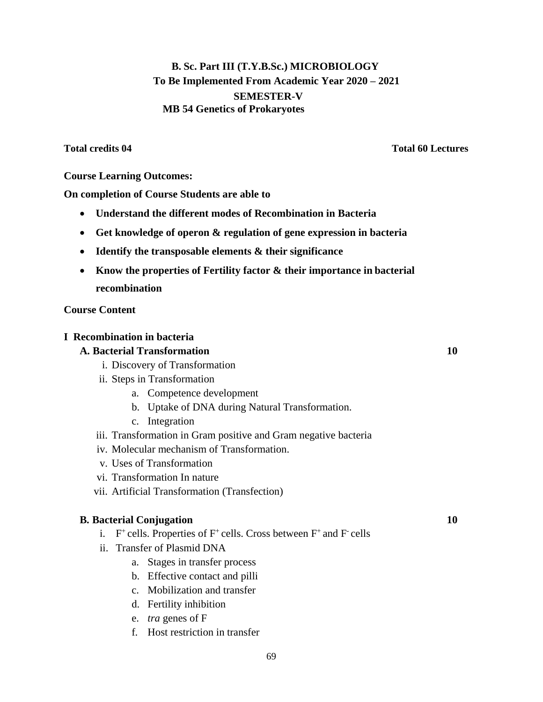## **B. Sc. Part III (T.Y.B.Sc.) MICROBIOLOGY To Be Implemented From Academic Year 2020 – 2021 SEMESTER-V MB 54 Genetics of Prokaryotes**

**Total credits 04 Total 60 Lectures**

## **Course Learning Outcomes:**

**On completion of Course Students are able to**

- **Understand the different modes of Recombination in Bacteria**
- **Get knowledge of operon & regulation of gene expression in bacteria**
- **Identify the transposable elements & their significance**
- **Know the properties of Fertility factor & their importance in bacterial recombination**

### **Course Content**

### **I Recombination in bacteria**

## **A. Bacterial Transformation 10**

- i. Discovery of Transformation
- ii. Steps in Transformation
	- a. Competence development
	- b. Uptake of DNA during Natural Transformation.
	- c. Integration
- iii. Transformation in Gram positive and Gram negative bacteria
- iv. Molecular mechanism of Transformation.
- v. Uses of Transformation
- vi. Transformation In nature
- vii. Artificial Transformation (Transfection)

#### **B. Bacterial Conjugation 10**

- i.  $F^+$  cells. Properties of  $F^+$  cells. Cross between  $F^+$  and  $F^-$  cells
- ii. Transfer of Plasmid DNA
	- a. Stages in transfer process
	- b. Effective contact and pilli
	- c. Mobilization and transfer
	- d. Fertility inhibition
	- e. *tra* genes of F
	- f. Host restriction in transfer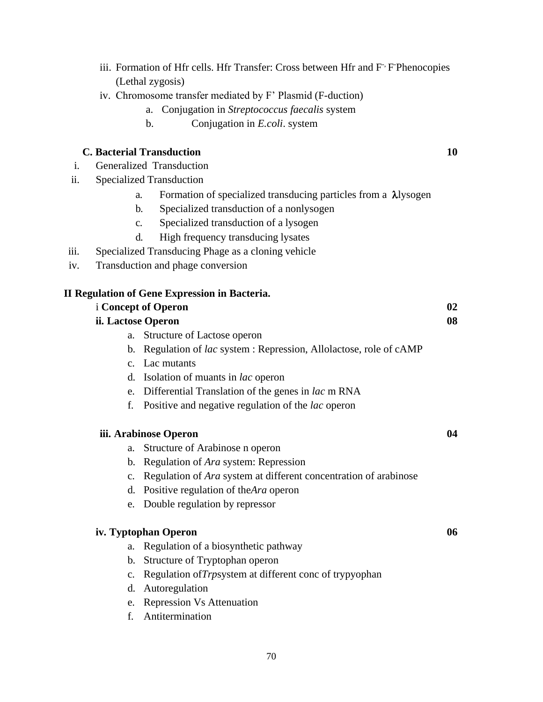- iii. Formation of Hfr cells. Hfr Transfer: Cross between Hfr and F<sup>-,</sup> F<sup>-</sup>Phenocopies (Lethal zygosis)
- iv. Chromosome transfer mediated by F" Plasmid (F-duction)
	- a. Conjugation in *Streptococcus faecalis* system
	- b. Conjugation in *E.coli*. system

## **C. Bacterial Transduction 10**

- i. Generalized Transduction
- ii. Specialized Transduction
	- a. Formation of specialized transducing particles from a  $\lambda$ lysogen
	- b. Specialized transduction of a nonlysogen
	- c. Specialized transduction of a lysogen
	- d. High frequency transducing lysates
- iii. Specialized Transducing Phage as a cloning vehicle
- iv. Transduction and phage conversion

#### **II Regulation of Gene Expression in Bacteria.**

|                    | <i>i</i> Concept of Operon                                              | 02 |
|--------------------|-------------------------------------------------------------------------|----|
| ii. Lactose Operon |                                                                         | 08 |
| a.                 | Structure of Lactose operon                                             |    |
| $b_{\cdot}$        | Regulation of <i>lac</i> system : Repression, Allolactose, role of cAMP |    |
|                    | c. Lac mutants                                                          |    |
| d.                 | Isolation of muants in <i>lac</i> operon                                |    |
|                    | e. Differential Translation of the genes in lac m RNA                   |    |
| f.                 | Positive and negative regulation of the <i>lac</i> operon               |    |
|                    | iii. Arabinose Operon                                                   | 04 |
| a.                 | Structure of Arabinose n operon                                         |    |
| b.                 | Regulation of <i>Ara</i> system: Repression                             |    |
| $\mathbf{c}$ .     | Regulation of <i>Ara</i> system at different concentration of arabinose |    |

- d. Positive regulation of the*Ara* operon
- e. Double regulation by repressor

## **iv. Typtophan Operon 06**

- a. Regulation of a biosynthetic pathway
- b. Structure of Tryptophan operon
- c. Regulation of*Trp*system at different conc of trypyophan
- d. Autoregulation
- e. Repression Vs Attenuation
- f. Antitermination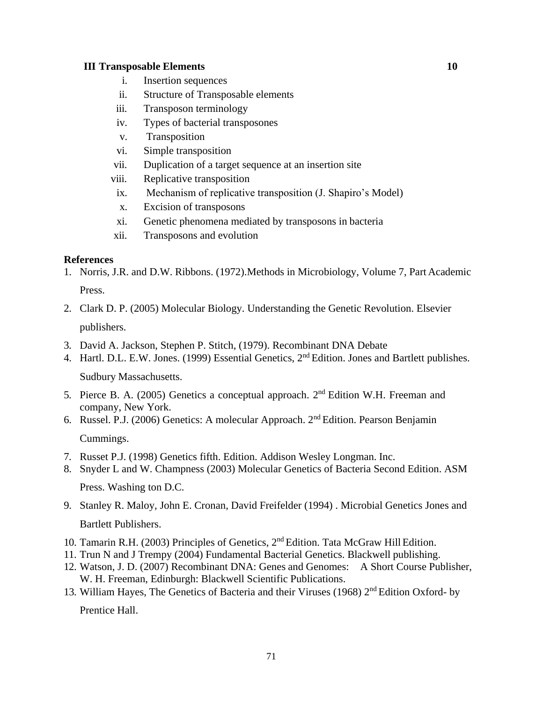#### **III Transposable Elements 10**

- i. Insertion sequences
- ii. Structure of Transposable elements
- iii. Transposon terminology
- iv. Types of bacterial transposones
- v. Transposition
- vi. Simple transposition
- vii. Duplication of a target sequence at an insertion site
- viii. Replicative transposition
- ix. Mechanism of replicative transposition (J. Shapiro"s Model)
- x. Excision of transposons
- xi. Genetic phenomena mediated by transposons in bacteria
- xii. Transposons and evolution

#### **References**

1. Norris, J.R. and D.W. Ribbons. (1972).Methods in Microbiology, Volume 7, Part Academic Press.

- 2. Clark D. P. (2005) Molecular Biology. Understanding the Genetic Revolution. Elsevier publishers.
- 3. David A. Jackson, Stephen P. Stitch, (1979). Recombinant DNA Debate
- 4. Hartl. D.L. E.W. Jones. (1999) Essential Genetics, 2<sup>nd</sup> Edition. Jones and Bartlett publishes.

Sudbury Massachusetts.

- 5. Pierce B. A. (2005) Genetics a conceptual approach.  $2<sup>nd</sup>$  Edition W.H. Freeman and company, New York.
- 6. Russel. P.J. (2006) Genetics: A molecular Approach. 2nd Edition. Pearson Benjamin Cummings.
- 7. Russet P.J. (1998) Genetics fifth. Edition. Addison Wesley Longman. Inc.
- 8. Snyder L and W. Champness (2003) Molecular Genetics of Bacteria Second Edition. ASM Press. Washing ton D.C.
- 9. [Stanley R. Maloy,](https://www.google.co.in/search?tbo=p&tbm=bks&q=inauthor%3A%22Stanley%2BR.%2BMaloy%22&source=gbs_metadata_r&cad=3) [John E. Cronan,](https://www.google.co.in/search?tbo=p&tbm=bks&q=inauthor%3A%22John%2BE.%2BCronan%22&source=gbs_metadata_r&cad=3) [David Freifelder \(1994\) . Microbial Genetics J](https://www.google.co.in/search?tbo=p&tbm=bks&q=inauthor%3A%22David%2BFreifelder%22&source=gbs_metadata_r&cad=3)ones and Bartlett Publishers.
- 10. Tamarin R.H. (2003) Principles of Genetics, 2<sup>nd</sup> Edition. Tata McGraw Hill Edition.
- 11. Trun N and J Trempy (2004) Fundamental Bacterial Genetics. Blackwell publishing.
- 12. Watson, J. D. (2007) Recombinant DNA: Genes and Genomes: A Short Course Publisher, W. H. Freeman, Edinburgh: Blackwell Scientific Publications.
- 13. William Hayes, The Genetics of Bacteria and their Viruses (1968) 2<sup>nd</sup> Edition Oxford- by Prentice Hall.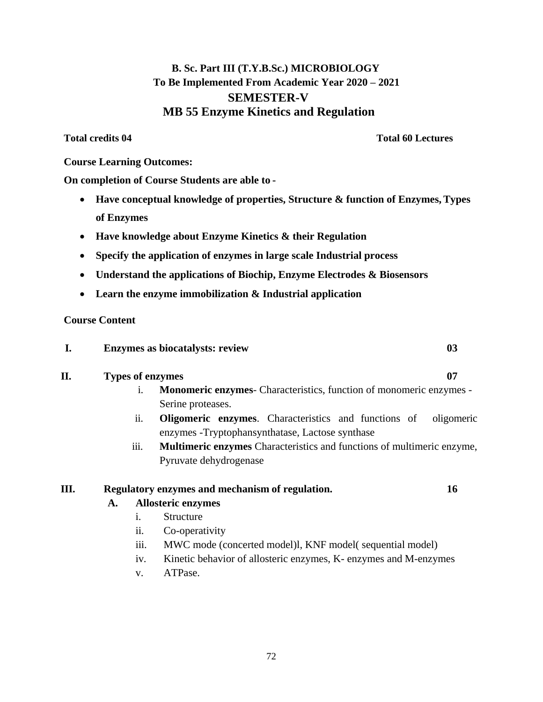## **B. Sc. Part III (T.Y.B.Sc.) MICROBIOLOGY To Be Implemented From Academic Year 2020 – 2021 SEMESTER-V MB 55 Enzyme Kinetics and Regulation**

## **Total credits 04 Total 60 Lectures**

### **Course Learning Outcomes:**

**On completion of Course Students are able to -**

- **Have conceptual knowledge of properties, Structure & function of Enzymes,Types of Enzymes**
- **Have knowledge about Enzyme Kinetics & their Regulation**
- **Specify the application of enzymes in large scale Industrial process**
- **Understand the applications of Biochip, Enzyme Electrodes & Biosensors**
- **Learn the enzyme immobilization & Industrial application**

## **Course Content**

| <b>Enzymes as biocatalysts: review</b> |  |
|----------------------------------------|--|
|                                        |  |

## **II. Types of enzymes 07**

- i. **Monomeric enzymes** Characteristics, function of monomeric enzymes Serine proteases.
- ii. **Oligomeric enzymes**. Characteristics and functions of oligomeric enzymes -Tryptophansynthatase, Lactose synthase
- iii. **Multimeric enzymes** Characteristics and functions of multimeric enzyme, Pyruvate dehydrogenase

## **III. Regulatory enzymes and mechanism of regulation. 16**

## **A. Allosteric enzymes**

- i. Structure
- ii. Co-operativity
- iii. MWC mode (concerted model)l, KNF model( sequential model)
- iv. Kinetic behavior of allosteric enzymes, K- enzymes and M-enzymes
- v. ATPase.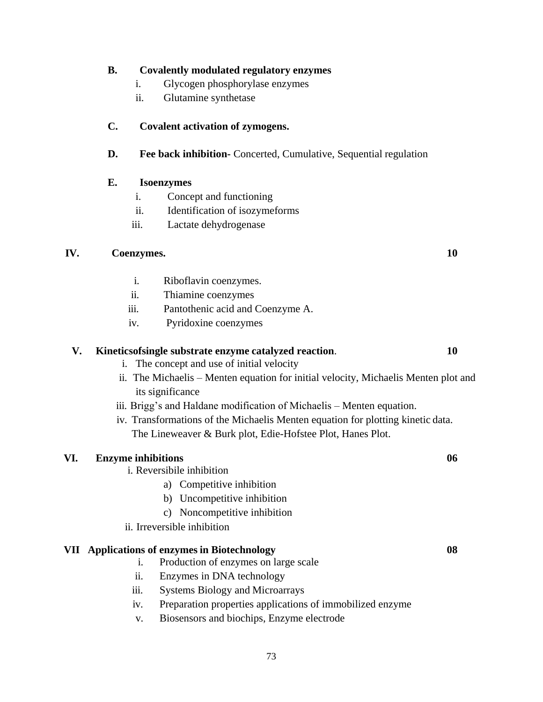#### **B. Covalently modulated regulatory enzymes**

- i. Glycogen phosphorylase enzymes
- ii. Glutamine synthetase

## **C. Covalent activation of zymogens.**

## **D. Fee back inhibition-** Concerted, Cumulative, Sequential regulation

#### **E. Isoenzymes**

- i. Concept and functioning
- ii. Identification of isozymeforms
- iii. Lactate dehydrogenase

#### **IV. Coenzymes. 10**

i. Riboflavin coenzymes.

- ii. Thiamine coenzymes
- iii. Pantothenic acid and Coenzyme A.
- iv. Pyridoxine coenzymes

## **V. Kineticsofsingle substrate enzyme catalyzed reaction**. **10**

i. The concept and use of initial velocity

- ii. The Michaelis Menten equation for initial velocity, Michaelis Menten plot and its significance
- iii. Brigg"s and Haldane modification of Michaelis Menten equation.
- iv. Transformations of the Michaelis Menten equation for plotting kinetic data. The Lineweaver & Burk plot, Edie-Hofstee Plot, Hanes Plot.

#### **VI. Enzyme inhibitions 06**

- i. Reversibile inhibition
	- a) Competitive inhibition
	- b) Uncompetitive inhibition
	- c) Noncompetitive inhibition
- ii. Irreversible inhibition

#### **VII Applications of enzymes in Biotechnology 08**

- i. Production of enzymes on large scale
- ii. Enzymes in DNA technology
- iii. Systems Biology and Microarrays
- iv. Preparation properties applications of immobilized enzyme
- v. Biosensors and biochips, Enzyme electrode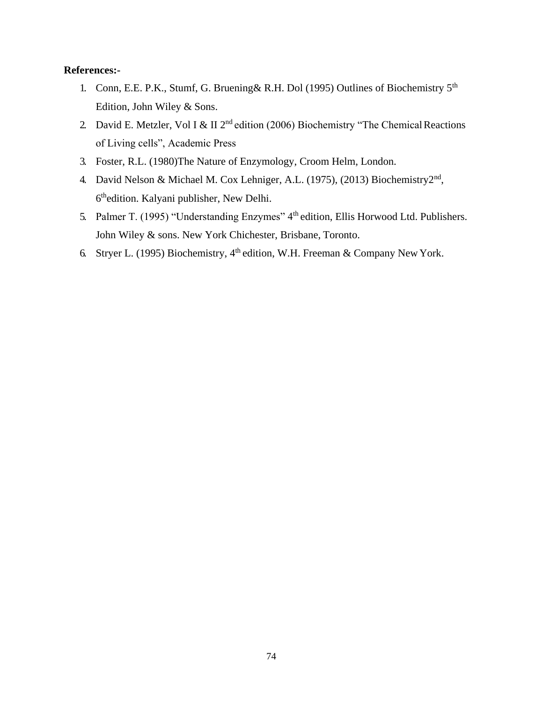#### **References:-**

- 1. Conn, E.E. P.K., Stumf, G. Bruening& R.H. Dol (1995) Outlines of Biochemistry 5th Edition, John Wiley & Sons.
- 2. David E. Metzler, Vol I & II  $2<sup>nd</sup>$  edition (2006) Biochemistry "The Chemical Reactions of Living cells", Academic Press
- 3. Foster, R.L. (1980)The Nature of Enzymology, Croom Helm, London.
- 4. David Nelson & Michael M. Cox Lehniger, A.L. (1975), (2013) Biochemistry2<sup>nd</sup>, 6<sup>th</sup>edition. Kalyani publisher, New Delhi.
- 5. Palmer T. (1995) "Understanding Enzymes" 4<sup>th</sup> edition, Ellis Horwood Ltd. Publishers. John Wiley & sons. New York Chichester, Brisbane, Toronto.
- 6. Stryer L. (1995) Biochemistry,  $4<sup>th</sup>$  edition, W.H. Freeman & Company New York.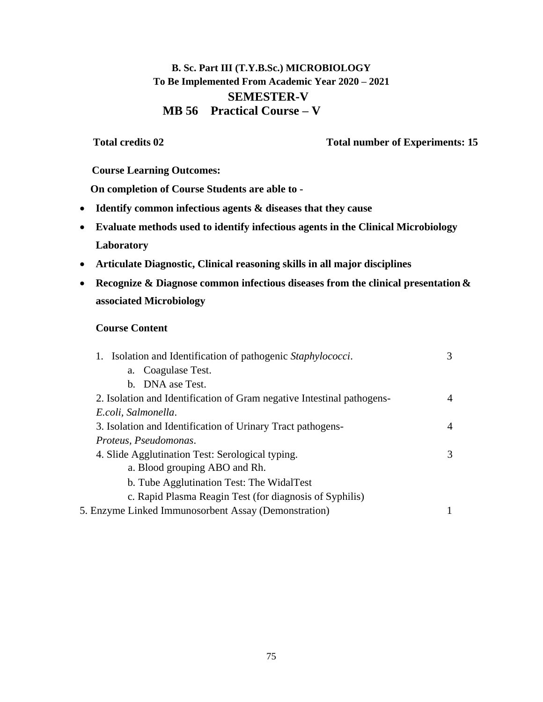# **B. Sc. Part III (T.Y.B.Sc.) MICROBIOLOGY To Be Implemented From Academic Year 2020 – 2021 SEMESTER-V MB 56 Practical Course – V**

**Total credits 02 Total number of Experiments: 15** 

**Course Learning Outcomes:**

**On completion of Course Students are able to -**

- **Identify common infectious agents & diseases that they cause**
- **Evaluate methods used to identify infectious agents in the Clinical Microbiology Laboratory**
- **Articulate Diagnostic, Clinical reasoning skills in all major disciplines**
- **Recognize & Diagnose common infectious diseases from the clinical presentation & associated Microbiology**

## **Course Content**

| 1. Isolation and Identification of pathogenic Staphylococci.           | 3 |
|------------------------------------------------------------------------|---|
| Coagulase Test.<br>a.                                                  |   |
| b. DNA ase Test.                                                       |   |
| 2. Isolation and Identification of Gram negative Intestinal pathogens- | 4 |
| E.coli, Salmonella.                                                    |   |
| 3. Isolation and Identification of Urinary Tract pathogens-            | 4 |
| Proteus, Pseudomonas.                                                  |   |
| 4. Slide Agglutination Test: Serological typing.                       | 3 |
| a. Blood grouping ABO and Rh.                                          |   |
| b. Tube Agglutination Test: The WidalTest                              |   |
| c. Rapid Plasma Reagin Test (for diagnosis of Syphilis)                |   |
| 5. Enzyme Linked Immunosorbent Assay (Demonstration)                   |   |
|                                                                        |   |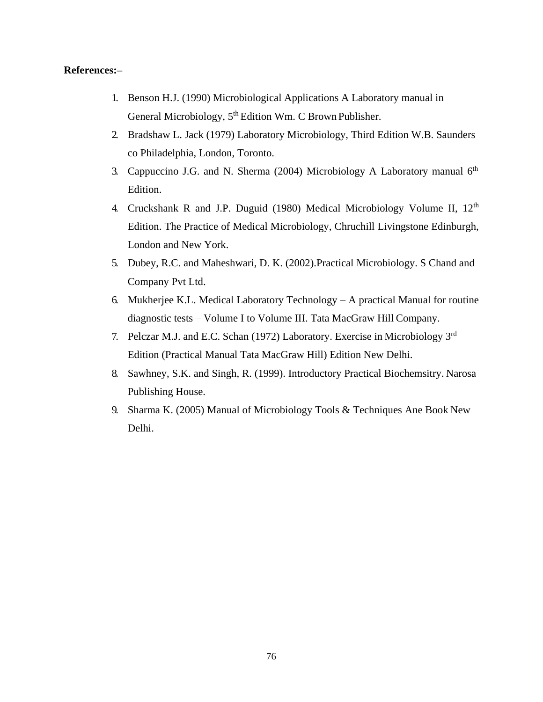#### **References:–**

- 1. Benson H.J. (1990) Microbiological Applications A Laboratory manual in General Microbiology, 5<sup>th</sup> Edition Wm. C Brown Publisher.
- 2. Bradshaw L. Jack (1979) Laboratory Microbiology, Third Edition W.B. Saunders co Philadelphia, London, Toronto.
- 3. Cappuccino J.G. and N. Sherma (2004) Microbiology A Laboratory manual  $6<sup>th</sup>$ Edition.
- 4. Cruckshank R and J.P. Duguid (1980) Medical Microbiology Volume II, 12<sup>th</sup> Edition. The Practice of Medical Microbiology, Chruchill Livingstone Edinburgh, London and New York.
- 5. Dubey, R.C. and Maheshwari, D. K. (2002).Practical Microbiology. S Chand and Company Pvt Ltd.
- 6. Mukherjee K.L. Medical Laboratory Technology A practical Manual for routine diagnostic tests – Volume I to Volume III. Tata MacGraw Hill Company.
- 7. Pelczar M.J. and E.C. Schan (1972) Laboratory. Exercise in Microbiology 3rd Edition (Practical Manual Tata MacGraw Hill) Edition New Delhi.
- 8. Sawhney, S.K. and Singh, R. (1999). Introductory Practical Biochemsitry. Narosa Publishing House.
- 9. Sharma K. (2005) Manual of Microbiology Tools & Techniques Ane Book New Delhi.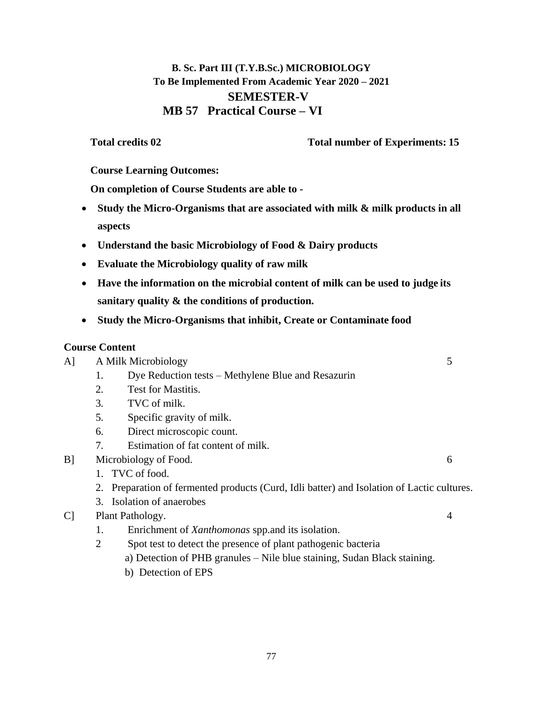# **B. Sc. Part III (T.Y.B.Sc.) MICROBIOLOGY To Be Implemented From Academic Year 2020 – 2021 SEMESTER-V MB 57 Practical Course – VI**

## **Total credits 02 Total number of Experiments: 15**

**Course Learning Outcomes:**

**On completion of Course Students are able to -**

- **Study the Micro-Organisms that are associated with milk & milk products in all aspects**
- **Understand the basic Microbiology of Food & Dairy products**
- **Evaluate the Microbiology quality of raw milk**
- **Have the information on the microbial content of milk can be used to judge its sanitary quality & the conditions of production.**
- **Study the Micro-Organisms that inhibit, Create or Contaminate food**

# **Course Content**

A] A Milk Microbiology 5

- 1. Dye Reduction tests Methylene Blue and Resazurin
- 2. Test for Mastitis.
- 3. TVC of milk.
- 5. Specific gravity of milk.
- 6. Direct microscopic count.
- 7. Estimation of fat content of milk.
- B] Microbiology of Food. 6
	- 1. TVC of food.
	- 2. Preparation of fermented products (Curd, Idli batter) and Isolation of Lactic cultures.
	- 3. Isolation of anaerobes
- C] Plant Pathology. 4
	- 1. Enrichment of *Xanthomonas* spp.and its isolation.
	- 2 Spot test to detect the presence of plant pathogenic bacteria
		- a) Detection of PHB granules Nile blue staining, Sudan Black staining.
		- b) Detection of EPS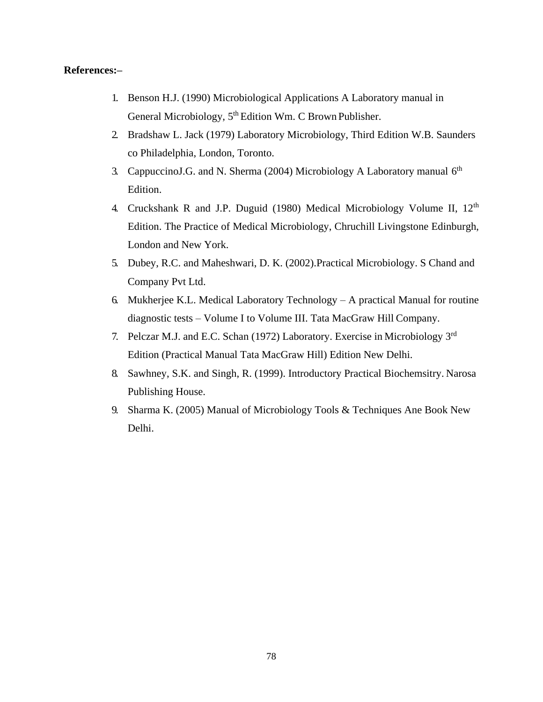#### **References:–**

- 1. Benson H.J. (1990) Microbiological Applications A Laboratory manual in General Microbiology, 5<sup>th</sup> Edition Wm. C Brown Publisher.
- 2. Bradshaw L. Jack (1979) Laboratory Microbiology, Third Edition W.B. Saunders co Philadelphia, London, Toronto.
- 3. CappuccinoJ.G. and N. Sherma (2004) Microbiology A Laboratory manual 6<sup>th</sup> Edition.
- 4. Cruckshank R and J.P. Duguid (1980) Medical Microbiology Volume II, 12<sup>th</sup> Edition. The Practice of Medical Microbiology, Chruchill Livingstone Edinburgh, London and New York.
- 5. Dubey, R.C. and Maheshwari, D. K. (2002).Practical Microbiology. S Chand and Company Pvt Ltd.
- 6. Mukherjee K.L. Medical Laboratory Technology A practical Manual for routine diagnostic tests – Volume I to Volume III. Tata MacGraw Hill Company.
- 7. Pelczar M.J. and E.C. Schan (1972) Laboratory. Exercise in Microbiology 3rd Edition (Practical Manual Tata MacGraw Hill) Edition New Delhi.
- 8. Sawhney, S.K. and Singh, R. (1999). Introductory Practical Biochemsitry. Narosa Publishing House.
- 9. Sharma K. (2005) Manual of Microbiology Tools & Techniques Ane Book New Delhi.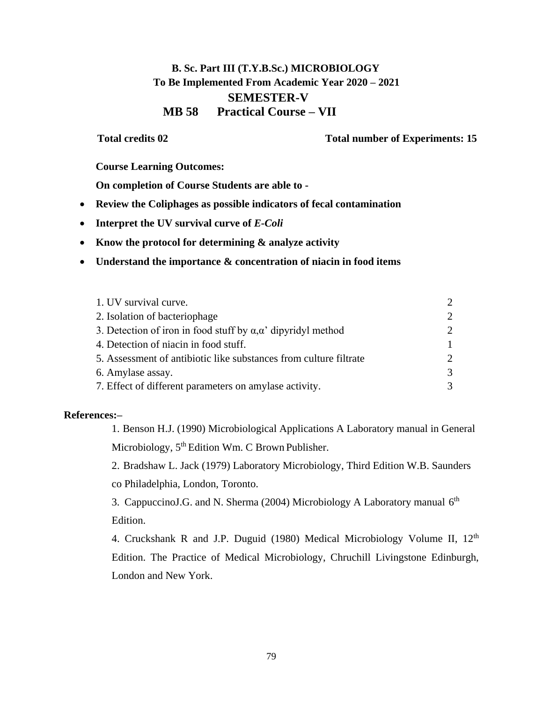# **B. Sc. Part III (T.Y.B.Sc.) MICROBIOLOGY To Be Implemented From Academic Year 2020 – 2021 SEMESTER-V MB 58 Practical Course – VII**

**Total credits 02 Total number of Experiments: 15** 

**Course Learning Outcomes:**

**On completion of Course Students are able to -**

- **Review the Coliphages as possible indicators of fecal contamination**
- **Interpret the UV survival curve of** *E-Coli*
- **Know the protocol for determining & analyze activity**
- **Understand the importance & concentration of niacin in food items**

| 1. UV survival curve.                                                    |  |
|--------------------------------------------------------------------------|--|
| 2. Isolation of bacteriophage                                            |  |
| 3. Detection of iron in food stuff by $\alpha, \alpha'$ dipyridyl method |  |
| 4. Detection of niacin in food stuff.                                    |  |
| 5. Assessment of antibiotic like substances from culture filtrate        |  |
| 6. Amylase assay.                                                        |  |
| 7. Effect of different parameters on amylase activity.                   |  |

#### **References:–**

1. Benson H.J. (1990) Microbiological Applications A Laboratory manual in General Microbiology, 5<sup>th</sup> Edition Wm. C Brown Publisher.

2. Bradshaw L. Jack (1979) Laboratory Microbiology, Third Edition W.B. Saunders co Philadelphia, London, Toronto.

3. CappuccinoJ.G. and N. Sherma (2004) Microbiology A Laboratory manual 6<sup>th</sup> Edition.

4. Cruckshank R and J.P. Duguid (1980) Medical Microbiology Volume II,  $12<sup>th</sup>$ Edition. The Practice of Medical Microbiology, Chruchill Livingstone Edinburgh, London and New York.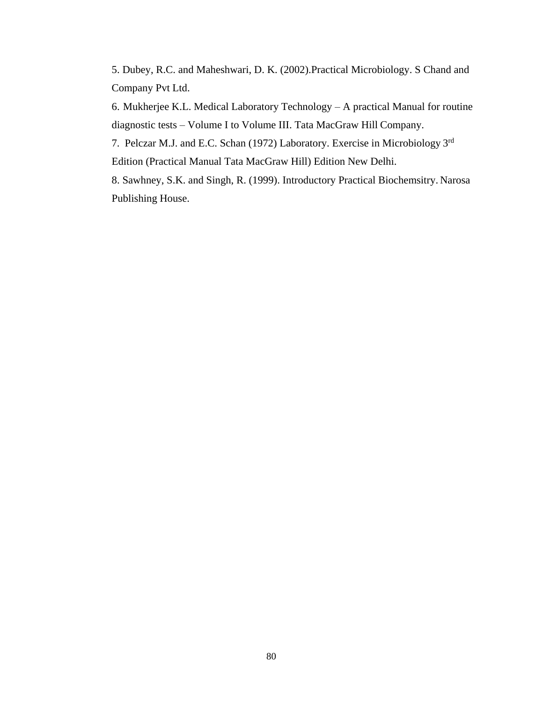5. Dubey, R.C. and Maheshwari, D. K. (2002).Practical Microbiology. S Chand and Company Pvt Ltd.

6. Mukherjee K.L. Medical Laboratory Technology – A practical Manual for routine diagnostic tests – Volume I to Volume III. Tata MacGraw Hill Company.

7. Pelczar M.J. and E.C. Schan (1972) Laboratory. Exercise in Microbiology 3rd Edition (Practical Manual Tata MacGraw Hill) Edition New Delhi.

8. Sawhney, S.K. and Singh, R. (1999). Introductory Practical Biochemsitry. Narosa Publishing House.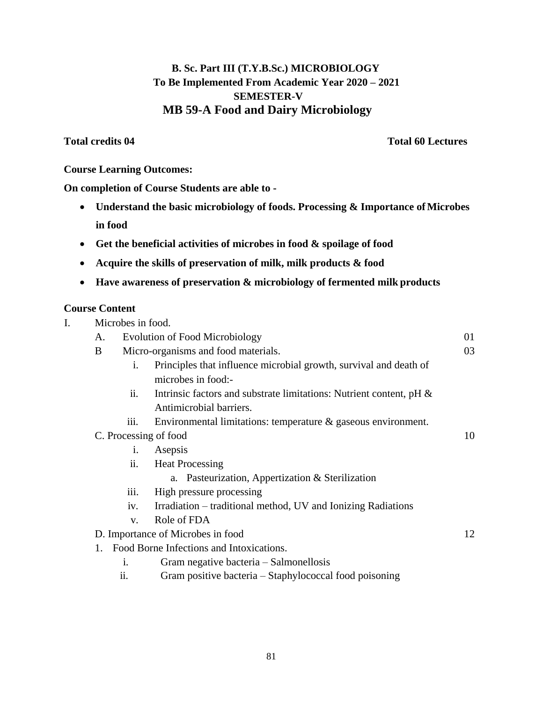# **B. Sc. Part III (T.Y.B.Sc.) MICROBIOLOGY To Be Implemented From Academic Year 2020 – 2021 SEMESTER-V MB 59-A Food and Dairy Microbiology**

**Total credits 04 Total 60 Lectures**

#### **Course Learning Outcomes:**

## **On completion of Course Students are able to -**

- **Understand the basic microbiology of foods. Processing & Importance ofMicrobes in food**
- **Get the beneficial activities of microbes in food & spoilage of food**
- **Acquire the skills of preservation of milk, milk products & food**
- **Have awareness of preservation & microbiology of fermented milk products**

# **Course Content**

|    | Microbes in food. |                                                                        |    |
|----|-------------------|------------------------------------------------------------------------|----|
| A. |                   | <b>Evolution of Food Microbiology</b>                                  | 01 |
| B  |                   | Micro-organisms and food materials.                                    | 03 |
|    | i.                | Principles that influence microbial growth, survival and death of      |    |
|    |                   | microbes in food:-                                                     |    |
|    | ii.               | Intrinsic factors and substrate limitations: Nutrient content, $pH \&$ |    |
|    |                   | Antimicrobial barriers.                                                |    |
|    | iii.              | Environmental limitations: temperature $\&$ gaseous environment.       |    |
|    |                   | C. Processing of food                                                  | 10 |
|    | $\mathbf{i}$ .    | Asepsis                                                                |    |
|    | ii.               | <b>Heat Processing</b>                                                 |    |
|    |                   | a. Pasteurization, Appertization & Sterilization                       |    |
|    | 111.              | High pressure processing                                               |    |
|    | iv.               | Irradiation – traditional method, UV and Ionizing Radiations           |    |
|    | V.                | Role of FDA                                                            |    |
|    |                   | D. Importance of Microbes in food                                      | 12 |
| 1. |                   | Food Borne Infections and Intoxications.                               |    |
|    | $\mathbf{1}$ .    | Gram negative bacteria – Salmonellosis                                 |    |
|    | ii.               | Gram positive bacteria – Staphylococcal food poisoning                 |    |
|    |                   |                                                                        |    |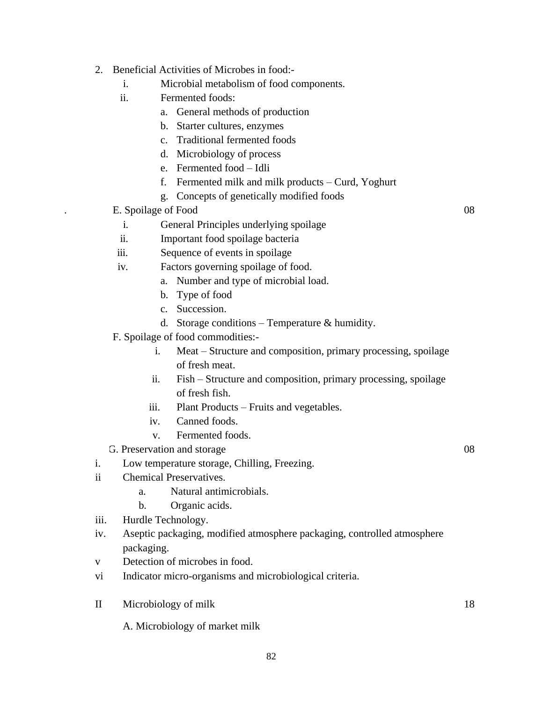- 2. Beneficial Activities of Microbes in food:
	- i. Microbial metabolism of food components.
	- ii. Fermented foods:
		- a. General methods of production
		- b. Starter cultures, enzymes
		- c. Traditional fermented foods
		- d. Microbiology of process
		- e. Fermented food Idli
		- f. Fermented milk and milk products Curd, Yoghurt
		- g. Concepts of genetically modified foods
	- E. Spoilage of Food 08
		- i. General Principles underlying spoilage
		- ii. Important food spoilage bacteria
	- iii. Sequence of events in spoilage
	- iv. Factors governing spoilage of food.
		- a. Number and type of microbial load.
		- b. Type of food
		- c. Succession.
		- d. Storage conditions Temperature & humidity.
	- F. Spoilage of food commodities:
		- i. Meat Structure and composition, primary processing, spoilage of fresh meat.
		- ii. Fish Structure and composition, primary processing, spoilage of fresh fish.
		- iii. Plant Products Fruits and vegetables.
		- iv. Canned foods.
		- v. Fermented foods.
	- G. Preservation and storage 08
- i. Low temperature storage, Chilling, Freezing.
- ii Chemical Preservatives.
	- a. Natural antimicrobials.
	- b. Organic acids.
- iii. Hurdle Technology.
- iv. Aseptic packaging, modified atmosphere packaging, controlled atmosphere packaging.
- v Detection of microbes in food.
- vi Indicator micro-organisms and microbiological criteria.
- II Microbiology of milk
	- A. Microbiology of market milk

18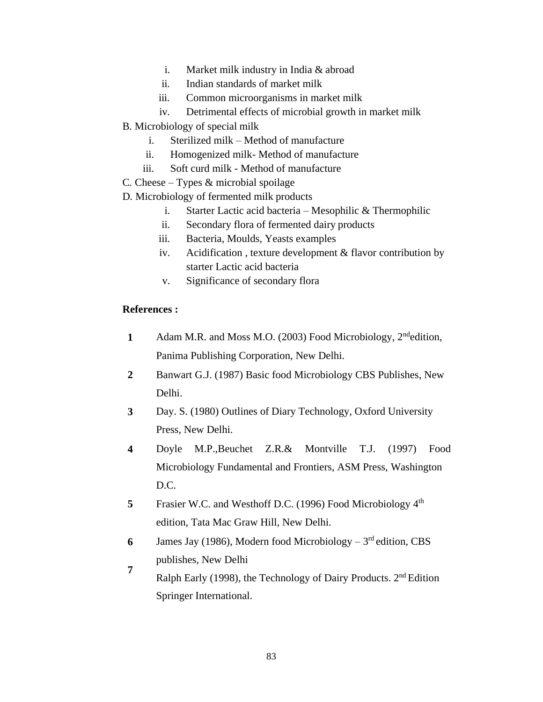- i. Market milk industry in India & abroad
- ii. Indian standards of market milk
- iii. Common microorganisms in market milk
- iv. Detrimental effects of microbial growth in market milk
- B. Microbiology of special milk
	- i. Sterilized milk Method of manufacture
	- ii. Homogenized milk- Method of manufacture
	- iii. Soft curd milk Method of manufacture
- C. Cheese Types & microbial spoilage
- D. Microbiology of fermented milk products
	- i. Starter Lactic acid bacteria Mesophilic & Thermophilic
	- ii. Secondary flora of fermented dairy products
	- iii. Bacteria, Moulds, Yeasts examples
	- iv. Acidification , texture development & flavor contribution by starter Lactic acid bacteria
	- v. Significance of secondary flora

#### **References :**

- 1 Adam M.R. and Moss M.O. (2003) Food Microbiology, 2<sup>nd</sup>edition, Panima Publishing Corporation, New Delhi.
- **2** Banwart G.J. (1987) Basic food Microbiology CBS Publishes, New Delhi.
- **3** Day. S. (1980) Outlines of Diary Technology, Oxford University Press, New Delhi.
- **4** Doyle M.P.,Beuchet Z.R.& Montville T.J. (1997) Food Microbiology Fundamental and Frontiers, ASM Press, Washington  $D.C.$
- **5** Frasier W.C. and Westhoff D.C. (1996) Food Microbiology 4<sup>th</sup> edition, Tata Mac Graw Hill, New Delhi.
- **6** James Jay (1986), Modern food Microbiology  $-3<sup>rd</sup>$  edition, CBS publishes, New Delhi
- **7** Ralph Early (1998), the Technology of Dairy Products. 2nd Edition Springer International.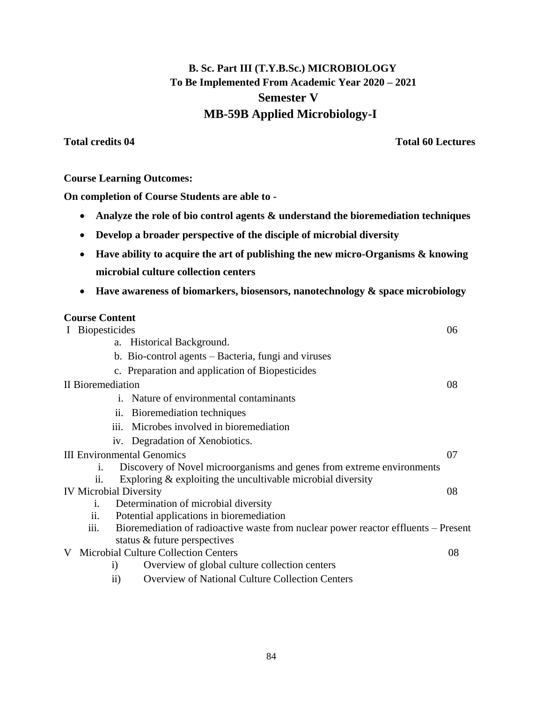# **B. Sc. Part III (T.Y.B.Sc.) MICROBIOLOGY To Be Implemented From Academic Year 2020 – 2021 Semester V MB-59B Applied Microbiology-I**

**Total credits 04 Total 60 Lectures**

## **Course Learning Outcomes:**

**On completion of Course Students are able to -**

- **Analyze the role of bio control agents & understand the bioremediation techniques**
- **Develop a broader perspective of the disciple of microbial diversity**
- **Have ability to acquire the art of publishing the new micro-Organisms & knowing microbial culture collection centers**
- **Have awareness of biomarkers, biosensors, nanotechnology & space microbiology**

## **Course Content**

|                                   | I Biopesticides   |                 | 06                                                                                 |    |
|-----------------------------------|-------------------|-----------------|------------------------------------------------------------------------------------|----|
|                                   |                   |                 | a. Historical Background.                                                          |    |
|                                   |                   |                 | b. Bio-control agents – Bacteria, fungi and viruses                                |    |
|                                   |                   |                 | c. Preparation and application of Biopesticides                                    |    |
|                                   | II Bioremediation |                 |                                                                                    | 08 |
|                                   |                   |                 | i. Nature of environmental contaminants                                            |    |
|                                   |                   | 11.             | Bioremediation techniques                                                          |    |
|                                   |                   |                 | iii. Microbes involved in bioremediation                                           |    |
|                                   |                   |                 | iv. Degradation of Xenobiotics.                                                    |    |
| <b>III Environmental Genomics</b> |                   | 07              |                                                                                    |    |
|                                   | 1.                |                 | Discovery of Novel microorganisms and genes from extreme environments              |    |
|                                   | $\overline{11}$ . |                 | Exploring $\&$ exploiting the uncultivable microbial diversity                     |    |
|                                   |                   |                 | <b>IV Microbial Diversity</b>                                                      | 08 |
|                                   | i.                |                 | Determination of microbial diversity                                               |    |
|                                   | $\overline{11}$ . |                 | Potential applications in bioremediation                                           |    |
|                                   | iii.              |                 | Bioremediation of radioactive waste from nuclear power reactor effluents – Present |    |
|                                   |                   |                 | status & future perspectives                                                       |    |
| V                                 |                   |                 | <b>Microbial Culture Collection Centers</b>                                        | 08 |
|                                   |                   | $\rm i)$        | Overview of global culture collection centers                                      |    |
|                                   |                   | $\overline{11}$ | <b>Overview of National Culture Collection Centers</b>                             |    |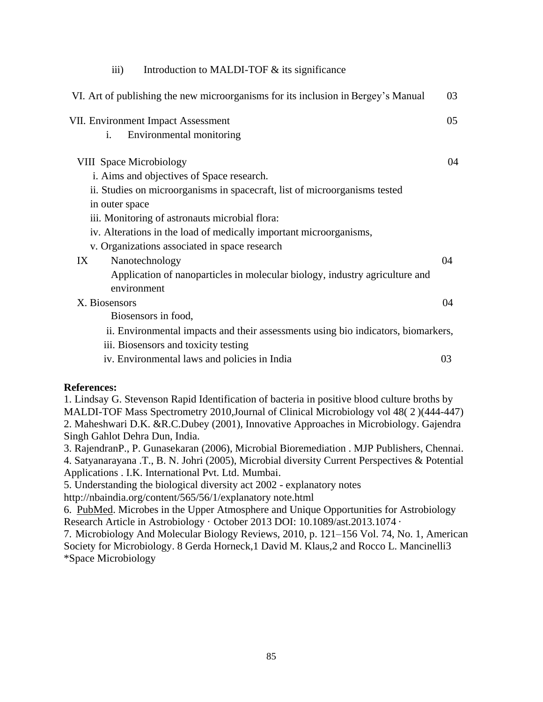| $\overline{\text{iii}}$<br>Introduction to MALDI-TOF $&$ its significance         |    |
|-----------------------------------------------------------------------------------|----|
| VI. Art of publishing the new microorganisms for its inclusion in Bergey's Manual | 03 |
| <b>VII. Environment Impact Assessment</b>                                         | 05 |
| Environmental monitoring<br>$\mathbf{i}$ .                                        |    |
| <b>VIII</b> Space Microbiology                                                    | 04 |
| i. Aims and objectives of Space research.                                         |    |
| ii. Studies on microorganisms in spacecraft, list of microorganisms tested        |    |
| in outer space                                                                    |    |
| iii. Monitoring of astronauts microbial flora:                                    |    |
| iv. Alterations in the load of medically important microorganisms,                |    |
| v. Organizations associated in space research                                     |    |
| Nanotechnology<br>IX                                                              | 04 |
| Application of nanoparticles in molecular biology, industry agriculture and       |    |
| environment                                                                       |    |
| X. Biosensors                                                                     | 04 |
| Biosensors in food,                                                               |    |
| ii. Environmental impacts and their assessments using bio indicators, biomarkers, |    |
| iii. Biosensors and toxicity testing                                              |    |
| iv. Environmental laws and policies in India                                      | 03 |
|                                                                                   |    |

#### **References:**

1. Lindsay G. Stevenson Rapid Identification of bacteria in positive blood culture broths by MALDI-TOF Mass Spectrometry 2010,Journal of Clinical Microbiology vol 48( 2 )(444-447) 2. Maheshwari D.K. &R.C.Dubey (2001), Innovative Approaches in Microbiology. Gajendra Singh Gahlot Dehra Dun, India.

3. RajendranP., P. Gunasekaran (2006), Microbial Bioremediation . MJP Publishers, Chennai.

4. Satyanarayana .T., B. N. Johri (2005), Microbial diversity Current Perspectives & Potential Applications . I.K. International Pvt. Ltd. Mumbai.

5. Understanding the biological diversity act 2002 - explanatory notes

<http://nbaindia.org/content/565/56/1/explanatory> note.html

6. PubMed. Microbes in the Upper Atmosphere and Unique Opportunities for Astrobiology Research Article in Astrobiology · October 2013 DOI: 10.1089/ast.2013.1074 ·

7. Microbiology And Molecular Biology Reviews, 2010, p. 121–156 Vol. 74, No. 1, American Society for Microbiology. 8 Gerda Horneck,1 David M. Klaus,2 and Rocco L. Mancinelli3 \*Space Microbiology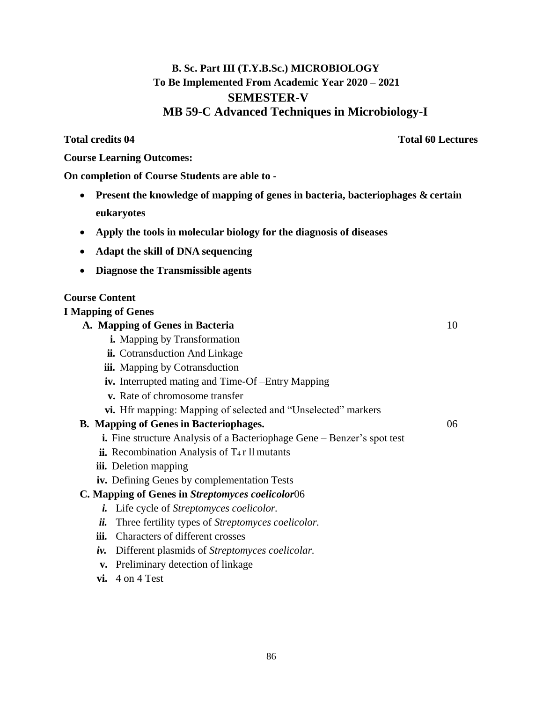# **B. Sc. Part III (T.Y.B.Sc.) MICROBIOLOGY To Be Implemented From Academic Year 2020 – 2021 SEMESTER-V MB 59-C Advanced Techniques in Microbiology-I**

**Total credits 04 Total 60 Lectures**

**Course Learning Outcomes:**

**On completion of Course Students are able to -**

- **Present the knowledge of mapping of genes in bacteria, bacteriophages & certain eukaryotes**
- **Apply the tools in molecular biology for the diagnosis of diseases**
- **Adapt the skill of DNA sequencing**
- **Diagnose the Transmissible agents**

# **Course Content**

# **I Mapping of Genes**

## **A. Mapping of Genes in Bacteria** 10

- **i.** Mapping by Transformation
- **ii.** Cotransduction And Linkage
- **iii.** Mapping by Cotransduction
- **iv.** Interrupted mating and Time-Of –Entry Mapping
- **v.** Rate of chromosome transfer
- **vi.** Hfr mapping: Mapping of selected and "Unselected" markers

# **B. Mapping of Genes in Bacteriophages.** 06

- **i.** Fine structure Analysis of a Bacteriophage Gene Benzer's spot test
- $\mathbf{ii}$ . Recombination Analysis of T<sub>4</sub>r ll mutants
- **iii.** Deletion mapping
- **iv.** Defining Genes by complementation Tests

# **C. Mapping of Genes in** *Streptomyces coelicolor*06

- *i.* Life cycle of *Streptomyces coelicolor.*
- *ii.* Three fertility types of *Streptomyces coelicolor.*
- **iii.** Characters of different crosses
- *iv.* Different plasmids of *Streptomyces coelicolar.*
- **v.** Preliminary detection of linkage
- **vi.** 4 on 4 Test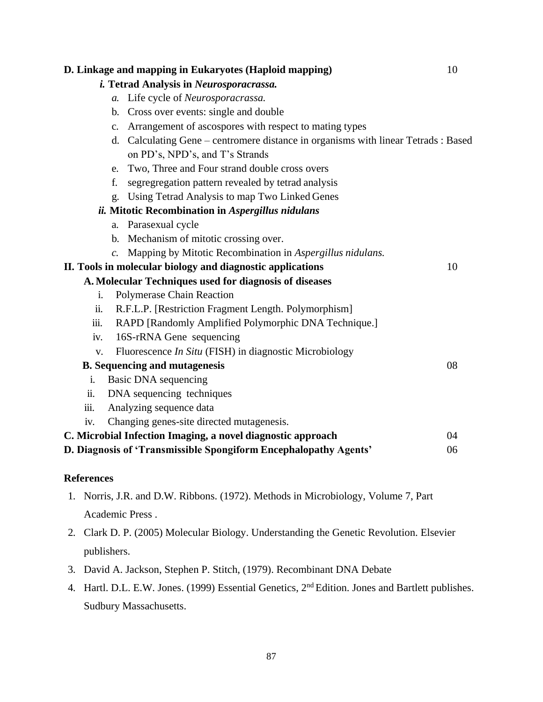|                | D. Linkage and mapping in Eukaryotes (Haploid mapping)                             | 10 |
|----------------|------------------------------------------------------------------------------------|----|
|                | <i>i.</i> Tetrad Analysis in Neurosporacrassa.                                     |    |
|                | a. Life cycle of Neurosporacrassa.                                                 |    |
|                | b. Cross over events: single and double                                            |    |
|                | c. Arrangement of ascospores with respect to mating types                          |    |
|                | d. Calculating Gene – centromere distance in organisms with linear Tetrads : Based |    |
|                | on PD's, NPD's, and T's Strands                                                    |    |
|                | Two, Three and Four strand double cross overs<br>e.                                |    |
|                | f.<br>segregation pattern revealed by tetrad analysis                              |    |
|                | g. Using Tetrad Analysis to map Two Linked Genes                                   |    |
|                | ii. Mitotic Recombination in Aspergillus nidulans                                  |    |
|                | a. Parasexual cycle                                                                |    |
|                | b. Mechanism of mitotic crossing over.                                             |    |
|                | Mapping by Mitotic Recombination in Aspergillus nidulans.<br>$\overline{c}$ .      |    |
|                | II. Tools in molecular biology and diagnostic applications                         | 10 |
|                | A. Molecular Techniques used for diagnosis of diseases                             |    |
| $\mathbf{i}$ . | Polymerase Chain Reaction                                                          |    |
| ii.            | R.F.L.P. [Restriction Fragment Length. Polymorphism]                               |    |
| iii.           | RAPD [Randomly Amplified Polymorphic DNA Technique.]                               |    |
| iv.            | 16S-rRNA Gene sequencing                                                           |    |
| V.             | Fluorescence In Situ (FISH) in diagnostic Microbiology                             |    |
|                | <b>B.</b> Sequencing and mutagenesis                                               | 08 |
| $\mathbf{i}$ . | Basic DNA sequencing                                                               |    |
| ii.            | DNA sequencing techniques                                                          |    |
| iii.           | Analyzing sequence data                                                            |    |
| iv.            | Changing genes-site directed mutagenesis.                                          |    |
|                | C. Microbial Infection Imaging, a novel diagnostic approach                        | 04 |
|                | D. Diagnosis of 'Transmissible Spongiform Encephalopathy Agents'                   | 06 |
|                |                                                                                    |    |

# **References**

- 1. Norris, J.R. and D.W. Ribbons. (1972). Methods in Microbiology, Volume 7, Part Academic Press .
- 2. Clark D. P. (2005) Molecular Biology. Understanding the Genetic Revolution. Elsevier publishers.
- 3. David A. Jackson, Stephen P. Stitch, (1979). Recombinant DNA Debate
- 4. Hartl. D.L. E.W. Jones. (1999) Essential Genetics, 2<sup>nd</sup> Edition. Jones and Bartlett publishes. Sudbury Massachusetts.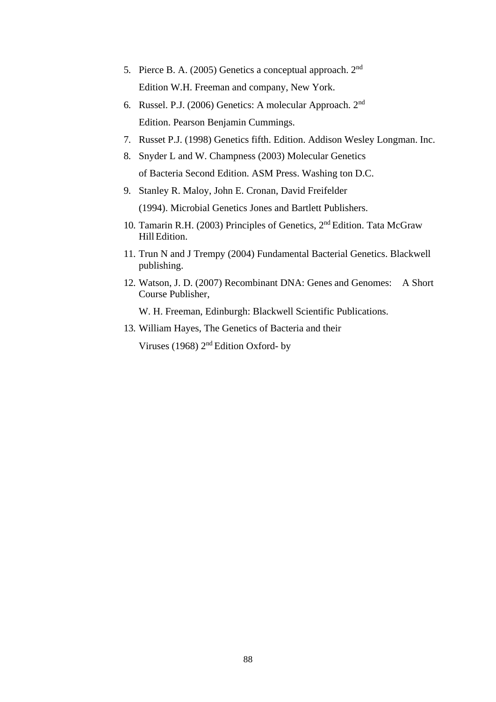- 5. Pierce B. A. (2005) Genetics a conceptual approach. 2nd Edition W.H. Freeman and company, New York.
- 6. Russel. P.J. (2006) Genetics: A molecular Approach. 2nd Edition. Pearson Benjamin Cummings.
- 7. Russet P.J. (1998) Genetics fifth. Edition. Addison Wesley Longman. Inc.
- 8. Snyder L and W. Champness (2003) Molecular Genetics of Bacteria Second Edition. ASM Press. Washing ton D.C.
- 9. [Stanley R. Maloy,](https://www.google.co.in/search?tbo=p&tbm=bks&q=inauthor%3A%22Stanley%2BR.%2BMaloy%22&source=gbs_metadata_r&cad=3) [John E. Cronan,](https://www.google.co.in/search?tbo=p&tbm=bks&q=inauthor%3A%22John%2BE.%2BCronan%22&source=gbs_metadata_r&cad=3) [David Freifelder](https://www.google.co.in/search?tbo=p&tbm=bks&q=inauthor%3A%22David%2BFreifelder%22&source=gbs_metadata_r&cad=3)  [\(1994\). Microbial Genetics J](https://www.google.co.in/search?tbo=p&tbm=bks&q=inauthor%3A%22David%2BFreifelder%22&source=gbs_metadata_r&cad=3)ones and Bartlett Publishers.
- 10. Tamarin R.H. (2003) Principles of Genetics, 2nd Edition. Tata McGraw HillEdition.
- 11. Trun N and J Trempy (2004) Fundamental Bacterial Genetics. Blackwell publishing.
- 12. Watson, J. D. (2007) Recombinant DNA: Genes and Genomes: A Short Course Publisher,

W. H. Freeman, Edinburgh: Blackwell Scientific Publications.

13. William Hayes, The Genetics of Bacteria and their

Viruses (1968) 2nd Edition Oxford- by